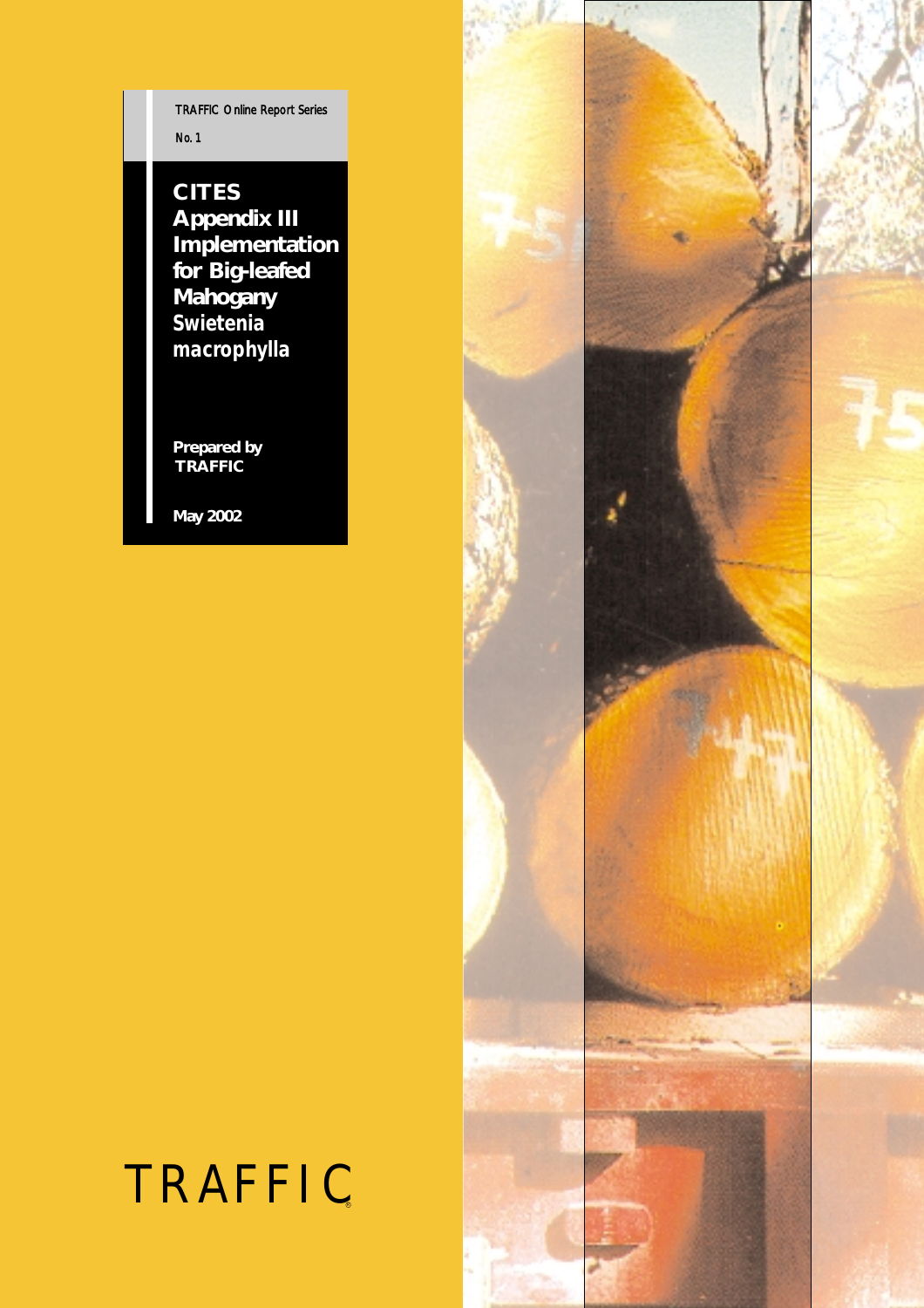TRAFFIC Online Report Series *No. 1*

**CITES Appendix III Implementation for Big-leafed Mahogany** *Swietenia macrophylla* 

**Prepared by TRAFFIC**

**May 2002**

# TRAFFIC

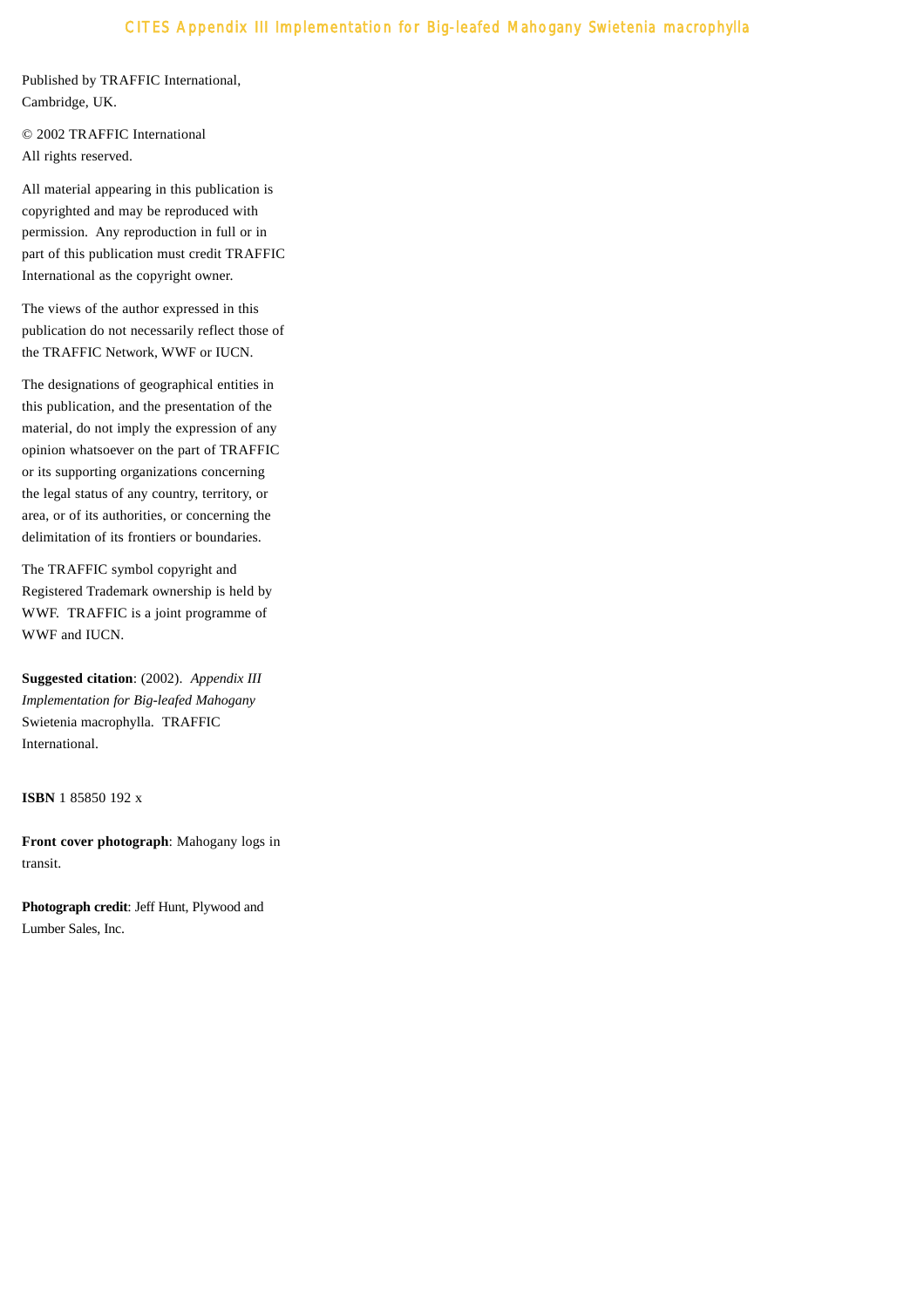Published by TRAFFIC International, Cambridge, UK.

© 2002 TRAFFIC International All rights reserved.

All material appearing in this publication is copyrighted and may be reproduced with permission. Any reproduction in full or in part of this publication must credit TRAFFIC International as the copyright owner.

The views of the author expressed in this publication do not necessarily reflect those of the TRAFFIC Network, WWF or IUCN.

The designations of geographical entities in this publication, and the presentation of the material, do not imply the expression of any opinion whatsoever on the part of TRAFFIC or its supporting organizations concerning the legal status of any country, territory, or area, or of its authorities, or concerning the delimitation of its frontiers or boundaries.

The TRAFFIC symbol copyright and Registered Trademark ownership is held by WWF. TRAFFIC is a joint programme of WWF and IUCN.

**Suggested citation**: (2002). *Appendix III Implementation for Big-leafed Mahogany* Swietenia macrophylla. TRAFFIC International.

**ISBN** 1 85850 192 x

**Front cover photograph**: Mahogany logs in transit.

**Photograph credit**: Jeff Hunt, Plywood and Lumber Sales, Inc.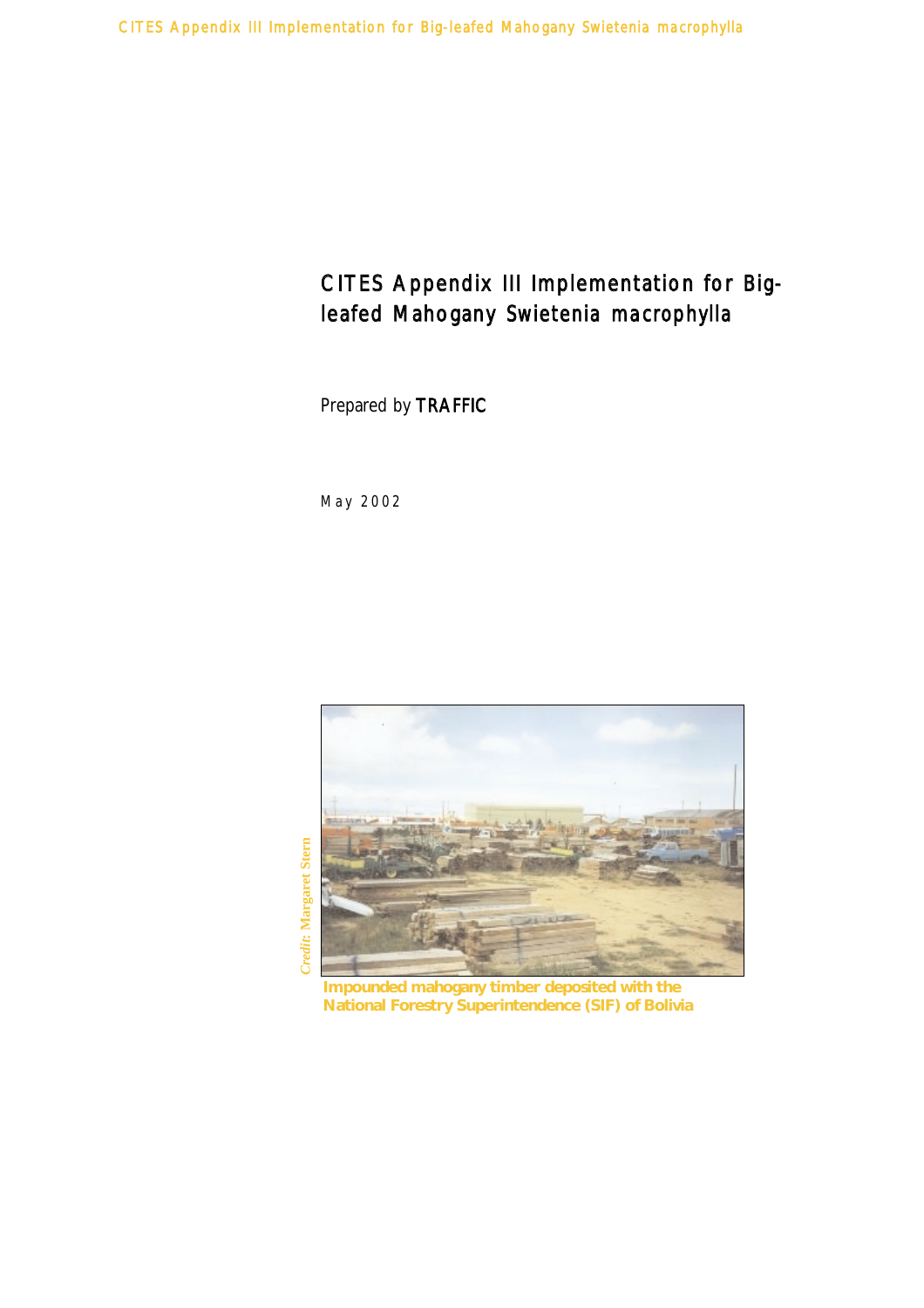Prepared by TRAFFIC

*May 2002*



**Impounded mahogany timber deposited with the National Forestry Superintendence (SIF) of Bolivia**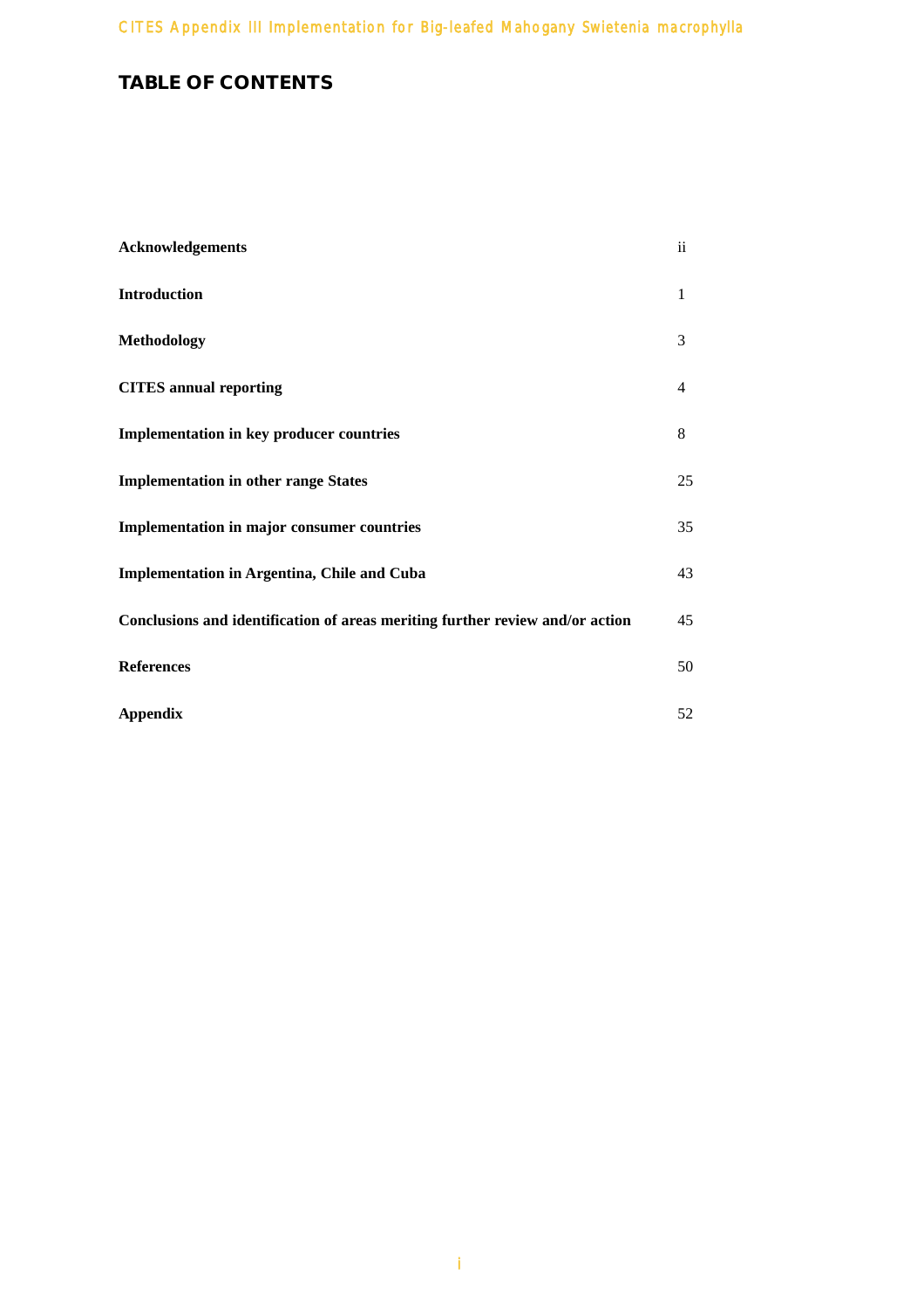# **TABLE OF CONTENTS**

| Acknowledgements                                                              | $\mathbf{ii}$  |
|-------------------------------------------------------------------------------|----------------|
| Introduction                                                                  | 1              |
| Methodology                                                                   | 3              |
| <b>CITES</b> annual reporting                                                 | $\overline{4}$ |
| <b>Implementation in key producer countries</b>                               | 8              |
| <b>Implementation in other range States</b>                                   | 25             |
| Implementation in major consumer countries                                    | 35             |
| <b>Implementation in Argentina, Chile and Cuba</b>                            | 43             |
| Conclusions and identification of areas meriting further review and/or action | 45             |
| <b>References</b>                                                             | 50             |
| <b>Appendix</b>                                                               | 52             |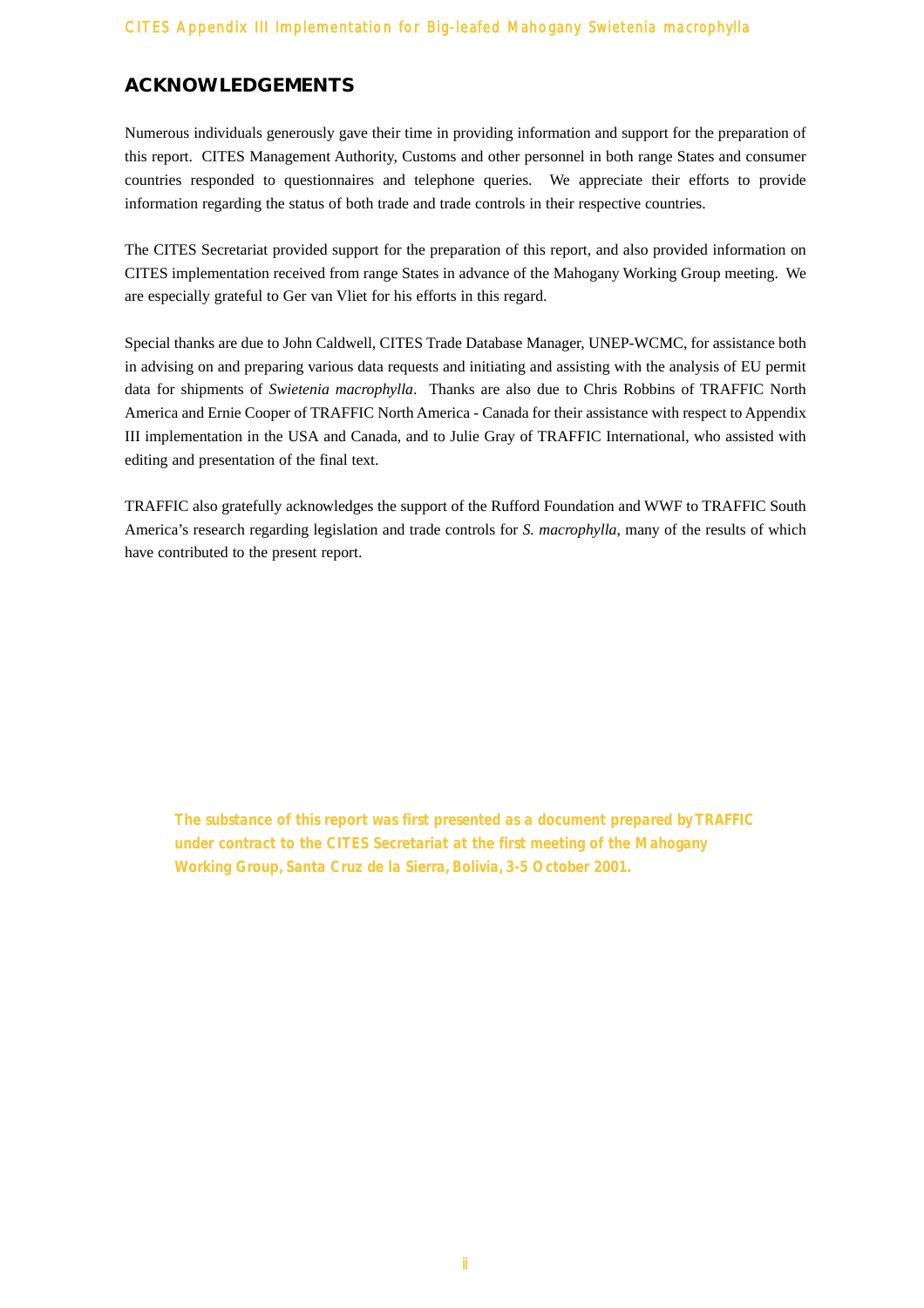# **ACKNOWLEDGEMENTS**

Numerous individuals generously gave their time in providing information and support for the preparation of this report. CITES Management Authority, Customs and other personnel in both range States and consumer countries responded to questionnaires and telephone queries. We appreciate their efforts to provide information regarding the status of both trade and trade controls in their respective countries.

The CITES Secretariat provided support for the preparation of this report, and also provided information on CITES implementation received from range States in advance of the Mahogany Working Group meeting. We are especially grateful to Ger van Vliet for his efforts in this regard.

Special thanks are due to John Caldwell, CITES Trade Database Manager, UNEP-WCMC, for assistance both in advising on and preparing various data requests and initiating and assisting with the analysis of EU permit data for shipments of *Swietenia macrophylla*. Thanks are also due to Chris Robbins of TRAFFIC North America and Ernie Cooper of TRAFFIC North America - Canada for their assistance with respect to Appendix III implementation in the USA and Canada, and to Julie Gray of TRAFFIC International, who assisted with editing and presentation of the final text.

TRAFFIC also gratefully acknowledges the support of the Rufford Foundation and WWF to TRAFFIC South America's research regarding legislation and trade controls for *S. macrophylla*, many of the results of which have contributed to the present report.

*The substance of this report was first presented as a document prepared by TRAFFIC under contract to the CITES Secretariat at the first meeting of the Mahogany Working Group, Santa Cruz de la Sierra, Bolivia, 3-5 October 2001.*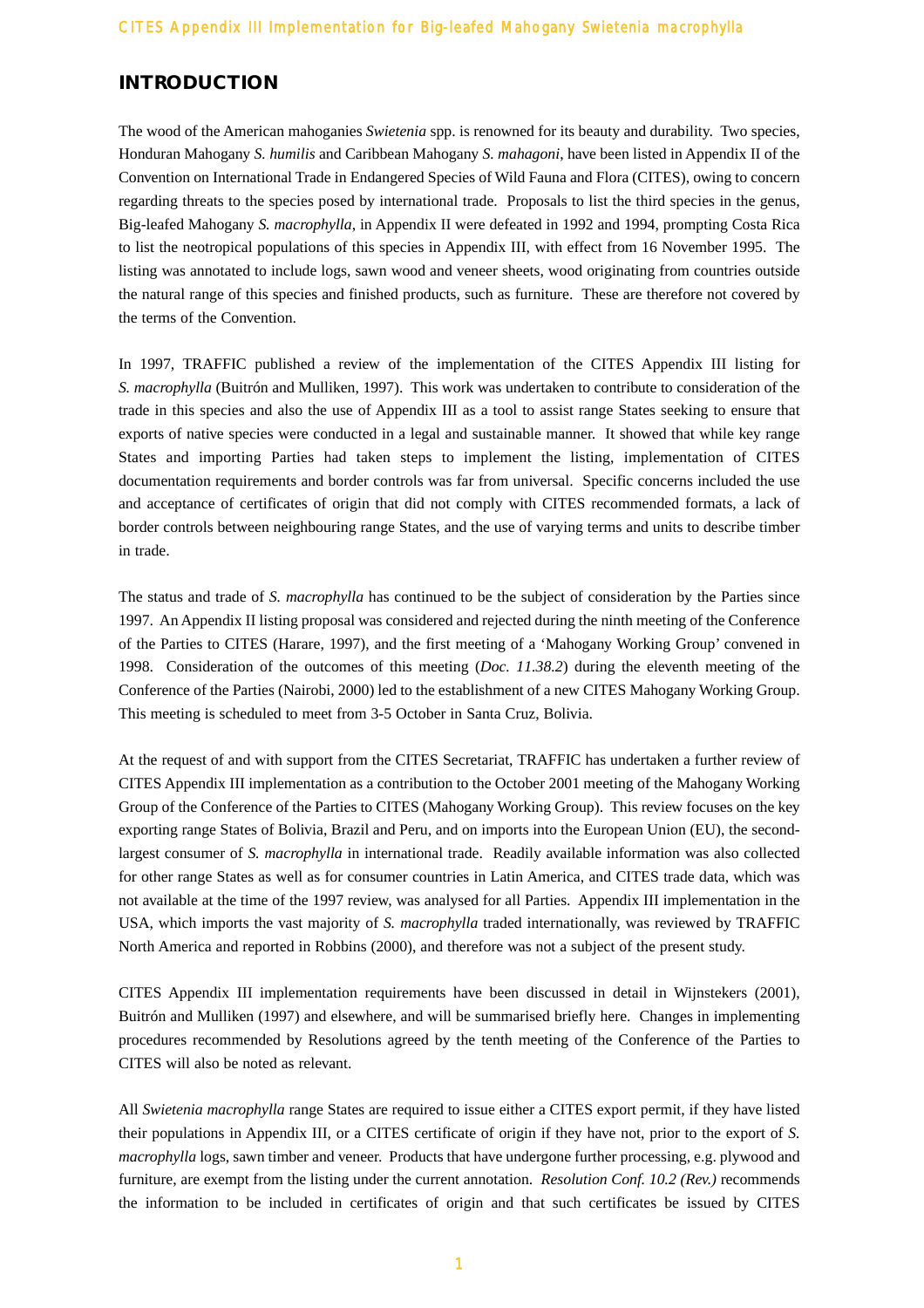## **INTRODUCTION**

The wood of the American mahoganies *Swietenia* spp. is renowned for its beauty and durability. Two species, Honduran Mahogany *S. humilis* and Caribbean Mahogany *S. mahagoni*, have been listed in Appendix II of the Convention on International Trade in Endangered Species of Wild Fauna and Flora (CITES), owing to concern regarding threats to the species posed by international trade. Proposals to list the third species in the genus, Big-leafed Mahogany *S. macrophylla*, in Appendix II were defeated in 1992 and 1994, prompting Costa Rica to list the neotropical populations of this species in Appendix III, with effect from 16 November 1995. The listing was annotated to include logs, sawn wood and veneer sheets, wood originating from countries outside the natural range of this species and finished products, such as furniture. These are therefore not covered by the terms of the Convention.

In 1997, TRAFFIC published a review of the implementation of the CITES Appendix III listing for *S. macrophylla* (Buitrón and Mulliken, 1997). This work was undertaken to contribute to consideration of the trade in this species and also the use of Appendix III as a tool to assist range States seeking to ensure that exports of native species were conducted in a legal and sustainable manner. It showed that while key range States and importing Parties had taken steps to implement the listing, implementation of CITES documentation requirements and border controls was far from universal. Specific concerns included the use and acceptance of certificates of origin that did not comply with CITES recommended formats, a lack of border controls between neighbouring range States, and the use of varying terms and units to describe timber in trade.

The status and trade of *S. macrophylla* has continued to be the subject of consideration by the Parties since 1997. An Appendix II listing proposal was considered and rejected during the ninth meeting of the Conference of the Parties to CITES (Harare, 1997), and the first meeting of a 'Mahogany Working Group' convened in 1998. Consideration of the outcomes of this meeting (*Doc. 11.38.2*) during the eleventh meeting of the Conference of the Parties (Nairobi, 2000) led to the establishment of a new CITES Mahogany Working Group. This meeting is scheduled to meet from 3-5 October in Santa Cruz, Bolivia.

At the request of and with support from the CITES Secretariat, TRAFFIC has undertaken a further review of CITES Appendix III implementation as a contribution to the October 2001 meeting of the Mahogany Working Group of the Conference of the Parties to CITES (Mahogany Working Group). This review focuses on the key exporting range States of Bolivia, Brazil and Peru, and on imports into the European Union (EU), the secondlargest consumer of *S. macrophylla* in international trade. Readily available information was also collected for other range States as well as for consumer countries in Latin America, and CITES trade data, which was not available at the time of the 1997 review, was analysed for all Parties. Appendix III implementation in the USA, which imports the vast majority of *S. macrophylla* traded internationally, was reviewed by TRAFFIC North America and reported in Robbins (2000), and therefore was not a subject of the present study.

CITES Appendix III implementation requirements have been discussed in detail in Wijnstekers (2001), Buitrón and Mulliken (1997) and elsewhere, and will be summarised briefly here. Changes in implementing procedures recommended by Resolutions agreed by the tenth meeting of the Conference of the Parties to CITES will also be noted as relevant.

All *Swietenia macrophylla* range States are required to issue either a CITES export permit, if they have listed their populations in Appendix III, or a CITES certificate of origin if they have not, prior to the export of *S. macrophylla* logs, sawn timber and veneer. Products that have undergone further processing, e.g. plywood and furniture, are exempt from the listing under the current annotation. *Resolution Conf. 10.2 (Rev.)* recommends the information to be included in certificates of origin and that such certificates be issued by CITES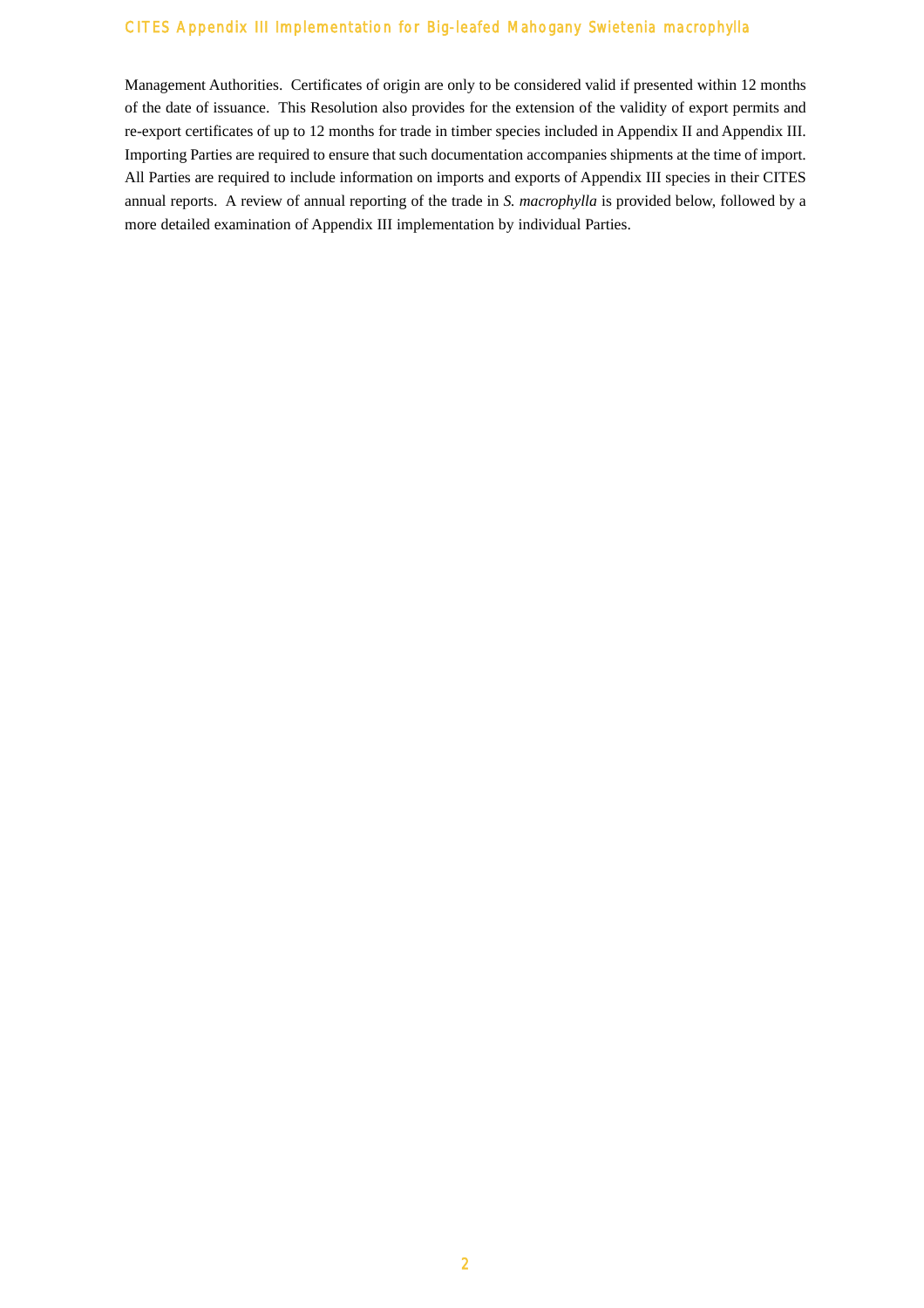Management Authorities. Certificates of origin are only to be considered valid if presented within 12 months of the date of issuance. This Resolution also provides for the extension of the validity of export permits and re-export certificates of up to 12 months for trade in timber species included in Appendix II and Appendix III. Importing Parties are required to ensure that such documentation accompanies shipments at the time of import. All Parties are required to include information on imports and exports of Appendix III species in their CITES annual reports. A review of annual reporting of the trade in *S. macrophylla* is provided below, followed by a more detailed examination of Appendix III implementation by individual Parties.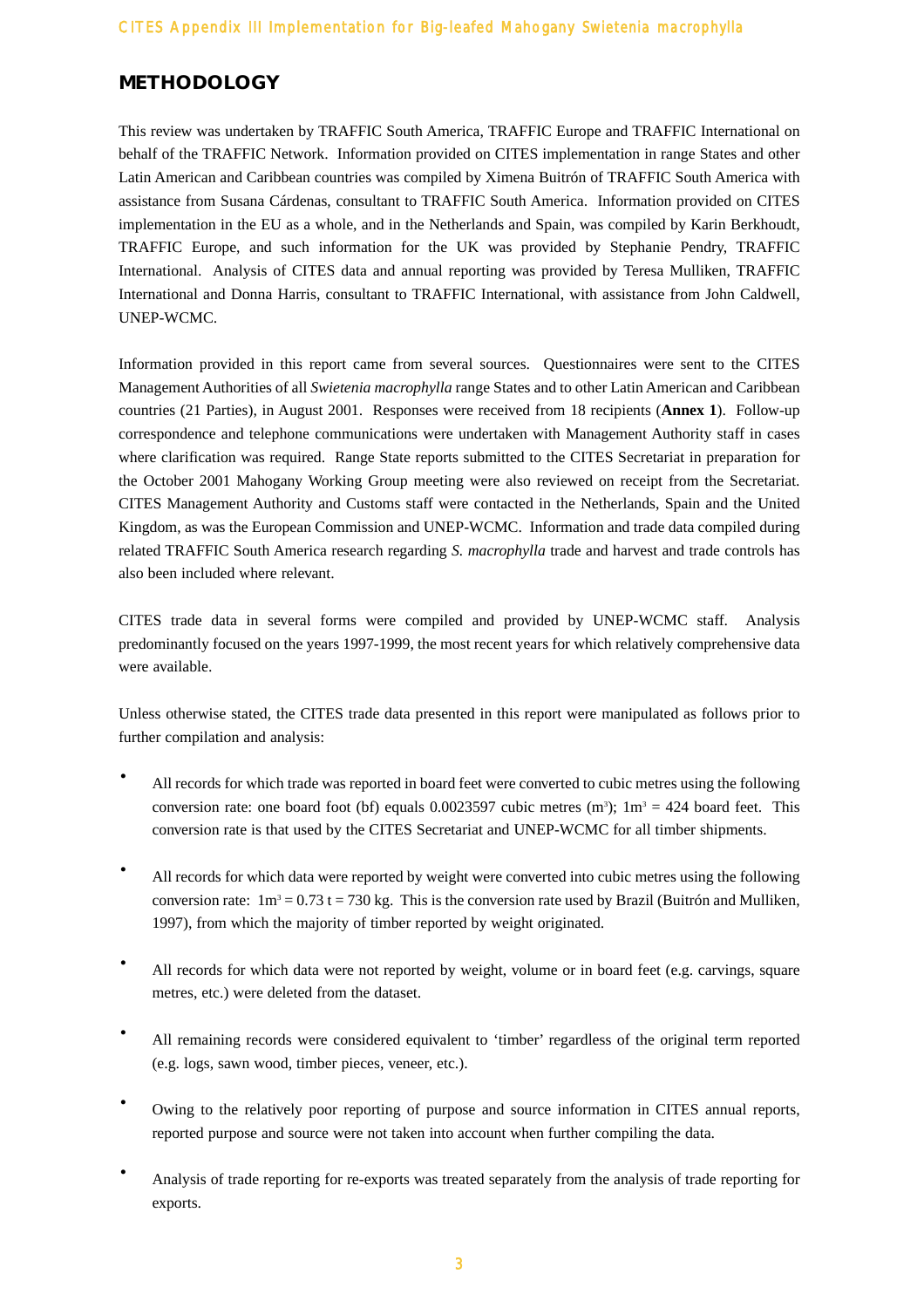# **METHODOLOGY**

This review was undertaken by TRAFFIC South America, TRAFFIC Europe and TRAFFIC International on behalf of the TRAFFIC Network. Information provided on CITES implementation in range States and other Latin American and Caribbean countries was compiled by Ximena Buitrón of TRAFFIC South America with assistance from Susana Cárdenas, consultant to TRAFFIC South America. Information provided on CITES implementation in the EU as a whole, and in the Netherlands and Spain, was compiled by Karin Berkhoudt, TRAFFIC Europe, and such information for the UK was provided by Stephanie Pendry, TRAFFIC International. Analysis of CITES data and annual reporting was provided by Teresa Mulliken, TRAFFIC International and Donna Harris, consultant to TRAFFIC International, with assistance from John Caldwell, UNEP-WCMC.

Information provided in this report came from several sources. Questionnaires were sent to the CITES Management Authorities of all *Swietenia macrophylla* range States and to other Latin American and Caribbean countries (21 Parties), in August 2001. Responses were received from 18 recipients (**Annex 1**). Follow-up correspondence and telephone communications were undertaken with Management Authority staff in cases where clarification was required. Range State reports submitted to the CITES Secretariat in preparation for the October 2001 Mahogany Working Group meeting were also reviewed on receipt from the Secretariat. CITES Management Authority and Customs staff were contacted in the Netherlands, Spain and the United Kingdom, as was the European Commission and UNEP-WCMC. Information and trade data compiled during related TRAFFIC South America research regarding *S. macrophylla* trade and harvest and trade controls has also been included where relevant.

CITES trade data in several forms were compiled and provided by UNEP-WCMC staff. Analysis predominantly focused on the years 1997-1999, the most recent years for which relatively comprehensive data were available.

Unless otherwise stated, the CITES trade data presented in this report were manipulated as follows prior to further compilation and analysis:

- All records for which trade was reported in board feet were converted to cubic metres using the following conversion rate: one board foot (bf) equals  $0.0023597$  cubic metres (m<sup>3</sup>);  $1m^3 = 424$  board feet. This conversion rate is that used by the CITES Secretariat and UNEP-WCMC for all timber shipments.
- All records for which data were reported by weight were converted into cubic metres using the following conversion rate:  $1m^3 = 0.73$  t = 730 kg. This is the conversion rate used by Brazil (Buitrón and Mulliken, 1997), from which the majority of timber reported by weight originated.
- All records for which data were not reported by weight, volume or in board feet (e.g. carvings, square metres, etc.) were deleted from the dataset.
- · All remaining records were considered equivalent to 'timber' regardless of the original term reported (e.g. logs, sawn wood, timber pieces, veneer, etc.).
- Owing to the relatively poor reporting of purpose and source information in CITES annual reports, reported purpose and source were not taken into account when further compiling the data.
- · Analysis of trade reporting for re-exports was treated separately from the analysis of trade reporting for exports.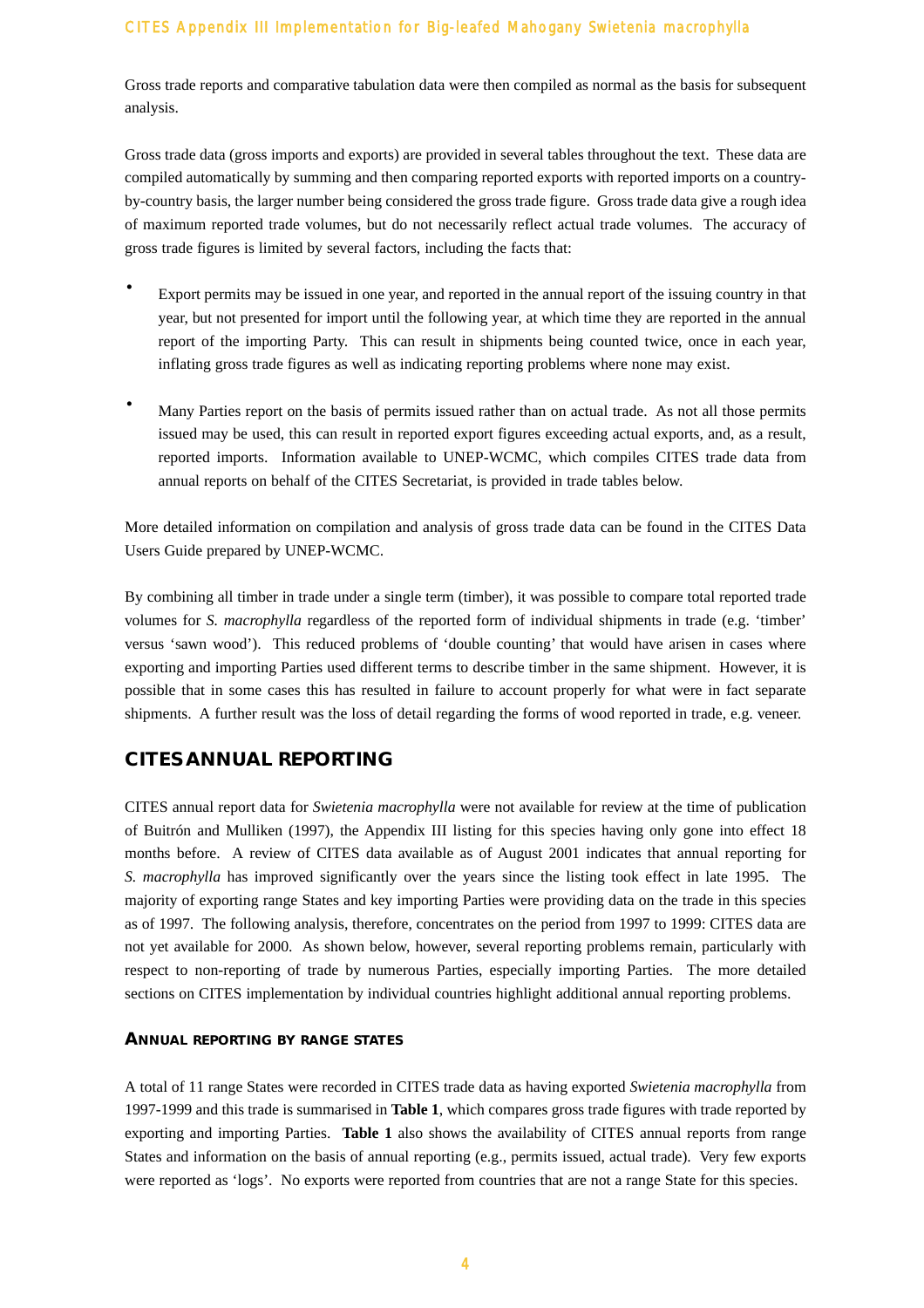Gross trade reports and comparative tabulation data were then compiled as normal as the basis for subsequent analysis.

Gross trade data (gross imports and exports) are provided in several tables throughout the text. These data are compiled automatically by summing and then comparing reported exports with reported imports on a countryby-country basis, the larger number being considered the gross trade figure. Gross trade data give a rough idea of maximum reported trade volumes, but do not necessarily reflect actual trade volumes. The accuracy of gross trade figures is limited by several factors, including the facts that:

- · Export permits may be issued in one year, and reported in the annual report of the issuing country in that year, but not presented for import until the following year, at which time they are reported in the annual report of the importing Party. This can result in shipments being counted twice, once in each year, inflating gross trade figures as well as indicating reporting problems where none may exist.
- Many Parties report on the basis of permits issued rather than on actual trade. As not all those permits issued may be used, this can result in reported export figures exceeding actual exports, and, as a result, reported imports. Information available to UNEP-WCMC, which compiles CITES trade data from annual reports on behalf of the CITES Secretariat, is provided in trade tables below.

More detailed information on compilation and analysis of gross trade data can be found in the CITES Data Users Guide prepared by UNEP-WCMC.

By combining all timber in trade under a single term (timber), it was possible to compare total reported trade volumes for *S. macrophylla* regardless of the reported form of individual shipments in trade (e.g. 'timber' versus 'sawn wood'). This reduced problems of 'double counting' that would have arisen in cases where exporting and importing Parties used different terms to describe timber in the same shipment. However, it is possible that in some cases this has resulted in failure to account properly for what were in fact separate shipments. A further result was the loss of detail regarding the forms of wood reported in trade, e.g. veneer.

# **CITES ANNUAL REPORTING**

CITES annual report data for *Swietenia macrophylla* were not available for review at the time of publication of Buitrón and Mulliken (1997), the Appendix III listing for this species having only gone into effect 18 months before. A review of CITES data available as of August 2001 indicates that annual reporting for *S. macrophylla* has improved significantly over the years since the listing took effect in late 1995. The majority of exporting range States and key importing Parties were providing data on the trade in this species as of 1997. The following analysis, therefore, concentrates on the period from 1997 to 1999: CITES data are not yet available for 2000. As shown below, however, several reporting problems remain, particularly with respect to non-reporting of trade by numerous Parties, especially importing Parties. The more detailed sections on CITES implementation by individual countries highlight additional annual reporting problems.

#### **ANNUAL REPORTING BY RANGE STATES**

A total of 11 range States were recorded in CITES trade data as having exported *Swietenia macrophylla* from 1997-1999 and this trade is summarised in **Table 1**, which compares gross trade figures with trade reported by exporting and importing Parties. **Table 1** also shows the availability of CITES annual reports from range States and information on the basis of annual reporting (e.g., permits issued, actual trade). Very few exports were reported as 'logs'. No exports were reported from countries that are not a range State for this species.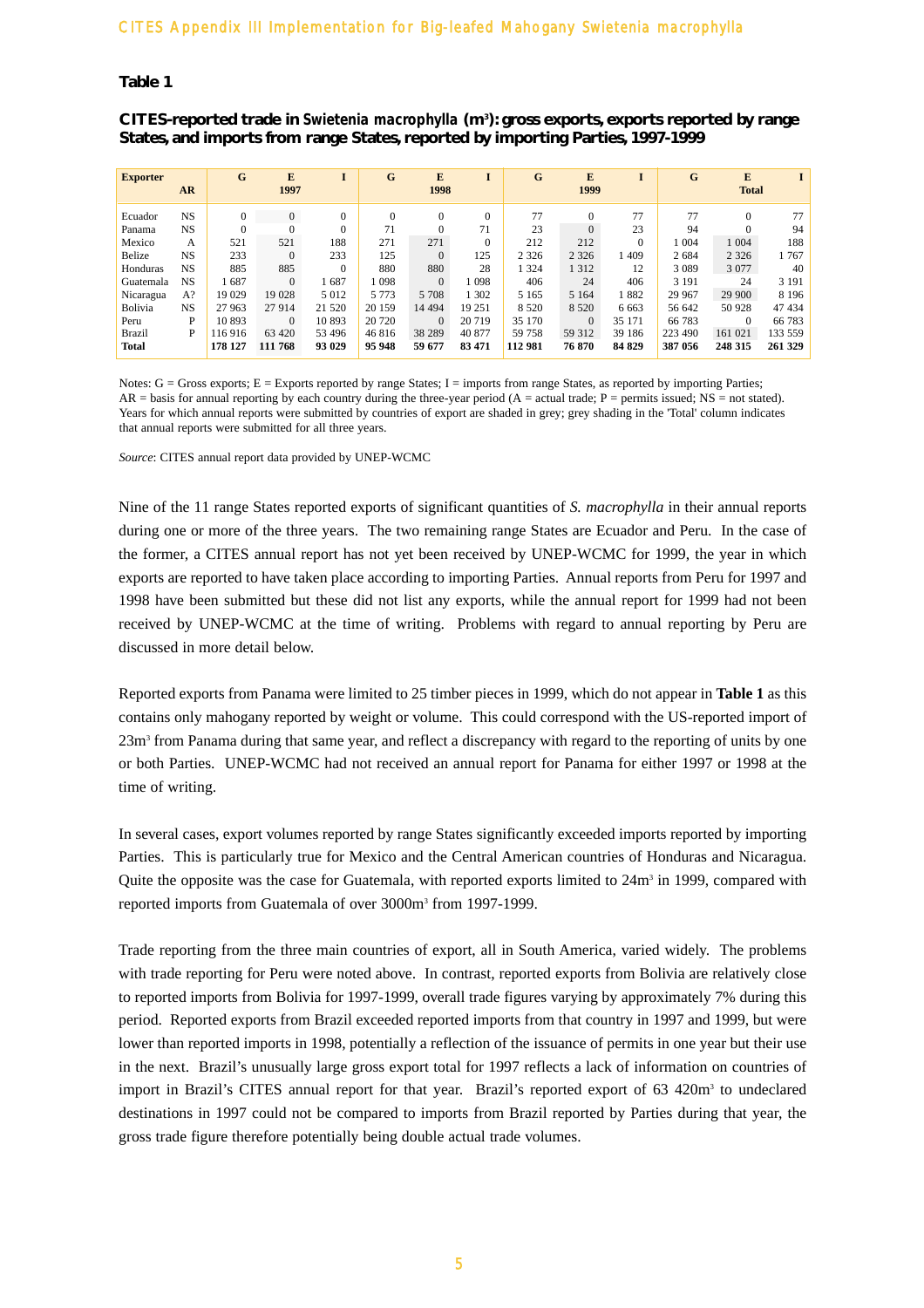#### **Table 1**

**CITES-reported trade in** *Swietenia macrophylla* **(m3 ): gross exports, exports reported by range States, and imports from range States, reported by importing Parties, 1997-1999**

| <b>Exporter</b> |           | G        | E              |                | G        | E        |         | G       | E        | I        | G       | E            |         |
|-----------------|-----------|----------|----------------|----------------|----------|----------|---------|---------|----------|----------|---------|--------------|---------|
|                 | <b>AR</b> |          | 1997           |                |          | 1998     |         |         | 1999     |          |         | <b>Total</b> |         |
| Ecuador         | <b>NS</b> | $\Omega$ | $\overline{0}$ | $\overline{0}$ | $\Omega$ | $\Omega$ |         | 77      | $\Omega$ | 77       | 77      | $\Omega$     | 77      |
| Panama          | <b>NS</b> |          | $\Omega$       | $\theta$       | 71       |          | 71      | 23      | $\Omega$ | 23       | 94      |              | 94      |
| Mexico          | А         | 521      | 521            | 188            | 271      | 271      |         | 212     | 212      | $\Omega$ | 1 004   | 1 0 0 4      | 188     |
| Belize          | <b>NS</b> | 233      | $\mathbf{0}$   | 233            | 125      | $\Omega$ | 125     | 2 3 2 6 | 2 3 2 6  | 409      | 2 6 8 4 | 2 3 2 6      | 1767    |
| Honduras        | <b>NS</b> | 885      | 885            | $\Omega$       | 880      | 880      | 28      | 1 324   | 1 3 1 2  | 12       | 3 0 8 9 | 3 0 7 7      | 40      |
| Guatemala       | <b>NS</b> | 1687     | $\Omega$       | 1687           | .098     | $\Omega$ | 1 0 9 8 | 406     | 24       | 406      | 3 1 9 1 | 24           | 3 1 9 1 |
| Nicaragua       | $A$ ?     | 19 029   | 19 028         | 5 0 1 2        | 5 7 7 3  | 5 708    | 1 3 0 2 | 5 1 6 5 | 5 1 6 4  | 1882     | 29 967  | 29 900       | 8 1 9 6 |
| Bolivia         | <b>NS</b> | 27 963   | 27 914         | 21 5 20        | 20 15 9  | 14 4 94  | 19 25 1 | 8 5 20  | 8 5 2 0  | 6 6 6 3  | 56 642  | 50 928       | 47 434  |
| Peru            | P         | 10893    | $\Omega$       | 10893          | 20 720   | $\Omega$ | 20 719  | 35 170  | $\Omega$ | 35 171   | 66 783  | $\Omega$     | 66 783  |
| <b>Brazil</b>   | P         | 116916   | 63 4 20        | 53 4 96        | 46816    | 38 28 9  | 40 877  | 59 758  | 59 312   | 39 18 6  | 223 490 | 161 021      | 133 559 |
| <b>Total</b>    |           | 178 127  | 111 768        | 93 029         | 95 948   | 59 677   | 83 471  | 112 981 | 76 870   | 84 829   | 387 056 | 248 315      | 261 329 |

Notes: G = Gross exports; E = Exports reported by range States; I = imports from range States, as reported by importing Parties;  $AR =$  basis for annual reporting by each country during the three-year period  $(A =$  actual trade;  $P =$  permits issued;  $NS =$  not stated). Years for which annual reports were submitted by countries of export are shaded in grey; grey shading in the 'Total' column indicates that annual reports were submitted for all three years.

*Source*: CITES annual report data provided by UNEP-WCMC

Nine of the 11 range States reported exports of significant quantities of *S. macrophylla* in their annual reports during one or more of the three years. The two remaining range States are Ecuador and Peru. In the case of the former, a CITES annual report has not yet been received by UNEP-WCMC for 1999, the year in which exports are reported to have taken place according to importing Parties. Annual reports from Peru for 1997 and 1998 have been submitted but these did not list any exports, while the annual report for 1999 had not been received by UNEP-WCMC at the time of writing. Problems with regard to annual reporting by Peru are discussed in more detail below.

Reported exports from Panama were limited to 25 timber pieces in 1999, which do not appear in **Table 1** as this contains only mahogany reported by weight or volume. This could correspond with the US-reported import of 23m3 from Panama during that same year, and reflect a discrepancy with regard to the reporting of units by one or both Parties. UNEP-WCMC had not received an annual report for Panama for either 1997 or 1998 at the time of writing.

In several cases, export volumes reported by range States significantly exceeded imports reported by importing Parties. This is particularly true for Mexico and the Central American countries of Honduras and Nicaragua. Quite the opposite was the case for Guatemala, with reported exports limited to  $24m<sup>3</sup>$  in 1999, compared with reported imports from Guatemala of over 3000m3 from 1997-1999.

Trade reporting from the three main countries of export, all in South America, varied widely. The problems with trade reporting for Peru were noted above. In contrast, reported exports from Bolivia are relatively close to reported imports from Bolivia for 1997-1999, overall trade figures varying by approximately 7% during this period. Reported exports from Brazil exceeded reported imports from that country in 1997 and 1999, but were lower than reported imports in 1998, potentially a reflection of the issuance of permits in one year but their use in the next. Brazil's unusually large gross export total for 1997 reflects a lack of information on countries of import in Brazil's CITES annual report for that year. Brazil's reported export of 63 420m<sup>3</sup> to undeclared destinations in 1997 could not be compared to imports from Brazil reported by Parties during that year, the gross trade figure therefore potentially being double actual trade volumes.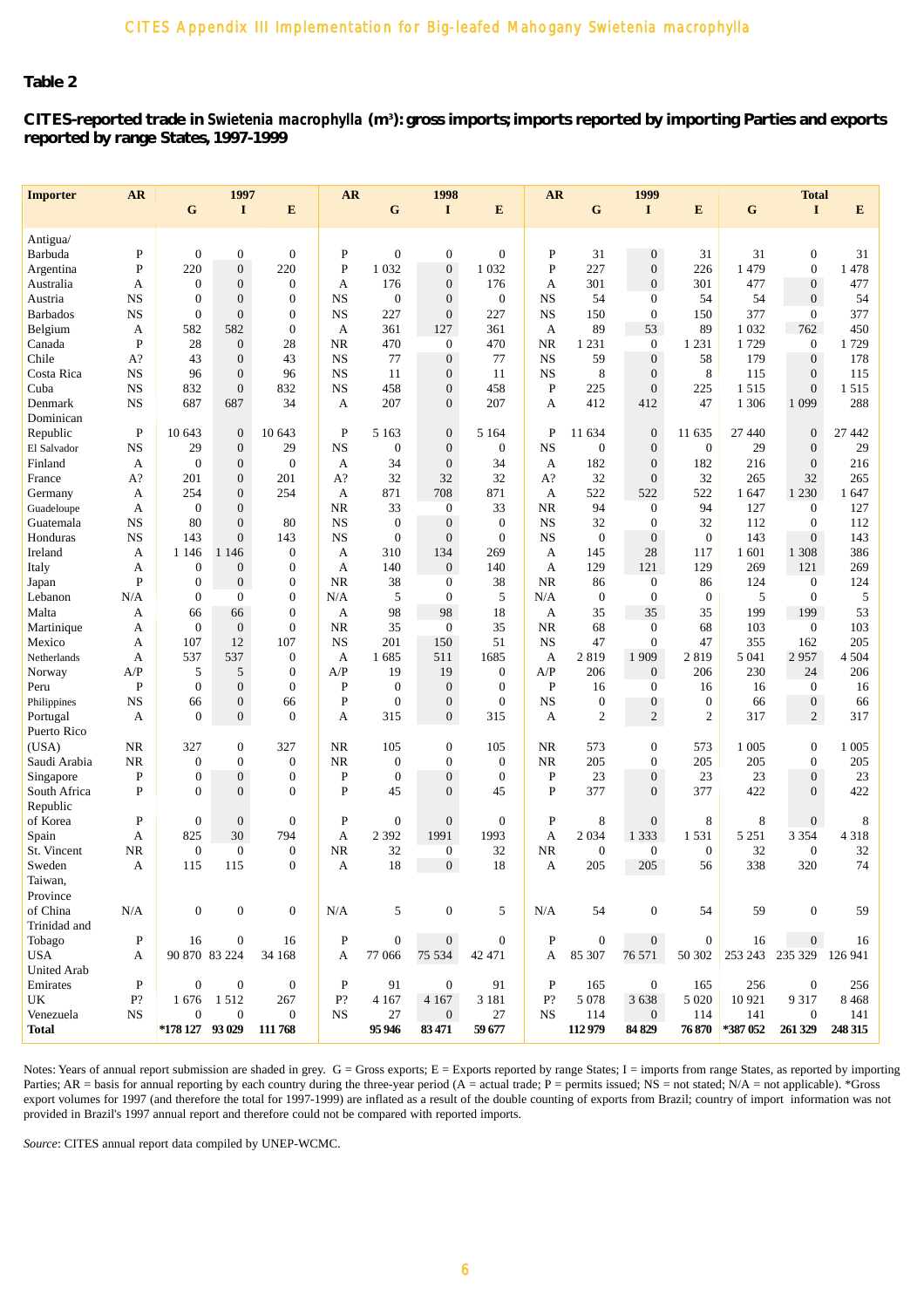# **Table 2**

**CITES-reported trade in** *Swietenia macrophylla* **(m3 ): gross imports; imports reported by importing Parties and exports reported by range States, 1997-1999**

| <b>Importer</b>     | <b>AR</b>    |                  | 1997             |                  | <b>AR</b>    |                  | 1998             |                  | <b>AR</b>   |                  | 1999             |                |             | <b>Total</b>     |         |
|---------------------|--------------|------------------|------------------|------------------|--------------|------------------|------------------|------------------|-------------|------------------|------------------|----------------|-------------|------------------|---------|
|                     |              | G                | $\bf{I}$         | E                |              | G                | I                | E                |             | G                | I                | E              | $\mathbf G$ | $\bf{I}$         | E       |
|                     |              |                  |                  |                  |              |                  |                  |                  |             |                  |                  |                |             |                  |         |
| Antigua/<br>Barbuda | $\mathbf{P}$ | $\mathbf{0}$     | $\boldsymbol{0}$ | $\boldsymbol{0}$ | P            | $\mathbf{0}$     | $\boldsymbol{0}$ | $\overline{0}$   | P           | 31               | $\overline{0}$   | 31             | 31          | $\boldsymbol{0}$ | 31      |
| Argentina           | $\mathbf P$  | 220              | $\overline{0}$   | 220              | P            | 1 0 3 2          | $\boldsymbol{0}$ | 1 0 3 2          | $\mathbf P$ | 227              | $\boldsymbol{0}$ | 226            | 1479        | $\boldsymbol{0}$ | 1478    |
| Australia           | А            | $\boldsymbol{0}$ | $\overline{0}$   | $\boldsymbol{0}$ | А            | 176              | $\boldsymbol{0}$ | 176              | A           | 301              | $\boldsymbol{0}$ | 301            | 477         | $\boldsymbol{0}$ | 477     |
| Austria             | NS           | $\mathbf{0}$     | $\overline{0}$   | $\theta$         | <b>NS</b>    | $\mathbf{0}$     | $\boldsymbol{0}$ | $\overline{0}$   | <b>NS</b>   | 54               | $\mathbf{0}$     | 54             | 54          | $\boldsymbol{0}$ | 54      |
| <b>Barbados</b>     | <b>NS</b>    | $\mathbf{0}$     | $\overline{0}$   | $\overline{0}$   | <b>NS</b>    | 227              | $\boldsymbol{0}$ | 227              | <b>NS</b>   | 150              | $\mathbf{0}$     | 150            | 377         | $\mathbf{0}$     | 377     |
| Belgium             | А            | 582              | 582              | $\overline{0}$   | А            | 361              | 127              | 361              | A           | 89               | 53               | 89             | 1 0 3 2     | 762              | 450     |
| Canada              | $\mathbf{P}$ | 28               | $\boldsymbol{0}$ | 28               | NR           | 470              | $\boldsymbol{0}$ | 470              | NR          | 1 2 3 1          | $\boldsymbol{0}$ | 1 2 3 1        | 1729        | $\mathbf{0}$     | 1729    |
| Chile               | A?           | 43               | $\overline{0}$   | 43               | <b>NS</b>    | 77               | $\boldsymbol{0}$ | 77               | <b>NS</b>   | 59               | $\boldsymbol{0}$ | 58             | 179         | $\boldsymbol{0}$ | 178     |
| Costa Rica          | NS           | 96               | $\boldsymbol{0}$ | 96               | <b>NS</b>    | 11               | $\boldsymbol{0}$ | 11               | <b>NS</b>   | $\,$ 8 $\,$      | $\boldsymbol{0}$ | 8              | 115         | $\boldsymbol{0}$ | 115     |
| Cuba                | <b>NS</b>    | 832              | $\overline{0}$   | 832              | $_{\rm NS}$  | 458              | $\overline{0}$   | 458              | $\mathbf P$ | 225              | $\overline{0}$   | 225            | 1515        | $\overline{0}$   | 1515    |
| Denmark             | <b>NS</b>    | 687              | 687              | 34               | А            | 207              | $\overline{0}$   | 207              | A           | 412              | 412              | 47             | 1 3 0 6     | 1 0 9 9          | 288     |
| Dominican           |              |                  |                  |                  |              |                  |                  |                  |             |                  |                  |                |             |                  |         |
| Republic            | $\mathbf P$  | 10 643           | $\mathbf{0}$     | 10 643           | P            | 5 1 6 3          | $\boldsymbol{0}$ | 5 1 6 4          | $\mathbf P$ | 11 634           | $\boldsymbol{0}$ | 11 635         | 27 440      | $\boldsymbol{0}$ | 27 442  |
| El Salvador         | <b>NS</b>    | 29               | $\boldsymbol{0}$ | 29               | <b>NS</b>    | $\mathbf{0}$     | $\boldsymbol{0}$ | $\theta$         | <b>NS</b>   | $\boldsymbol{0}$ | $\mathbf{0}$     | $\mathbf{0}$   | 29          | $\boldsymbol{0}$ | 29      |
| Finland             | A            | $\mathbf{0}$     | $\overline{0}$   | $\overline{0}$   | A            | 34               | $\overline{0}$   | 34               | A           | 182              | $\overline{0}$   | 182            | 216         | $\overline{0}$   | 216     |
| France              | A?           | 201              | $\boldsymbol{0}$ | 201              | A?           | 32               | 32               | 32               | $A$ ?       | 32               | $\overline{0}$   | 32             | 265         | 32               | 265     |
| Germany             | А            | 254              | $\boldsymbol{0}$ | 254              | A            | 871              | 708              | 871              | A           | 522              | 522              | 522            | 1 647       | 1 2 3 0          | 1 647   |
| Guadeloupe          | A            | $\boldsymbol{0}$ | $\overline{0}$   |                  | NR           | 33               | $\mathbf{0}$     | 33               | <b>NR</b>   | 94               | $\mathbf{0}$     | 94             | 127         | $\mathbf{0}$     | 127     |
| Guatemala           | NS           | 80               | $\boldsymbol{0}$ | 80               | <b>NS</b>    | $\mathbf{0}$     | $\boldsymbol{0}$ | $\theta$         | <b>NS</b>   | 32               | $\boldsymbol{0}$ | 32             | 112         | $\boldsymbol{0}$ | 112     |
| Honduras            | <b>NS</b>    | 143              | $\overline{0}$   | 143              | <b>NS</b>    | $\mathbf{0}$     | $\mathbf{0}$     | $\overline{0}$   | <b>NS</b>   | $\boldsymbol{0}$ | $\mathbf{0}$     | $\mathbf{0}$   | 143         | $\overline{0}$   | 143     |
| Ireland             | А            | 1 1 4 6          | 1 1 4 6          | $\theta$         | A            | 310              | 134              | 269              | А           | 145              | 28               | 117            | 1 601       | 1 3 0 8          | 386     |
| Italy               | A            | $\boldsymbol{0}$ | $\boldsymbol{0}$ | $\theta$         | А            | 140              | $\mathbf{0}$     | 140              | A           | 129              | 121              | 129            | 269         | 121              | 269     |
| Japan               | $\mathbf P$  | $\boldsymbol{0}$ | $\boldsymbol{0}$ | $\boldsymbol{0}$ | <b>NR</b>    | 38               | $\overline{0}$   | 38               | NR          | 86               | $\boldsymbol{0}$ | 86             | 124         | $\mathbf{0}$     | 124     |
| Lebanon             | N/A          | $\boldsymbol{0}$ | $\boldsymbol{0}$ | $\theta$         | N/A          | 5                | $\mathbf{0}$     | 5                | N/A         | $\boldsymbol{0}$ | $\mathbf{0}$     | $\theta$       | 5           | $\mathbf{0}$     | 5       |
| Malta               | А            | 66               | 66               | $\overline{0}$   | А            | 98               | 98               | 18               | A           | 35               | 35               | 35             | 199         | 199              | 53      |
| Martinique          | А            | $\mathbf{0}$     | $\boldsymbol{0}$ | $\mathbf{0}$     | <b>NR</b>    | 35               | $\mathbf{0}$     | 35               | NR          | 68               | $\mathbf{0}$     | 68             | 103         | $\mathbf{0}$     | 103     |
| Mexico              | А            | 107              | 12               | 107              | <b>NS</b>    | 201              | 150              | 51               | <b>NS</b>   | 47               | $\boldsymbol{0}$ | 47             | 355         | 162              | 205     |
| Netherlands         | Α            | 537              | 537              | $\boldsymbol{0}$ | А            | 1685             | 511              | 1685             | A           | 2819             | 1 9 0 9          | 2819           | 5 0 4 1     | 2957             | 4 5 0 4 |
| Norway              | A/P          | 5                | 5                | $\theta$         | A/P          | 19               | 19               | $\theta$         | A/P         | 206              | $\mathbf{0}$     | 206            | 230         | 24               | 206     |
| Peru                | $\mathbf{P}$ | $\boldsymbol{0}$ | $\overline{0}$   | $\mathbf{0}$     | P            | $\overline{0}$   | $\overline{0}$   | $\overline{0}$   | $\mathbf P$ | 16               | $\mathbf{0}$     | 16             | 16          | $\mathbf{0}$     | 16      |
| Philippines         | <b>NS</b>    | 66               | $\boldsymbol{0}$ | 66               | P            | $\mathbf{0}$     | $\boldsymbol{0}$ | $\overline{0}$   | $_{\rm NS}$ | $\boldsymbol{0}$ | $\boldsymbol{0}$ | $\mathbf{0}$   | 66          | $\boldsymbol{0}$ | 66      |
| Portugal            | A            | $\mathbf{0}$     | $\mathbf{0}$     | $\mathbf{0}$     | А            | 315              | $\overline{0}$   | 315              | A           | $\overline{c}$   | $\overline{c}$   | $\overline{2}$ | 317         | $\overline{c}$   | 317     |
| Puerto Rico         |              |                  |                  |                  |              |                  |                  |                  |             |                  |                  |                |             |                  |         |
| (USA)               | NR           | 327              | $\boldsymbol{0}$ | 327              | <b>NR</b>    | 105              | $\boldsymbol{0}$ | 105              | NR          | 573              | $\boldsymbol{0}$ | 573            | 1 0 0 5     | $\boldsymbol{0}$ | 1 0 0 5 |
| Saudi Arabia        | NR           | $\boldsymbol{0}$ | $\boldsymbol{0}$ | $\theta$         | <b>NR</b>    | $\boldsymbol{0}$ | $\overline{0}$   | $\overline{0}$   | <b>NR</b>   | 205              | $\mathbf{0}$     | 205            | 205         | $\mathbf{0}$     | 205     |
| Singapore           | $\mathbf P$  | $\mathbf{0}$     | $\boldsymbol{0}$ | $\boldsymbol{0}$ | P            | $\mathbf{0}$     | $\boldsymbol{0}$ | $\theta$         | P           | 23               | $\overline{0}$   | 23             | 23          | $\overline{0}$   | 23      |
| South Africa        | $\mathbf{P}$ | $\Omega$         | $\overline{0}$   | $\Omega$         | P            | 45               | $\mathbf{0}$     | 45               | P           | 377              | $\overline{0}$   | 377            | 422         | $\overline{0}$   | 422     |
| Republic            |              |                  |                  |                  |              |                  |                  |                  |             |                  |                  |                |             |                  |         |
| of Korea            | $\mathbf P$  | $\boldsymbol{0}$ | $\mathbf{0}$     | $\boldsymbol{0}$ | P            | $\boldsymbol{0}$ | $\boldsymbol{0}$ | $\theta$         | P           | 8                | $\boldsymbol{0}$ | 8              | 8           | $\boldsymbol{0}$ | 8       |
| Spain               | A            | 825              | 30               | 794              | A            | 2 3 9 2          | 1991             | 1993             | A           | 2 0 3 4          | 1 3 3 3          | 1 5 3 1        | 5 2 5 1     | 3 3 5 4          | 4 3 1 8 |
| St. Vincent         | NR           | $\mathbf{0}$     | $\mathbf{0}$     | $\boldsymbol{0}$ | <b>NR</b>    | 32               | $\boldsymbol{0}$ | 32               | <b>NR</b>   | $\boldsymbol{0}$ | $\mathbf{0}$     | $\mathbf{0}$   | 32          | $\mathbf{0}$     | 32      |
| Sweden              | А            | 115              | 115              | $\theta$         | A            | 18               | $\overline{0}$   | 18               | A           | 205              | 205              | 56             | 338         | 320              | 74      |
| Taiwan,             |              |                  |                  |                  |              |                  |                  |                  |             |                  |                  |                |             |                  |         |
| Province            |              |                  |                  |                  |              |                  |                  |                  |             |                  |                  |                |             |                  |         |
| of China            | N/A          | $\boldsymbol{0}$ | $\mathbf{0}$     | $\boldsymbol{0}$ | N/A          | 5                | $\boldsymbol{0}$ | 5                | N/A         | 54               | $\mathbf{0}$     | 54             | 59          | $\mathbf{0}$     | 59      |
| Trinidad and        |              |                  |                  |                  |              |                  |                  |                  |             |                  |                  |                |             |                  |         |
| Tobago              | $\mathbf P$  | 16               | $\boldsymbol{0}$ | 16               | $\, {\bf P}$ | $\boldsymbol{0}$ | $\overline{0}$   | $\boldsymbol{0}$ | P           | $\boldsymbol{0}$ | $\overline{0}$   | $\mathbf{0}$   | 16          | $\overline{0}$   | 16      |
| USA                 | A            | 90 870 83 224    |                  | 34 168           | А            | 77 066           | 75 534           | 42 471           | A           | 85 307           | 76 571           | 50 302         | 253 243     | 235 329 126 941  |         |
| <b>United Arab</b>  |              |                  |                  |                  |              |                  |                  |                  |             |                  |                  |                |             |                  |         |
| Emirates            | $\mathbf P$  | $\boldsymbol{0}$ | $\mathbf{0}$     | $\boldsymbol{0}$ | $\mathbf P$  | 91               | $\boldsymbol{0}$ | 91               | ${\bf P}$   | 165              | $\boldsymbol{0}$ | 165            | 256         | $\boldsymbol{0}$ | 256     |
| UK                  | P?           | 1676             | 1512             | 267              | P?           | 4 1 6 7          | 4 1 6 7          | 3 1 8 1          | $P$ ?       | 5 0 78           | 3 6 3 8          | 5 0 20         | 10 921      | 9 3 1 7          | 8468    |
| Venezuela           | NS           | $\boldsymbol{0}$ | $\boldsymbol{0}$ | $\boldsymbol{0}$ | NS           | 27               | $\boldsymbol{0}$ | 27               | NS          | 114              | $\overline{0}$   | 114            | 141         | $\mathbf{0}$     | 141     |
| Total               |              | *178 127 93 029  |                  | 111768           |              | 95 946           | 83 471           | 59 677           |             | 112979           | 84 829           | 76 870         | *387 052    | 261 329          | 248 315 |

Notes: Years of annual report submission are shaded in grey. G = Gross exports; E = Exports reported by range States; I = imports from range States, as reported by importing Parties; AR = basis for annual reporting by each country during the three-year period (A = actual trade; P = permits issued; NS = not stated; N/A = not applicable). \*Gross export volumes for 1997 (and therefore the total for 1997-1999) are inflated as a result of the double counting of exports from Brazil; country of import information was not provided in Brazil's 1997 annual report and therefore could not be compared with reported imports.

*Source*: CITES annual report data compiled by UNEP-WCMC.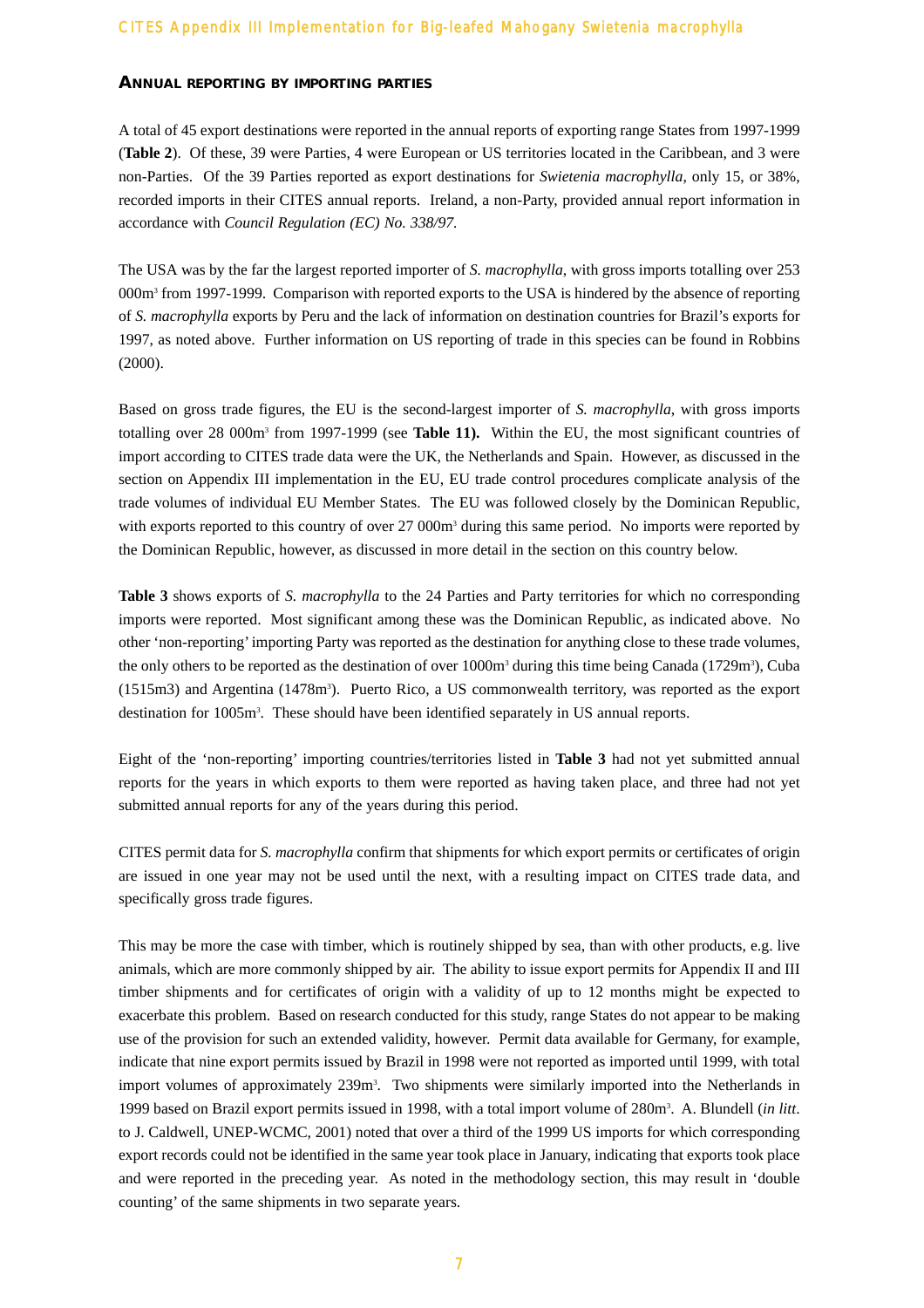#### **ANNUAL REPORTING BY IMPORTING PARTIES**

A total of 45 export destinations were reported in the annual reports of exporting range States from 1997-1999 (**Table 2**). Of these, 39 were Parties, 4 were European or US territories located in the Caribbean, and 3 were non-Parties. Of the 39 Parties reported as export destinations for *Swietenia macrophylla*, only 15, or 38%, recorded imports in their CITES annual reports. Ireland, a non-Party, provided annual report information in accordance with *Council Regulation (EC) No. 338/97.*

The USA was by the far the largest reported importer of *S. macrophylla*, with gross imports totalling over 253 000m<sup>3</sup> from 1997-1999. Comparison with reported exports to the USA is hindered by the absence of reporting of *S. macrophylla* exports by Peru and the lack of information on destination countries for Brazil's exports for 1997, as noted above. Further information on US reporting of trade in this species can be found in Robbins (2000).

Based on gross trade figures, the EU is the second-largest importer of *S. macrophylla*, with gross imports totalling over 28 000m3 from 1997-1999 (see **Table 11).** Within the EU, the most significant countries of import according to CITES trade data were the UK, the Netherlands and Spain. However, as discussed in the section on Appendix III implementation in the EU, EU trade control procedures complicate analysis of the trade volumes of individual EU Member States. The EU was followed closely by the Dominican Republic, with exports reported to this country of over 27 000m<sup>3</sup> during this same period. No imports were reported by the Dominican Republic, however, as discussed in more detail in the section on this country below.

**Table 3** shows exports of *S. macrophylla* to the 24 Parties and Party territories for which no corresponding imports were reported. Most significant among these was the Dominican Republic, as indicated above. No other 'non-reporting' importing Party was reported as the destination for anything close to these trade volumes, the only others to be reported as the destination of over  $1000m<sup>3</sup>$  during this time being Canada (1729m<sup>3</sup>), Cuba (1515m3) and Argentina (1478m<sup>3</sup>). Puerto Rico, a US commonwealth territory, was reported as the export destination for 1005m3 . These should have been identified separately in US annual reports.

Eight of the 'non-reporting' importing countries/territories listed in **Table 3** had not yet submitted annual reports for the years in which exports to them were reported as having taken place, and three had not yet submitted annual reports for any of the years during this period.

CITES permit data for *S. macrophylla* confirm that shipments for which export permits or certificates of origin are issued in one year may not be used until the next, with a resulting impact on CITES trade data, and specifically gross trade figures.

This may be more the case with timber, which is routinely shipped by sea, than with other products, e.g. live animals, which are more commonly shipped by air. The ability to issue export permits for Appendix II and III timber shipments and for certificates of origin with a validity of up to 12 months might be expected to exacerbate this problem. Based on research conducted for this study, range States do not appear to be making use of the provision for such an extended validity, however. Permit data available for Germany, for example, indicate that nine export permits issued by Brazil in 1998 were not reported as imported until 1999, with total import volumes of approximately 239m<sup>3</sup>. Two shipments were similarly imported into the Netherlands in 1999 based on Brazil export permits issued in 1998, with a total import volume of 280m3 . A. Blundell (*in litt*. to J. Caldwell, UNEP-WCMC, 2001) noted that over a third of the 1999 US imports for which corresponding export records could not be identified in the same year took place in January, indicating that exports took place and were reported in the preceding year. As noted in the methodology section, this may result in 'double counting' of the same shipments in two separate years.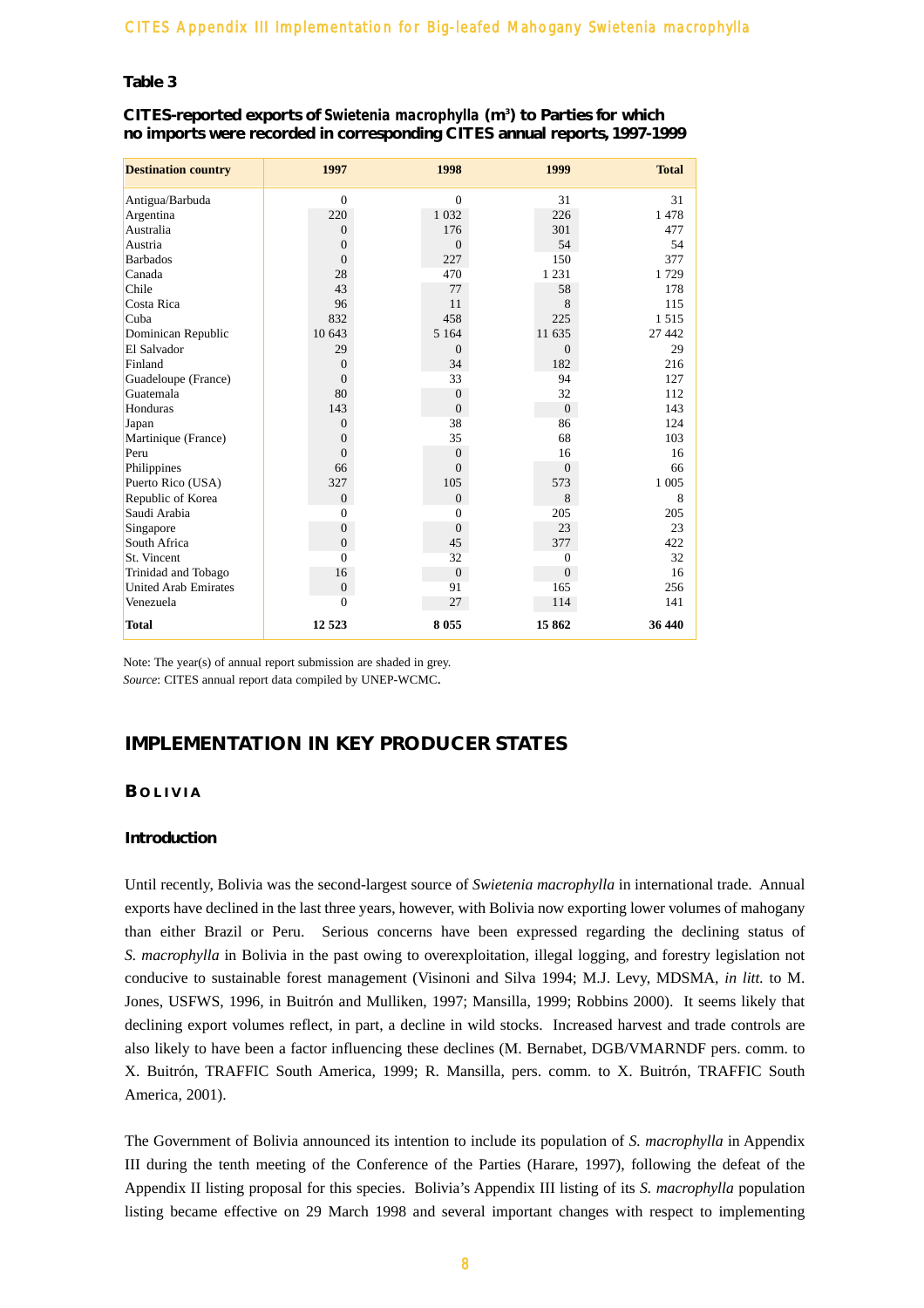#### **Table 3**

#### **CITES-reported exports of** *Swietenia macrophylla* **(m3 ) to Parties for which no imports were recorded in corresponding CITES annual reports, 1997-1999**

| <b>Destination country</b>  | 1997             | 1998           | 1999           | <b>Total</b> |
|-----------------------------|------------------|----------------|----------------|--------------|
| Antigua/Barbuda             | $\Omega$         | $\Omega$       | 31             | 31           |
| Argentina                   | 220              | 1 0 3 2        | 226            | 1478         |
| Australia                   | $\Omega$         | 176            | 301            | 477          |
| Austria                     | $\overline{0}$   | $\Omega$       | 54             | 54           |
| <b>Barbados</b>             | $\overline{0}$   | 227            | 150            | 377          |
| Canada                      | 28               | 470            | 1 2 3 1        | 1729         |
| Chile                       | 43               | 77             | 58             | 178          |
| Costa Rica                  | 96               | 11             | 8              | 115          |
| Cuba                        | 832              | 458            | 225            | 1515         |
| Dominican Republic          | 10 643           | 5 1 6 4        | 11 635         | 27 442       |
| El Salvador                 | 29               | $\Omega$       | $\overline{0}$ | 29           |
| Finland                     | $\overline{0}$   | 34             | 182            | 216          |
| Guadeloupe (France)         | $\overline{0}$   | 33             | 94             | 127          |
| Guatemala                   | 80               | $\overline{0}$ | 32             | 112          |
| Honduras                    | 143              | $\mathbf{0}$   | $\overline{0}$ | 143          |
| Japan                       | $\overline{0}$   | 38             | 86             | 124          |
| Martinique (France)         | $\overline{0}$   | 35             | 68             | 103          |
| Peru                        | $\theta$         | $\Omega$       | 16             | 16           |
| Philippines                 | 66               | $\Omega$       | $\overline{0}$ | 66           |
| Puerto Rico (USA)           | 327              | 105            | 573            | 1 0 0 5      |
| Republic of Korea           | $\overline{0}$   | $\Omega$       | 8              | 8            |
| Saudi Arabia                | $\Omega$         | $\Omega$       | 205            | 205          |
| Singapore                   | $\overline{0}$   | $\Omega$       | 23             | 23           |
| South Africa                | $\mathbf{0}$     | 45             | 377            | 422          |
| St. Vincent                 | $\Omega$         | 32             | $\theta$       | 32           |
| Trinidad and Tobago         | 16               | $\theta$       | $\overline{0}$ | 16           |
| <b>United Arab Emirates</b> | $\boldsymbol{0}$ | 91             | 165            | 256          |
| Venezuela                   | $\Omega$         | 27             | 114            | 141          |
| <b>Total</b>                | 12 5 23          | 8055           | 15862          | 36 440       |

Note: The year(s) of annual report submission are shaded in grey. *Source*: CITES annual report data compiled by UNEP-WCMC.

# **IMPLEMENTATION IN KEY PRODUCER STATES**

#### **B OLIVIA**

#### **Introduction**

Until recently, Bolivia was the second-largest source of *Swietenia macrophylla* in international trade. Annual exports have declined in the last three years, however, with Bolivia now exporting lower volumes of mahogany than either Brazil or Peru. Serious concerns have been expressed regarding the declining status of *S. macrophylla* in Bolivia in the past owing to overexploitation, illegal logging, and forestry legislation not conducive to sustainable forest management (Visinoni and Silva 1994; M.J. Levy, MDSMA, *in litt.* to M. Jones, USFWS, 1996, in Buitrón and Mulliken, 1997; Mansilla, 1999; Robbins 2000). It seems likely that declining export volumes reflect, in part, a decline in wild stocks. Increased harvest and trade controls are also likely to have been a factor influencing these declines (M. Bernabet, DGB/VMARNDF pers. comm. to X. Buitrón, TRAFFIC South America, 1999; R. Mansilla, pers. comm. to X. Buitrón, TRAFFIC South America, 2001).

The Government of Bolivia announced its intention to include its population of *S. macrophylla* in Appendix III during the tenth meeting of the Conference of the Parties (Harare, 1997), following the defeat of the Appendix II listing proposal for this species. Bolivia's Appendix III listing of its *S. macrophylla* population listing became effective on 29 March 1998 and several important changes with respect to implementing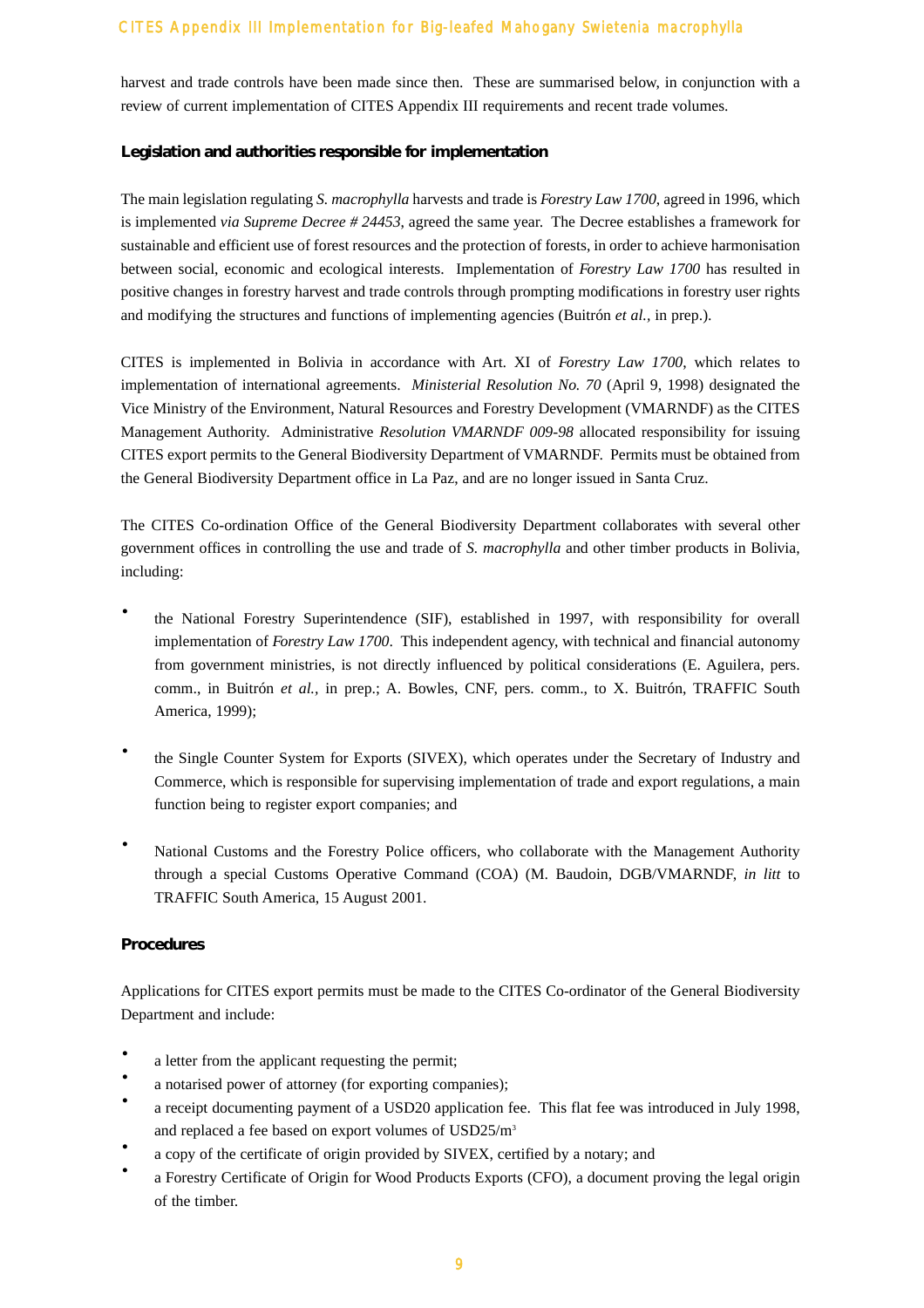harvest and trade controls have been made since then. These are summarised below, in conjunction with a review of current implementation of CITES Appendix III requirements and recent trade volumes.

#### **Legislation and authorities responsible for implementation**

The main legislation regulating *S. macrophylla* harvests and trade is *Forestry Law 1700*, agreed in 1996, which is implemented *via Supreme Decree # 24453*, agreed the same year. The Decree establishes a framework for sustainable and efficient use of forest resources and the protection of forests, in order to achieve harmonisation between social, economic and ecological interests. Implementation of *Forestry Law 1700* has resulted in positive changes in forestry harvest and trade controls through prompting modifications in forestry user rights and modifying the structures and functions of implementing agencies (Buitrón *et al.,* in prep.).

CITES is implemented in Bolivia in accordance with Art. XI of *Forestry Law 1700*, which relates to implementation of international agreements. *Ministerial Resolution No. 70* (April 9, 1998) designated the Vice Ministry of the Environment, Natural Resources and Forestry Development (VMARNDF) as the CITES Management Authority. Administrative *Resolution VMARNDF 009-98* allocated responsibility for issuing CITES export permits to the General Biodiversity Department of VMARNDF. Permits must be obtained from the General Biodiversity Department office in La Paz, and are no longer issued in Santa Cruz.

The CITES Co-ordination Office of the General Biodiversity Department collaborates with several other government offices in controlling the use and trade of *S. macrophylla* and other timber products in Bolivia, including:

- the National Forestry Superintendence (SIF), established in 1997, with responsibility for overall implementation of *Forestry Law 1700*. This independent agency, with technical and financial autonomy from government ministries, is not directly influenced by political considerations (E. Aguilera, pers. comm., in Buitrón *et al.,* in prep.; A. Bowles, CNF, pers. comm., to X. Buitrón, TRAFFIC South America, 1999);
- · the Single Counter System for Exports (SIVEX), which operates under the Secretary of Industry and Commerce, which is responsible for supervising implementation of trade and export regulations, a main function being to register export companies; and
- National Customs and the Forestry Police officers, who collaborate with the Management Authority through a special Customs Operative Command (COA) (M. Baudoin, DGB/VMARNDF, *in litt* to TRAFFIC South America, 15 August 2001.

#### **Procedures**

Applications for CITES export permits must be made to the CITES Co-ordinator of the General Biodiversity Department and include:

- a letter from the applicant requesting the permit;
- a notarised power of attorney (for exporting companies);
- · a receipt documenting payment of a USD20 application fee. This flat fee was introduced in July 1998, and replaced a fee based on export volumes of USD25/m3
- a copy of the certificate of origin provided by SIVEX, certified by a notary; and
- a Forestry Certificate of Origin for Wood Products Exports (CFO), a document proving the legal origin of the timber.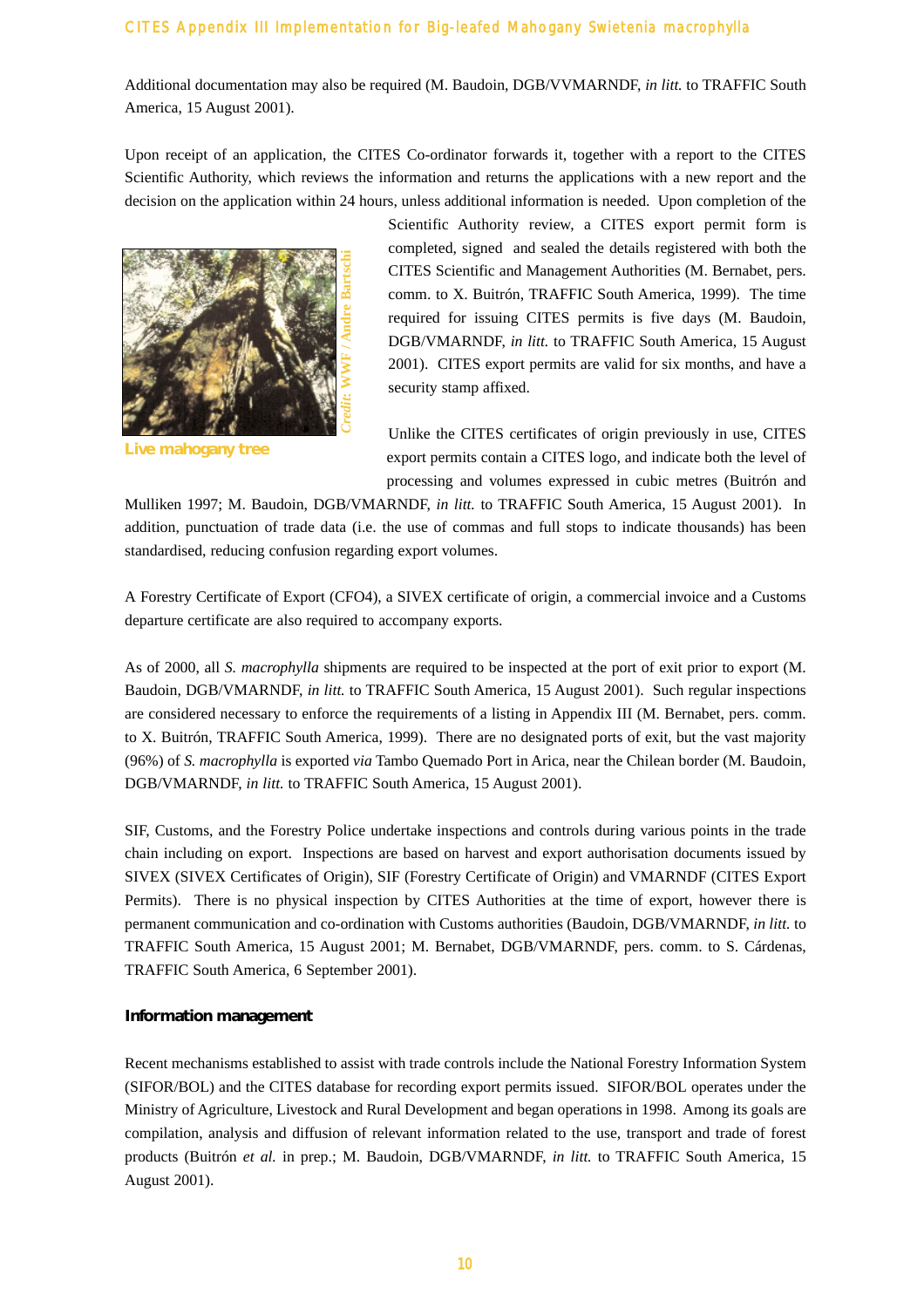Additional documentation may also be required (M. Baudoin, DGB/VVMARNDF, *in litt.* to TRAFFIC South America, 15 August 2001).

Upon receipt of an application, the CITES Co-ordinator forwards it, together with a report to the CITES Scientific Authority, which reviews the information and returns the applications with a new report and the decision on the application within 24 hours, unless additional information is needed. Upon completion of the



**Live mahogany tree**

Scientific Authority review, a CITES export permit form is completed, signed and sealed the details registered with both the CITES Scientific and Management Authorities (M. Bernabet, pers. comm. to X. Buitrón, TRAFFIC South America, 1999). The time required for issuing CITES permits is five days (M. Baudoin, DGB/VMARNDF, *in litt.* to TRAFFIC South America, 15 August 2001). CITES export permits are valid for six months, and have a security stamp affixed.

Unlike the CITES certificates of origin previously in use, CITES export permits contain a CITES logo, and indicate both the level of processing and volumes expressed in cubic metres (Buitrón and

Mulliken 1997; M. Baudoin, DGB/VMARNDF, *in litt.* to TRAFFIC South America, 15 August 2001). In addition, punctuation of trade data (i.e. the use of commas and full stops to indicate thousands) has been standardised, reducing confusion regarding export volumes.

A Forestry Certificate of Export (CFO4), a SIVEX certificate of origin, a commercial invoice and a Customs departure certificate are also required to accompany exports.

As of 2000, all *S. macrophylla* shipments are required to be inspected at the port of exit prior to export (M. Baudoin, DGB/VMARNDF, *in litt.* to TRAFFIC South America, 15 August 2001). Such regular inspections are considered necessary to enforce the requirements of a listing in Appendix III (M. Bernabet, pers. comm. to X. Buitrón, TRAFFIC South America, 1999). There are no designated ports of exit, but the vast majority (96%) of *S. macrophylla* is exported *via* Tambo Quemado Port in Arica, near the Chilean border (M. Baudoin, DGB/VMARNDF, *in litt.* to TRAFFIC South America, 15 August 2001).

SIF, Customs, and the Forestry Police undertake inspections and controls during various points in the trade chain including on export. Inspections are based on harvest and export authorisation documents issued by SIVEX (SIVEX Certificates of Origin), SIF (Forestry Certificate of Origin) and VMARNDF (CITES Export Permits). There is no physical inspection by CITES Authorities at the time of export, however there is permanent communication and co-ordination with Customs authorities (Baudoin, DGB/VMARNDF, *in litt.* to TRAFFIC South America, 15 August 2001; M. Bernabet, DGB/VMARNDF, pers. comm. to S. Cárdenas, TRAFFIC South America, 6 September 2001).

#### **Information management**

Recent mechanisms established to assist with trade controls include the National Forestry Information System (SIFOR/BOL) and the CITES database for recording export permits issued. SIFOR/BOL operates under the Ministry of Agriculture, Livestock and Rural Development and began operations in 1998. Among its goals are compilation, analysis and diffusion of relevant information related to the use, transport and trade of forest products (Buitrón *et al.* in prep.; M. Baudoin, DGB/VMARNDF, *in litt.* to TRAFFIC South America, 15 August 2001).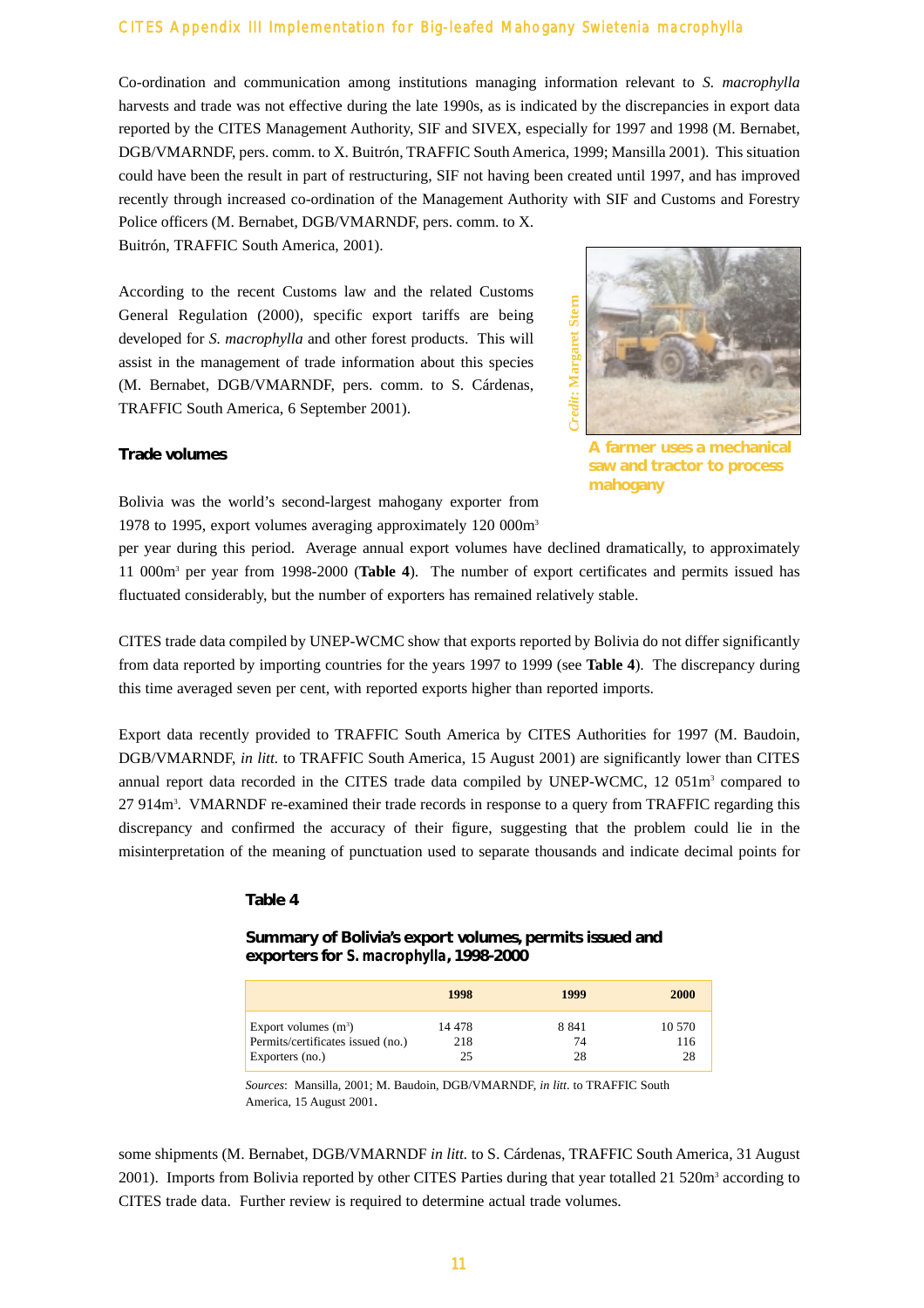Co-ordination and communication among institutions managing information relevant to *S. macrophylla* harvests and trade was not effective during the late 1990s, as is indicated by the discrepancies in export data reported by the CITES Management Authority, SIF and SIVEX, especially for 1997 and 1998 (M. Bernabet, DGB/VMARNDF, pers. comm. to X. Buitrón, TRAFFIC South America, 1999; Mansilla 2001). This situation could have been the result in part of restructuring, SIF not having been created until 1997, and has improved recently through increased co-ordination of the Management Authority with SIF and Customs and Forestry Police officers (M. Bernabet, DGB/VMARNDF, pers. comm. to X.

Buitrón, TRAFFIC South America, 2001).

According to the recent Customs law and the related Customs General Regulation (2000), specific export tariffs are being developed for *S. macrophylla* and other forest products. This will assist in the management of trade information about this species (M. Bernabet, DGB/VMARNDF, pers. comm. to S. Cárdenas, TRAFFIC South America, 6 September 2001).



**A farmer uses a mechanical saw and tractor to process mahogany**

#### **Trade volumes**

Bolivia was the world's second-largest mahogany exporter from 1978 to 1995, export volumes averaging approximately 120 000m3

per year during this period. Average annual export volumes have declined dramatically, to approximately 11 000m3 per year from 1998-2000 (**Table 4**). The number of export certificates and permits issued has fluctuated considerably, but the number of exporters has remained relatively stable.

CITES trade data compiled by UNEP-WCMC show that exports reported by Bolivia do not differ significantly from data reported by importing countries for the years 1997 to 1999 (see **Table 4**). The discrepancy during this time averaged seven per cent, with reported exports higher than reported imports.

Export data recently provided to TRAFFIC South America by CITES Authorities for 1997 (M. Baudoin, DGB/VMARNDF, *in litt.* to TRAFFIC South America, 15 August 2001) are significantly lower than CITES annual report data recorded in the CITES trade data compiled by UNEP-WCMC, 12 051m<sup>3</sup> compared to 27 914m<sup>3</sup>. VMARNDF re-examined their trade records in response to a query from TRAFFIC regarding this discrepancy and confirmed the accuracy of their figure, suggesting that the problem could lie in the misinterpretation of the meaning of punctuation used to separate thousands and indicate decimal points for

#### **Table 4**

**Summary of Bolivia's export volumes, permits issued and exporters for** *S. macrophylla***, 1998-2000**

|                                                                                | 1998          | 1999                | <b>2000</b>         |
|--------------------------------------------------------------------------------|---------------|---------------------|---------------------|
| Export volumes $(m^3)$<br>Permits/certificates issued (no.)<br>Exporters (no.) | 14 478<br>218 | 8 8 4 1<br>74<br>28 | 10 570<br>116<br>28 |

*Sources*: Mansilla, 2001; M. Baudoin, DGB/VMARNDF, *in litt*. to TRAFFIC South America, 15 August 2001.

some shipments (M. Bernabet, DGB/VMARNDF *in litt.* to S. Cárdenas, TRAFFIC South America, 31 August 2001). Imports from Bolivia reported by other CITES Parties during that year totalled 21 520m<sup>3</sup> according to CITES trade data. Further review is required to determine actual trade volumes.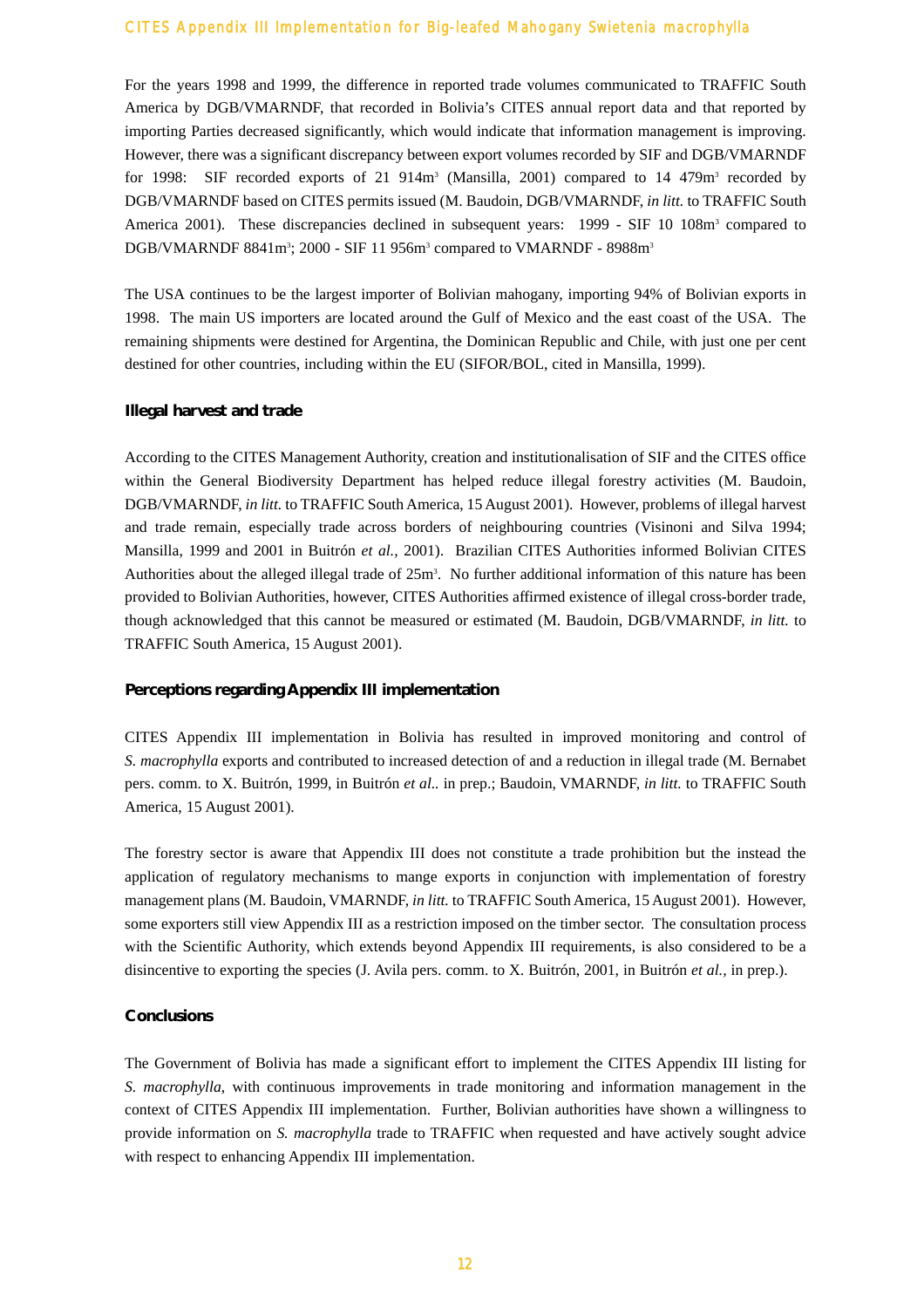For the years 1998 and 1999, the difference in reported trade volumes communicated to TRAFFIC South America by DGB/VMARNDF, that recorded in Bolivia's CITES annual report data and that reported by importing Parties decreased significantly, which would indicate that information management is improving. However, there was a significant discrepancy between export volumes recorded by SIF and DGB/VMARNDF for 1998: SIF recorded exports of 21  $914m<sup>3</sup>$  (Mansilla, 2001) compared to 14 479 $m<sup>3</sup>$  recorded by DGB/VMARNDF based on CITES permits issued (M. Baudoin, DGB/VMARNDF, *in litt.* to TRAFFIC South America 2001). These discrepancies declined in subsequent years: 1999 - SIF 10 108m<sup>3</sup> compared to DGB/VMARNDF 8841m<sup>3</sup>; 2000 - SIF 11 956m<sup>3</sup> compared to VMARNDF - 8988m<sup>3</sup>

The USA continues to be the largest importer of Bolivian mahogany, importing 94% of Bolivian exports in 1998. The main US importers are located around the Gulf of Mexico and the east coast of the USA. The remaining shipments were destined for Argentina, the Dominican Republic and Chile, with just one per cent destined for other countries, including within the EU (SIFOR/BOL, cited in Mansilla, 1999).

#### **Illegal harvest and trade**

According to the CITES Management Authority, creation and institutionalisation of SIF and the CITES office within the General Biodiversity Department has helped reduce illegal forestry activities (M. Baudoin, DGB/VMARNDF, *in litt.* to TRAFFIC South America, 15 August 2001). However, problems of illegal harvest and trade remain, especially trade across borders of neighbouring countries (Visinoni and Silva 1994; Mansilla, 1999 and 2001 in Buitrón *et al.,* 2001). Brazilian CITES Authorities informed Bolivian CITES Authorities about the alleged illegal trade of  $25m<sup>3</sup>$ . No further additional information of this nature has been provided to Bolivian Authorities, however, CITES Authorities affirmed existence of illegal cross-border trade, though acknowledged that this cannot be measured or estimated (M. Baudoin, DGB/VMARNDF, *in litt.* to TRAFFIC South America, 15 August 2001).

#### **Perceptions regarding Appendix III implementation**

CITES Appendix III implementation in Bolivia has resulted in improved monitoring and control of *S. macrophylla* exports and contributed to increased detection of and a reduction in illegal trade (M. Bernabet pers. comm. to X. Buitrón, 1999, in Buitrón *et al..* in prep.; Baudoin, VMARNDF, *in litt.* to TRAFFIC South America, 15 August 2001).

The forestry sector is aware that Appendix III does not constitute a trade prohibition but the instead the application of regulatory mechanisms to mange exports in conjunction with implementation of forestry management plans (M. Baudoin, VMARNDF, *in litt.* to TRAFFIC South America, 15 August 2001). However, some exporters still view Appendix III as a restriction imposed on the timber sector. The consultation process with the Scientific Authority, which extends beyond Appendix III requirements, is also considered to be a disincentive to exporting the species (J. Avila pers. comm. to X. Buitrón, 2001, in Buitrón *et al.,* in prep.).

#### **Conclusions**

The Government of Bolivia has made a significant effort to implement the CITES Appendix III listing for *S. macrophylla*, with continuous improvements in trade monitoring and information management in the context of CITES Appendix III implementation. Further, Bolivian authorities have shown a willingness to provide information on *S. macrophylla* trade to TRAFFIC when requested and have actively sought advice with respect to enhancing Appendix III implementation.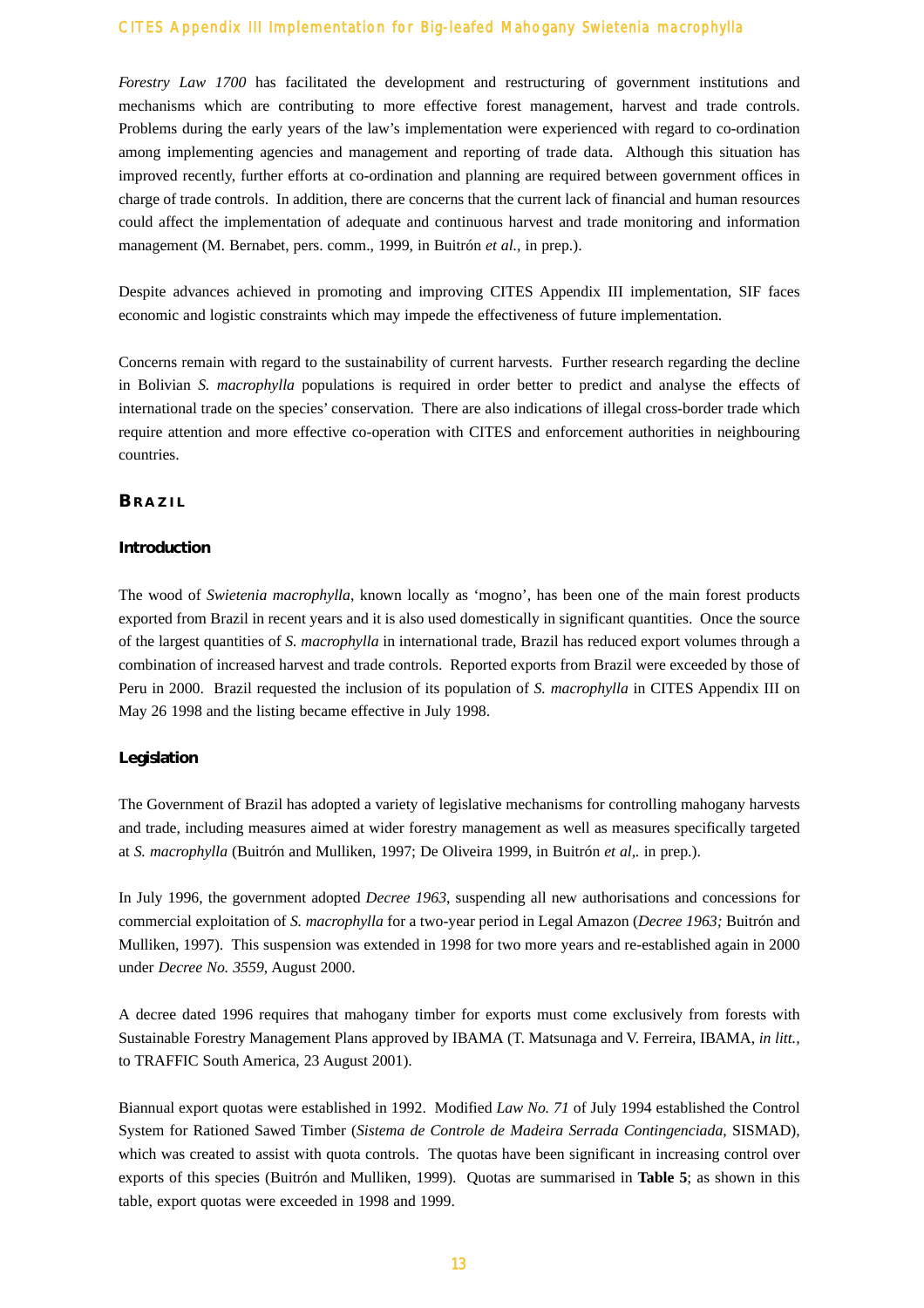*Forestry Law 1700* has facilitated the development and restructuring of government institutions and mechanisms which are contributing to more effective forest management, harvest and trade controls. Problems during the early years of the law's implementation were experienced with regard to co-ordination among implementing agencies and management and reporting of trade data. Although this situation has improved recently, further efforts at co-ordination and planning are required between government offices in charge of trade controls. In addition, there are concerns that the current lack of financial and human resources could affect the implementation of adequate and continuous harvest and trade monitoring and information management (M. Bernabet, pers. comm., 1999, in Buitrón *et al.,* in prep.).

Despite advances achieved in promoting and improving CITES Appendix III implementation, SIF faces economic and logistic constraints which may impede the effectiveness of future implementation.

Concerns remain with regard to the sustainability of current harvests. Further research regarding the decline in Bolivian *S. macrophylla* populations is required in order better to predict and analyse the effects of international trade on the species' conservation. There are also indications of illegal cross-border trade which require attention and more effective co-operation with CITES and enforcement authorities in neighbouring countries.

#### **BRAZIL**

#### **Introduction**

The wood of *Swietenia macrophylla*, known locally as 'mogno', has been one of the main forest products exported from Brazil in recent years and it is also used domestically in significant quantities. Once the source of the largest quantities of *S. macrophylla* in international trade, Brazil has reduced export volumes through a combination of increased harvest and trade controls. Reported exports from Brazil were exceeded by those of Peru in 2000. Brazil requested the inclusion of its population of *S. macrophylla* in CITES Appendix III on May 26 1998 and the listing became effective in July 1998.

#### **Legislation**

The Government of Brazil has adopted a variety of legislative mechanisms for controlling mahogany harvests and trade, including measures aimed at wider forestry management as well as measures specifically targeted at *S. macrophylla* (Buitrón and Mulliken, 1997; De Oliveira 1999, in Buitrón *et al,.* in prep.).

In July 1996, the government adopted *Decree 1963*, suspending all new authorisations and concessions for commercial exploitation of *S. macrophylla* for a two-year period in Legal Amazon (*Decree 1963;* Buitrón and Mulliken, 1997). This suspension was extended in 1998 for two more years and re-established again in 2000 under *Decree No. 3559*, August 2000.

A decree dated 1996 requires that mahogany timber for exports must come exclusively from forests with Sustainable Forestry Management Plans approved by IBAMA (T. Matsunaga and V. Ferreira, IBAMA, *in litt.,* to TRAFFIC South America, 23 August 2001).

Biannual export quotas were established in 1992. Modified *Law No. 71* of July 1994 established the Control System for Rationed Sawed Timber (*Sistema de Controle de Madeira Serrada Contingenciada*, SISMAD), which was created to assist with quota controls. The quotas have been significant in increasing control over exports of this species (Buitrón and Mulliken, 1999). Quotas are summarised in **Table 5**; as shown in this table, export quotas were exceeded in 1998 and 1999.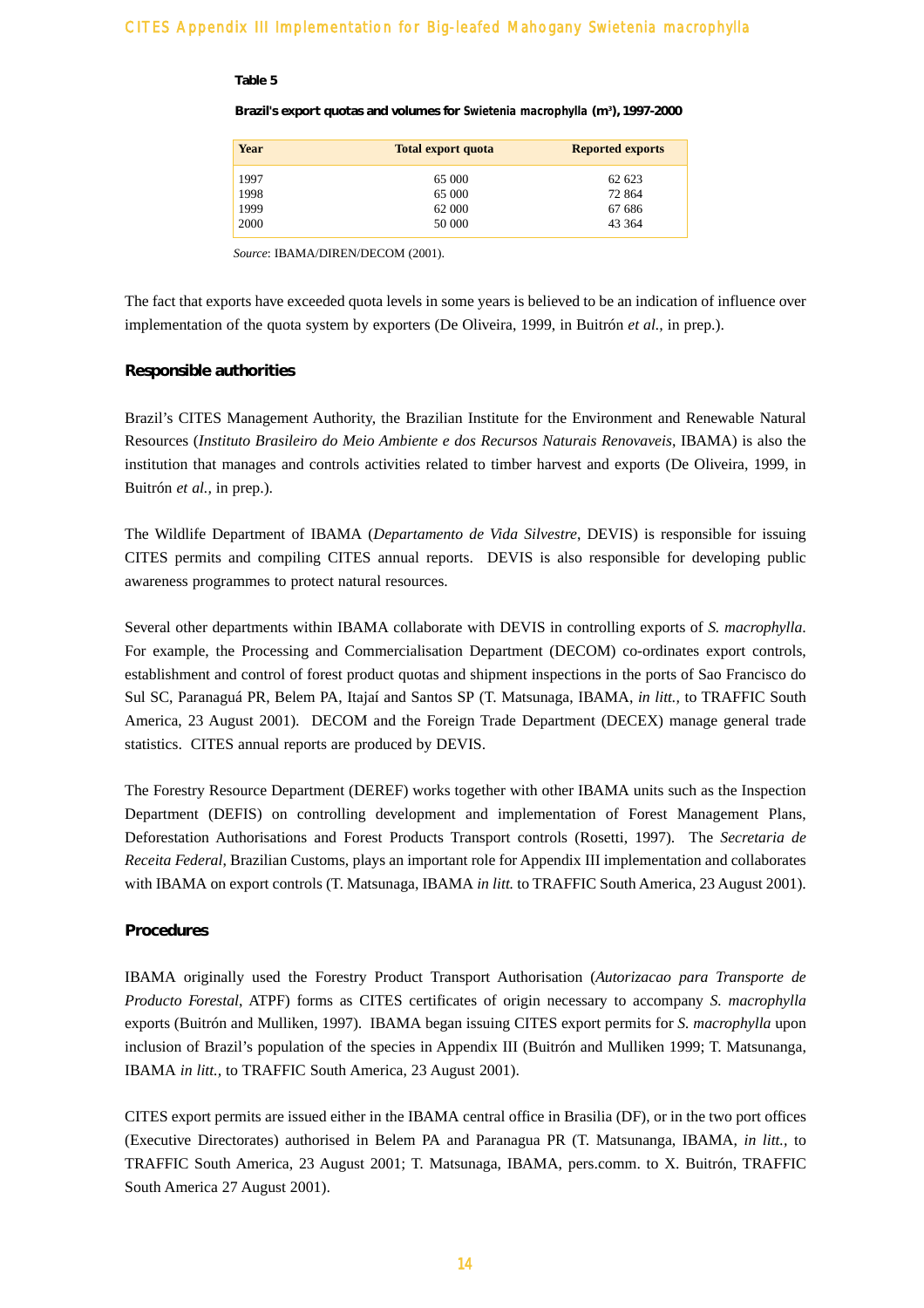#### **Table 5**

#### **Brazil's export quotas and volumes for** *Swietenia macrophylla* **(m3 ), 1997-2000**

| Year | <b>Total export quota</b> | <b>Reported exports</b> |
|------|---------------------------|-------------------------|
| 1997 | 65 000                    | 62 623                  |
| 1998 | 65 000                    | 72 864                  |
| 1999 | 62 000                    | 67 686                  |
| 2000 | 50 000                    | 43 364                  |

*Source*: IBAMA/DIREN/DECOM (2001).

The fact that exports have exceeded quota levels in some years is believed to be an indication of influence over implementation of the quota system by exporters (De Oliveira, 1999, in Buitrón *et al.,* in prep.).

#### **Responsible authorities**

Brazil's CITES Management Authority, the Brazilian Institute for the Environment and Renewable Natural Resources (*Instituto Brasileiro do Meio Ambiente e dos Recursos Naturais Renovaveis*, IBAMA) is also the institution that manages and controls activities related to timber harvest and exports (De Oliveira, 1999, in Buitrón *et al.,* in prep.).

The Wildlife Department of IBAMA (*Departamento de Vida Silvestre*, DEVIS) is responsible for issuing CITES permits and compiling CITES annual reports. DEVIS is also responsible for developing public awareness programmes to protect natural resources.

Several other departments within IBAMA collaborate with DEVIS in controlling exports of *S. macrophylla*. For example, the Processing and Commercialisation Department (DECOM) co-ordinates export controls, establishment and control of forest product quotas and shipment inspections in the ports of Sao Francisco do Sul SC, Paranaguá PR, Belem PA, Itajaí and Santos SP (T. Matsunaga, IBAMA, *in litt.,* to TRAFFIC South America, 23 August 2001). DECOM and the Foreign Trade Department (DECEX) manage general trade statistics. CITES annual reports are produced by DEVIS.

The Forestry Resource Department (DEREF) works together with other IBAMA units such as the Inspection Department (DEFIS) on controlling development and implementation of Forest Management Plans, Deforestation Authorisations and Forest Products Transport controls (Rosetti, 1997). The *Secretaria de Receita Federal*, Brazilian Customs, plays an important role for Appendix III implementation and collaborates with IBAMA on export controls (T. Matsunaga, IBAMA *in litt.* to TRAFFIC South America, 23 August 2001).

#### **Procedures**

IBAMA originally used the Forestry Product Transport Authorisation (*Autorizacao para Transporte de Producto Forestal*, ATPF) forms as CITES certificates of origin necessary to accompany *S. macrophylla* exports (Buitrón and Mulliken, 1997). IBAMA began issuing CITES export permits for *S. macrophylla* upon inclusion of Brazil's population of the species in Appendix III (Buitrón and Mulliken 1999; T. Matsunanga, IBAMA *in litt.,* to TRAFFIC South America, 23 August 2001).

CITES export permits are issued either in the IBAMA central office in Brasilia (DF), or in the two port offices (Executive Directorates) authorised in Belem PA and Paranagua PR (T. Matsunanga, IBAMA, *in litt.,* to TRAFFIC South America, 23 August 2001; T. Matsunaga, IBAMA, pers.comm. to X. Buitrón, TRAFFIC South America 27 August 2001).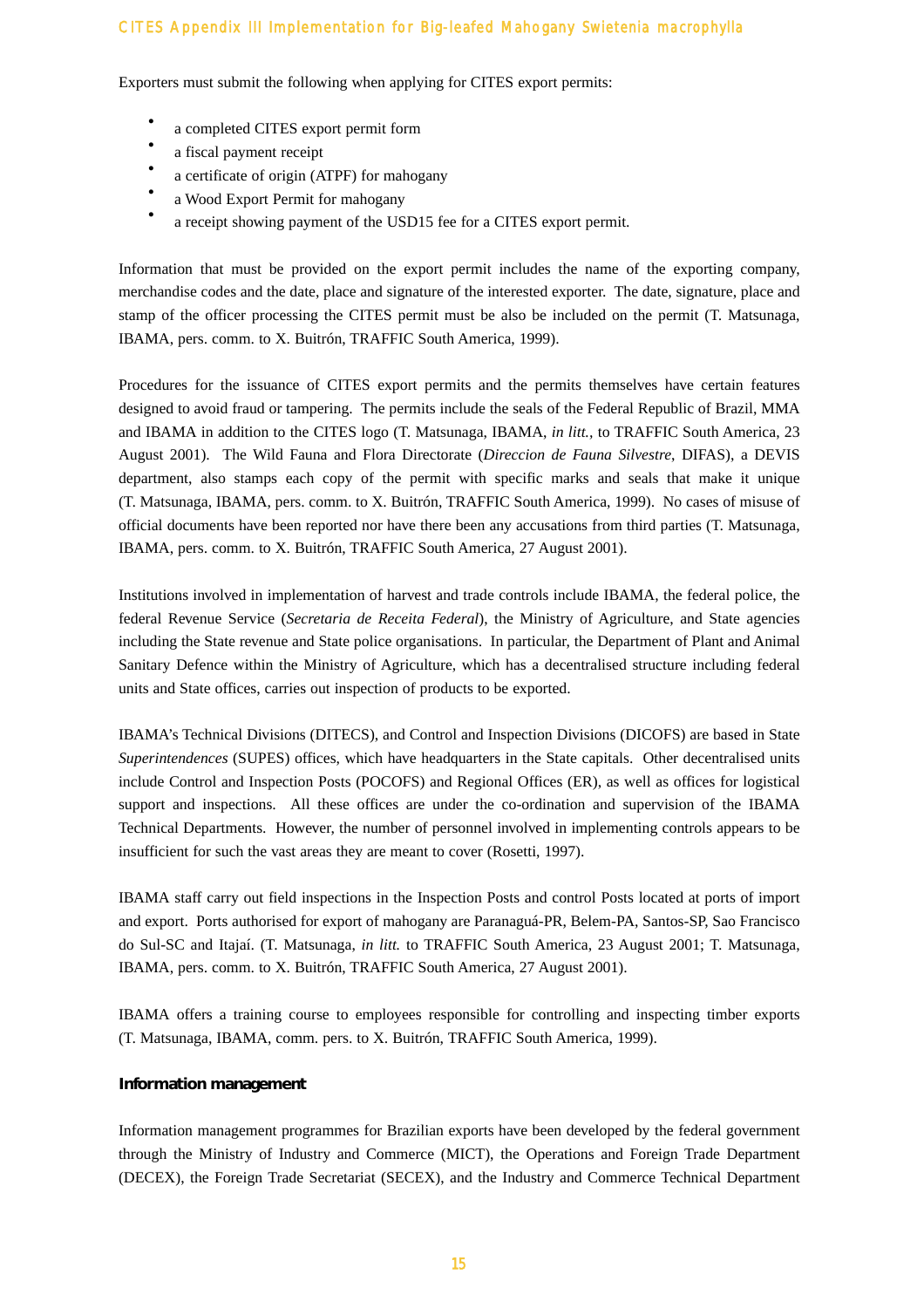Exporters must submit the following when applying for CITES export permits:

- a completed CITES export permit form
- a fiscal payment receipt
- a certificate of origin (ATPF) for mahogany<br>• a Weed Eurest Demit for mahogany
- a Wood Export Permit for mahogany
- a receipt showing payment of the USD15 fee for a CITES export permit.

Information that must be provided on the export permit includes the name of the exporting company, merchandise codes and the date, place and signature of the interested exporter. The date, signature, place and stamp of the officer processing the CITES permit must be also be included on the permit (T. Matsunaga, IBAMA, pers. comm. to X. Buitrón, TRAFFIC South America, 1999).

Procedures for the issuance of CITES export permits and the permits themselves have certain features designed to avoid fraud or tampering. The permits include the seals of the Federal Republic of Brazil, MMA and IBAMA in addition to the CITES logo (T. Matsunaga, IBAMA, *in litt.,* to TRAFFIC South America, 23 August 2001). The Wild Fauna and Flora Directorate (*Direccion de Fauna Silvestre*, DIFAS), a DEVIS department, also stamps each copy of the permit with specific marks and seals that make it unique (T. Matsunaga, IBAMA, pers. comm. to X. Buitrón, TRAFFIC South America, 1999). No cases of misuse of official documents have been reported nor have there been any accusations from third parties (T. Matsunaga, IBAMA, pers. comm. to X. Buitrón, TRAFFIC South America, 27 August 2001).

Institutions involved in implementation of harvest and trade controls include IBAMA, the federal police, the federal Revenue Service (*Secretaria de Receita Federal*), the Ministry of Agriculture, and State agencies including the State revenue and State police organisations. In particular, the Department of Plant and Animal Sanitary Defence within the Ministry of Agriculture, which has a decentralised structure including federal units and State offices, carries out inspection of products to be exported.

IBAMA's Technical Divisions (DITECS), and Control and Inspection Divisions (DICOFS) are based in State *Superintendences* (SUPES) offices, which have headquarters in the State capitals. Other decentralised units include Control and Inspection Posts (POCOFS) and Regional Offices (ER), as well as offices for logistical support and inspections. All these offices are under the co-ordination and supervision of the IBAMA Technical Departments. However, the number of personnel involved in implementing controls appears to be insufficient for such the vast areas they are meant to cover (Rosetti, 1997).

IBAMA staff carry out field inspections in the Inspection Posts and control Posts located at ports of import and export. Ports authorised for export of mahogany are Paranaguá-PR, Belem-PA, Santos-SP, Sao Francisco do Sul-SC and Itajaí. (T. Matsunaga, *in litt.* to TRAFFIC South America, 23 August 2001; T. Matsunaga, IBAMA, pers. comm. to X. Buitrón, TRAFFIC South America, 27 August 2001).

IBAMA offers a training course to employees responsible for controlling and inspecting timber exports (T. Matsunaga, IBAMA, comm. pers. to X. Buitrón, TRAFFIC South America, 1999).

# **Information management**

Information management programmes for Brazilian exports have been developed by the federal government through the Ministry of Industry and Commerce (MICT), the Operations and Foreign Trade Department (DECEX), the Foreign Trade Secretariat (SECEX), and the Industry and Commerce Technical Department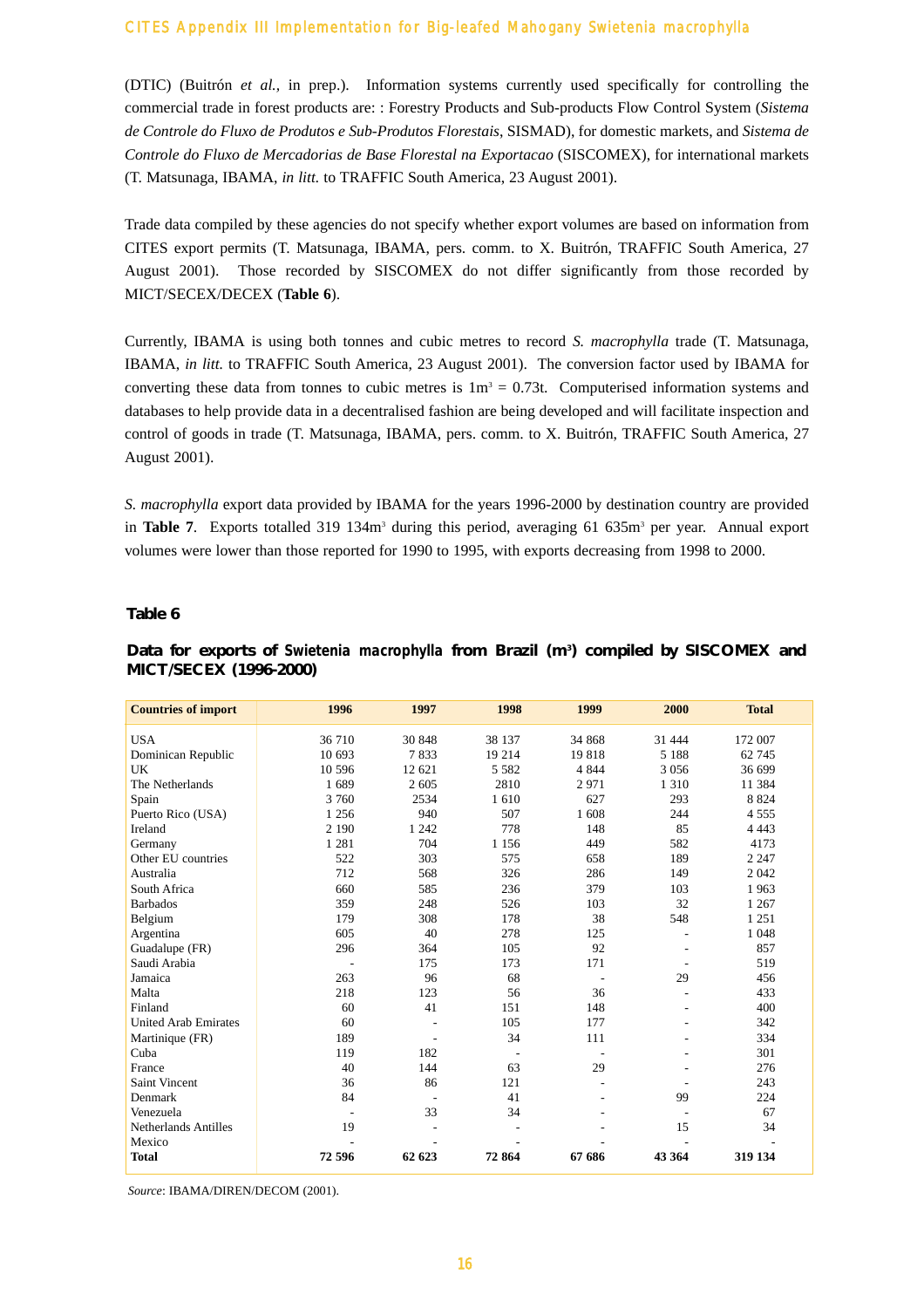(DTIC) (Buitrón *et al.,* in prep.). Information systems currently used specifically for controlling the commercial trade in forest products are: : Forestry Products and Sub-products Flow Control System (*Sistema de Controle do Fluxo de Produtos e Sub-Produtos Florestais*, SISMAD), for domestic markets, and *Sistema de Controle do Fluxo de Mercadorias de Base Florestal na Exportacao* (SISCOMEX), for international markets (T. Matsunaga, IBAMA, *in litt.* to TRAFFIC South America, 23 August 2001).

Trade data compiled by these agencies do not specify whether export volumes are based on information from CITES export permits (T. Matsunaga, IBAMA, pers. comm. to X. Buitrón, TRAFFIC South America, 27 August 2001). Those recorded by SISCOMEX do not differ significantly from those recorded by MICT/SECEX/DECEX (**Table 6**).

Currently, IBAMA is using both tonnes and cubic metres to record *S. macrophylla* trade (T. Matsunaga, IBAMA, *in litt.* to TRAFFIC South America, 23 August 2001). The conversion factor used by IBAMA for converting these data from tonnes to cubic metres is  $1m<sup>3</sup> = 0.73t$ . Computerised information systems and databases to help provide data in a decentralised fashion are being developed and will facilitate inspection and control of goods in trade (T. Matsunaga, IBAMA, pers. comm. to X. Buitrón, TRAFFIC South America, 27 August 2001).

*S. macrophylla* export data provided by IBAMA for the years 1996-2000 by destination country are provided in **Table 7.** Exports totalled 319 134m<sup>3</sup> during this period, averaging 61 635m<sup>3</sup> per year. Annual export volumes were lower than those reported for 1990 to 1995, with exports decreasing from 1998 to 2000.

#### **Table 6**

| <b>Countries of import</b>  | 1996                     | 1997           | 1998                     | 1999    | 2000                     | <b>Total</b> |
|-----------------------------|--------------------------|----------------|--------------------------|---------|--------------------------|--------------|
| <b>USA</b>                  | 36 710                   | 30 848         | 38 137                   | 34 868  | 31 444                   | 172 007      |
| Dominican Republic          | 10 693                   | 7833           | 19 214                   | 19818   | 5 1 8 8                  | 62 745       |
| UK                          | 10 596                   | 12 621         | 5 5 8 2                  | 4 8 4 4 | 3 0 5 6                  | 36 699       |
| The Netherlands             | 1689                     | 2 605          | 2810                     | 2971    | 1 3 1 0                  | 11 384       |
| Spain                       | 3 760                    | 2534           | 1610                     | 627     | 293                      | 8 8 2 4      |
| Puerto Rico (USA)           | 1 2 5 6                  | 940            | 507                      | 1608    | 244                      | 4 5 5 5      |
| Ireland                     | 2 1 9 0                  | 1 2 4 2        | 778                      | 148     | 85                       | 4 4 4 3      |
| Germany                     | 1 2 8 1                  | 704            | 1 1 5 6                  | 449     | 582                      | 4173         |
| Other EU countries          | 522                      | 303            | 575                      | 658     | 189                      | 2 2 4 7      |
| Australia                   | 712                      | 568            | 326                      | 286     | 149                      | 2 0 4 2      |
| South Africa                | 660                      | 585            | 236                      | 379     | 103                      | 1963         |
| <b>Barbados</b>             | 359                      | 248            | 526                      | 103     | 32                       | 1 2 6 7      |
| Belgium                     | 179                      | 308            | 178                      | 38      | 548                      | 1 2 5 1      |
| Argentina                   | 605                      | 40             | 278                      | 125     |                          | 1 0 4 8      |
| Guadalupe (FR)              | 296                      | 364            | 105                      | 92      |                          | 857          |
| Saudi Arabia                |                          | 175            | 173                      | 171     | $\overline{\phantom{a}}$ | 519          |
| Jamaica                     | 263                      | 96             | 68                       |         | 29                       | 456          |
| Malta                       | 218                      | 123            | 56                       | 36      | ٠                        | 433          |
| Finland                     | 60                       | 41             | 151                      | 148     |                          | 400          |
| <b>United Arab Emirates</b> | 60                       |                | 105                      | 177     |                          | 342          |
| Martinique (FR)             | 189                      | ٠              | 34                       | 111     |                          | 334          |
| Cuba                        | 119                      | 182            | $\overline{\phantom{a}}$ |         |                          | 301          |
| France                      | 40                       | 144            | 63                       | 29      |                          | 276          |
| Saint Vincent               | 36                       | 86             | 121                      |         |                          | 243          |
| Denmark                     | 84                       | $\overline{a}$ | 41                       |         | 99                       | 224          |
| Venezuela                   | $\overline{\phantom{a}}$ | 33             | 34                       |         | $\overline{\phantom{a}}$ | 67           |
| <b>Netherlands Antilles</b> | 19                       |                |                          |         | 15                       | 34           |
| Mexico                      |                          |                |                          |         |                          |              |
| <b>Total</b>                | 72 596                   | 62 623         | 72864                    | 67 686  | 43 364                   | 319 134      |

# **Data for exports of** *Swietenia macrophylla* **from Brazil (m3 ) compiled by SISCOMEX and MICT/SECEX (1996-2000)**

*Source*: IBAMA/DIREN/DECOM (2001).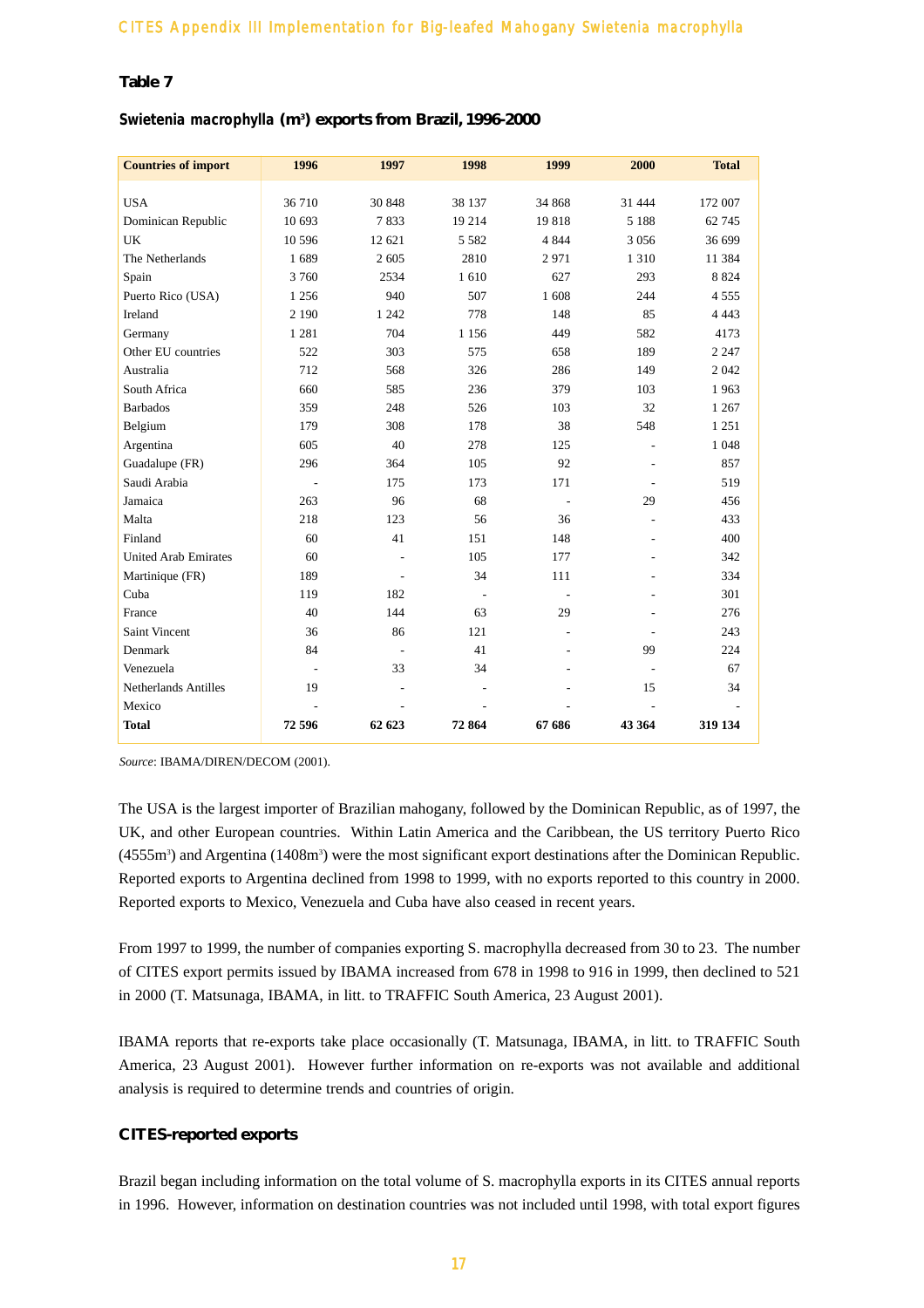# **Table 7**

# *Swietenia macrophylla* **(m3 ) exports from Brazil, 1996-2000**

| <b>Countries of import</b>  | 1996           | 1997                     | 1998           | 1999           | 2000                     | <b>Total</b> |
|-----------------------------|----------------|--------------------------|----------------|----------------|--------------------------|--------------|
| <b>USA</b>                  | 36 710         | 30 848                   | 38 137         | 34 868         | 31 444                   | 172 007      |
| Dominican Republic          | 10 693         | 7833                     | 19 214         | 19818          | 5 1 8 8                  | 62 745       |
| UK                          | 10 5 9 6       | 12 621                   | 5 5 8 2        | 4 8 4 4        | 3 0 5 6                  | 36 699       |
| The Netherlands             | 1689           | 2 605                    | 2810           | 2971           | 1 3 1 0                  | 11 384       |
| Spain                       | 3 7 6 0        | 2534                     | 1610           | 627            | 293                      | 8 8 2 4      |
| Puerto Rico (USA)           | 1 2 5 6        | 940                      | 507            | 1608           | 244                      | 4 5 5 5      |
| Ireland                     | 2 1 9 0        | 1 2 4 2                  | 778            | 148            | 85                       | 4 4 4 3      |
| Germany                     | 1 2 8 1        | 704                      | 1 1 5 6        | 449            | 582                      | 4173         |
| Other EU countries          | 522            | 303                      | 575            | 658            | 189                      | 2 2 4 7      |
| Australia                   | 712            | 568                      | 326            | 286            | 149                      | 2 0 4 2      |
| South Africa                | 660            | 585                      | 236            | 379            | 103                      | 1963         |
| <b>Barbados</b>             | 359            | 248                      | 526            | 103            | 32                       | 1 2 6 7      |
| Belgium                     | 179            | 308                      | 178            | 38             | 548                      | 1 2 5 1      |
| Argentina                   | 605            | 40                       | 278            | 125            | $\overline{a}$           | 1 0 4 8      |
| Guadalupe (FR)              | 296            | 364                      | 105            | 92             | ä,                       | 857          |
| Saudi Arabia                | L,             | 175                      | 173            | 171            |                          | 519          |
| Jamaica                     | 263            | 96                       | 68             | ÷,             | 29                       | 456          |
| Malta                       | 218            | 123                      | 56             | 36             | ÷,                       | 433          |
| Finland                     | 60             | 41                       | 151            | 148            |                          | 400          |
| <b>United Arab Emirates</b> | 60             | $\overline{a}$           | 105            | 177            |                          | 342          |
| Martinique (FR)             | 189            | $\overline{\phantom{a}}$ | 34             | 111            |                          | 334          |
| Cuba                        | 119            | 182                      | $\overline{a}$ | $\overline{a}$ | ٠                        | 301          |
| France                      | 40             | 144                      | 63             | 29             |                          | 276          |
| Saint Vincent               | 36             | 86                       | 121            | L,             |                          | 243          |
| Denmark                     | 84             | $\overline{a}$           | 41             |                | 99                       | 224          |
| Venezuela                   | L,             | 33                       | 34             |                | $\overline{\phantom{a}}$ | 67           |
| <b>Netherlands Antilles</b> | 19             | ÷,                       |                |                | 15                       | 34           |
| Mexico                      | $\overline{a}$ | $\overline{a}$           |                |                | $\overline{a}$           |              |
| <b>Total</b>                | 72 596         | 62 623                   | 72864          | 67 686         | 43 364                   | 319 134      |

*Source*: IBAMA/DIREN/DECOM (2001).

The USA is the largest importer of Brazilian mahogany, followed by the Dominican Republic, as of 1997, the UK, and other European countries. Within Latin America and the Caribbean, the US territory Puerto Rico (4555m<sup>3</sup>) and Argentina (1408m<sup>3</sup>) were the most significant export destinations after the Dominican Republic. Reported exports to Argentina declined from 1998 to 1999, with no exports reported to this country in 2000. Reported exports to Mexico, Venezuela and Cuba have also ceased in recent years.

From 1997 to 1999, the number of companies exporting S. macrophylla decreased from 30 to 23. The number of CITES export permits issued by IBAMA increased from 678 in 1998 to 916 in 1999, then declined to 521 in 2000 (T. Matsunaga, IBAMA, in litt. to TRAFFIC South America, 23 August 2001).

IBAMA reports that re-exports take place occasionally (T. Matsunaga, IBAMA, in litt. to TRAFFIC South America, 23 August 2001). However further information on re-exports was not available and additional analysis is required to determine trends and countries of origin.

#### **CITES-reported exports**

Brazil began including information on the total volume of S. macrophylla exports in its CITES annual reports in 1996. However, information on destination countries was not included until 1998, with total export figures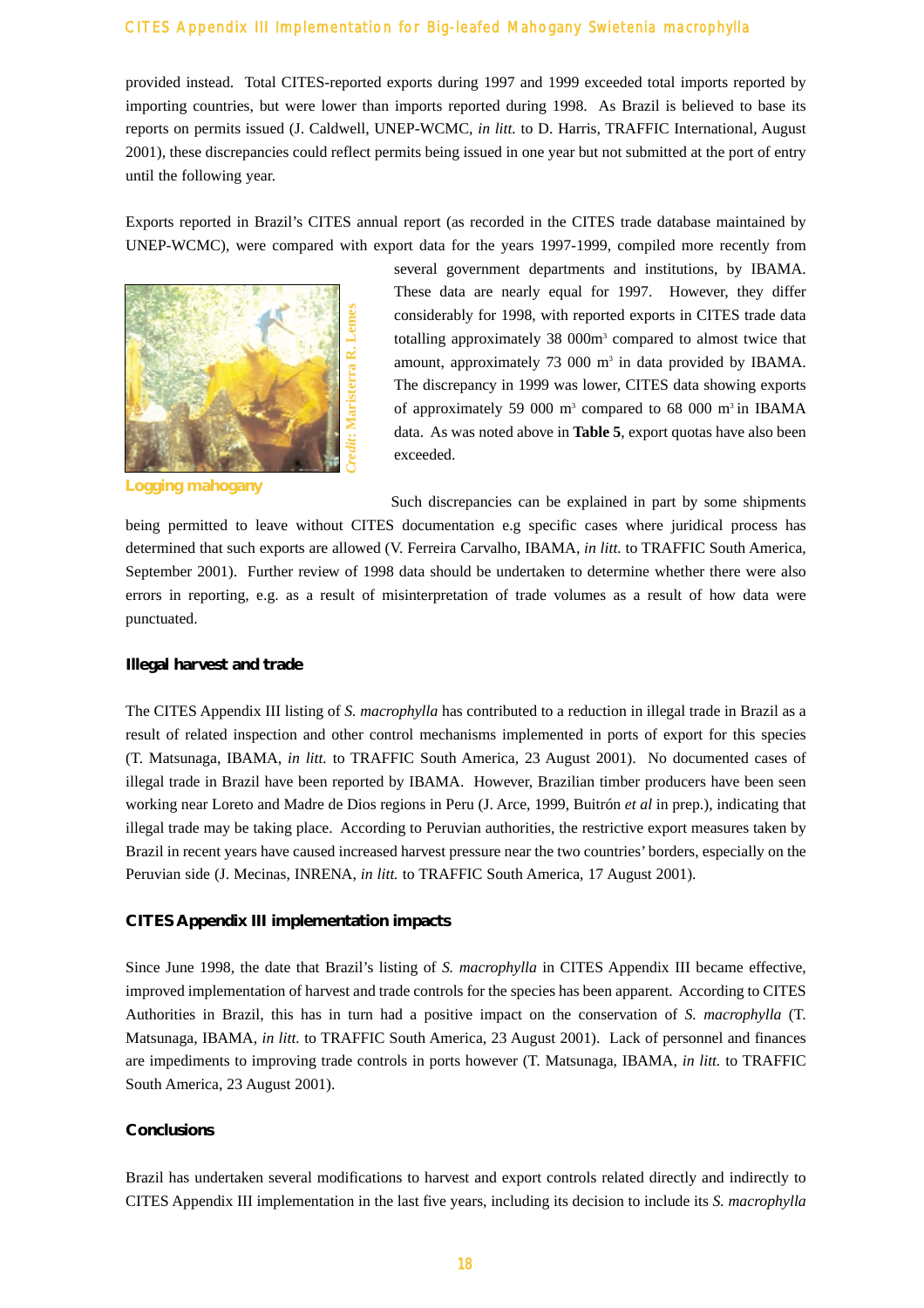provided instead. Total CITES-reported exports during 1997 and 1999 exceeded total imports reported by importing countries, but were lower than imports reported during 1998. As Brazil is believed to base its reports on permits issued (J. Caldwell, UNEP-WCMC, *in litt.* to D. Harris, TRAFFIC International, August 2001), these discrepancies could reflect permits being issued in one year but not submitted at the port of entry until the following year.

Exports reported in Brazil's CITES annual report (as recorded in the CITES trade database maintained by UNEP-WCMC), were compared with export data for the years 1997-1999, compiled more recently from



**Logging mahogany**

several government departments and institutions, by IBAMA. These data are nearly equal for 1997. However, they differ considerably for 1998, with reported exports in CITES trade data totalling approximately 38 000m<sup>3</sup> compared to almost twice that amount, approximately 73 000 m<sup>3</sup> in data provided by IBAMA. The discrepancy in 1999 was lower, CITES data showing exports of approximately 59 000  $m^3$  compared to 68 000  $m^3$  in IBAMA data. As was noted above in **Table 5**, export quotas have also been exceeded.

Such discrepancies can be explained in part by some shipments

being permitted to leave without CITES documentation e.g specific cases where juridical process has determined that such exports are allowed (V. Ferreira Carvalho, IBAMA, *in litt.* to TRAFFIC South America, September 2001). Further review of 1998 data should be undertaken to determine whether there were also errors in reporting, e.g. as a result of misinterpretation of trade volumes as a result of how data were punctuated.

#### **Illegal harvest and trade**

The CITES Appendix III listing of *S. macrophylla* has contributed to a reduction in illegal trade in Brazil as a result of related inspection and other control mechanisms implemented in ports of export for this species (T. Matsunaga, IBAMA, *in litt.* to TRAFFIC South America, 23 August 2001). No documented cases of illegal trade in Brazil have been reported by IBAMA. However, Brazilian timber producers have been seen working near Loreto and Madre de Dios regions in Peru (J. Arce, 1999, Buitrón *et al* in prep.), indicating that illegal trade may be taking place. According to Peruvian authorities, the restrictive export measures taken by Brazil in recent years have caused increased harvest pressure near the two countries' borders, especially on the Peruvian side (J. Mecinas, INRENA, *in litt.* to TRAFFIC South America, 17 August 2001).

#### **CITES Appendix III implementation impacts**

Since June 1998, the date that Brazil's listing of *S. macrophylla* in CITES Appendix III became effective, improved implementation of harvest and trade controls for the species has been apparent. According to CITES Authorities in Brazil, this has in turn had a positive impact on the conservation of *S. macrophylla* (T. Matsunaga, IBAMA, *in litt.* to TRAFFIC South America, 23 August 2001). Lack of personnel and finances are impediments to improving trade controls in ports however (T. Matsunaga, IBAMA, *in litt.* to TRAFFIC South America, 23 August 2001).

#### **Conclusions**

Brazil has undertaken several modifications to harvest and export controls related directly and indirectly to CITES Appendix III implementation in the last five years, including its decision to include its *S. macrophylla*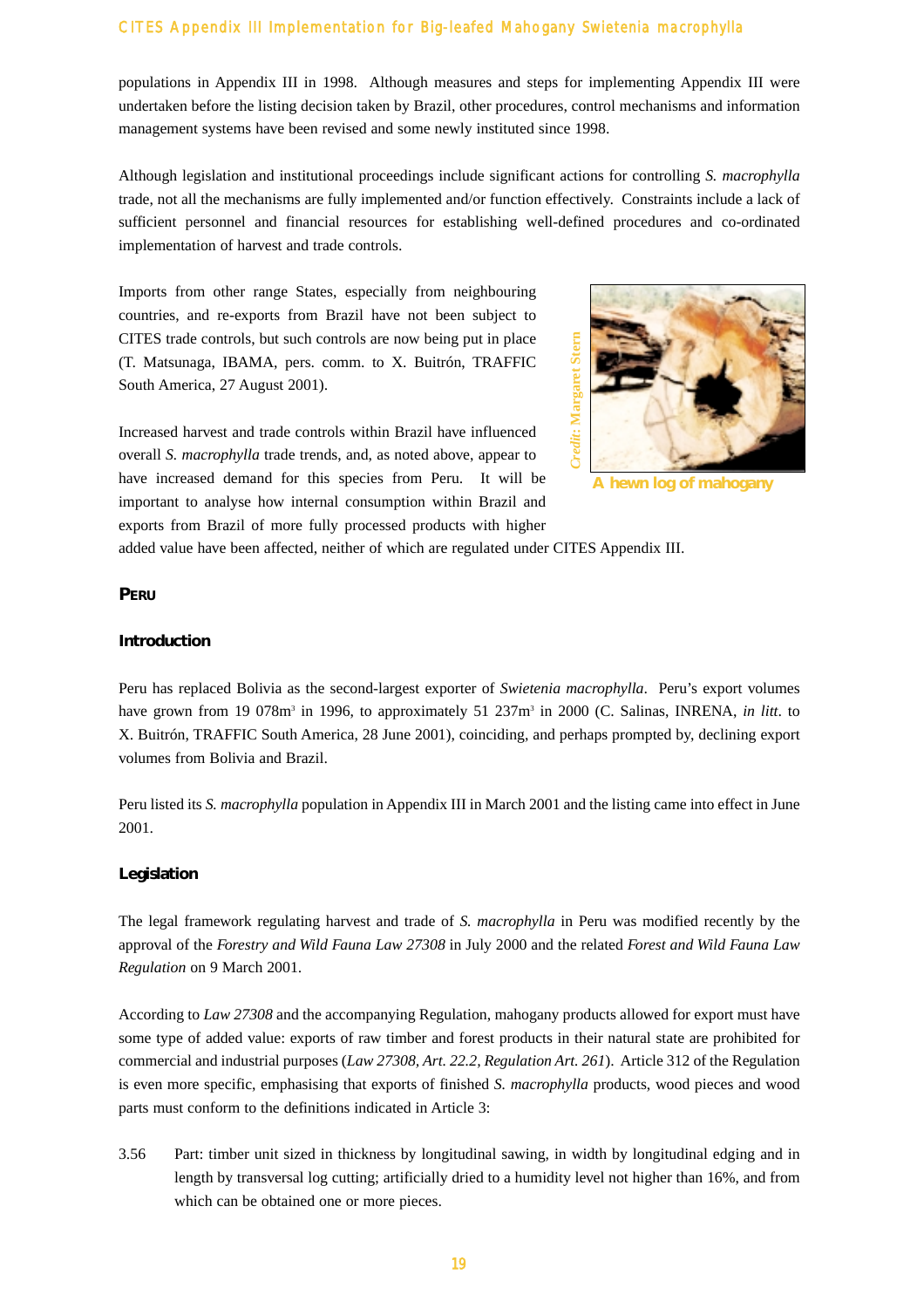populations in Appendix III in 1998. Although measures and steps for implementing Appendix III were undertaken before the listing decision taken by Brazil, other procedures, control mechanisms and information management systems have been revised and some newly instituted since 1998.

Although legislation and institutional proceedings include significant actions for controlling *S. macrophylla* trade, not all the mechanisms are fully implemented and/or function effectively. Constraints include a lack of sufficient personnel and financial resources for establishing well-defined procedures and co-ordinated implementation of harvest and trade controls.

Imports from other range States, especially from neighbouring countries, and re-exports from Brazil have not been subject to CITES trade controls, but such controls are now being put in place (T. Matsunaga, IBAMA, pers. comm. to X. Buitrón, TRAFFIC South America, 27 August 2001).



**A hewn log of mahogany**

Increased harvest and trade controls within Brazil have influenced overall *S. macrophylla* trade trends, and, as noted above, appear to have increased demand for this species from Peru. It will be important to analyse how internal consumption within Brazil and exports from Brazil of more fully processed products with higher

added value have been affected, neither of which are regulated under CITES Appendix III.

#### **PERU**

#### **Introduction**

Peru has replaced Bolivia as the second-largest exporter of *Swietenia macrophylla*. Peru's export volumes have grown from 19 078m<sup>3</sup> in 1996, to approximately 51 237m<sup>3</sup> in 2000 (C. Salinas, INRENA, *in litt*. to X. Buitrón, TRAFFIC South America, 28 June 2001), coinciding, and perhaps prompted by, declining export volumes from Bolivia and Brazil.

Peru listed its *S. macrophylla* population in Appendix III in March 2001 and the listing came into effect in June 2001.

#### **Legislation**

The legal framework regulating harvest and trade of *S. macrophylla* in Peru was modified recently by the approval of the *Forestry and Wild Fauna Law 27308* in July 2000 and the related *Forest and Wild Fauna Law Regulation* on 9 March 2001.

According to *Law 27308* and the accompanying Regulation, mahogany products allowed for export must have some type of added value: exports of raw timber and forest products in their natural state are prohibited for commercial and industrial purposes (*Law 27308, Art. 22.2, Regulation Art. 261*). Article 312 of the Regulation is even more specific, emphasising that exports of finished *S. macrophylla* products, wood pieces and wood parts must conform to the definitions indicated in Article 3:

3.56 Part: timber unit sized in thickness by longitudinal sawing, in width by longitudinal edging and in length by transversal log cutting; artificially dried to a humidity level not higher than 16%, and from which can be obtained one or more pieces.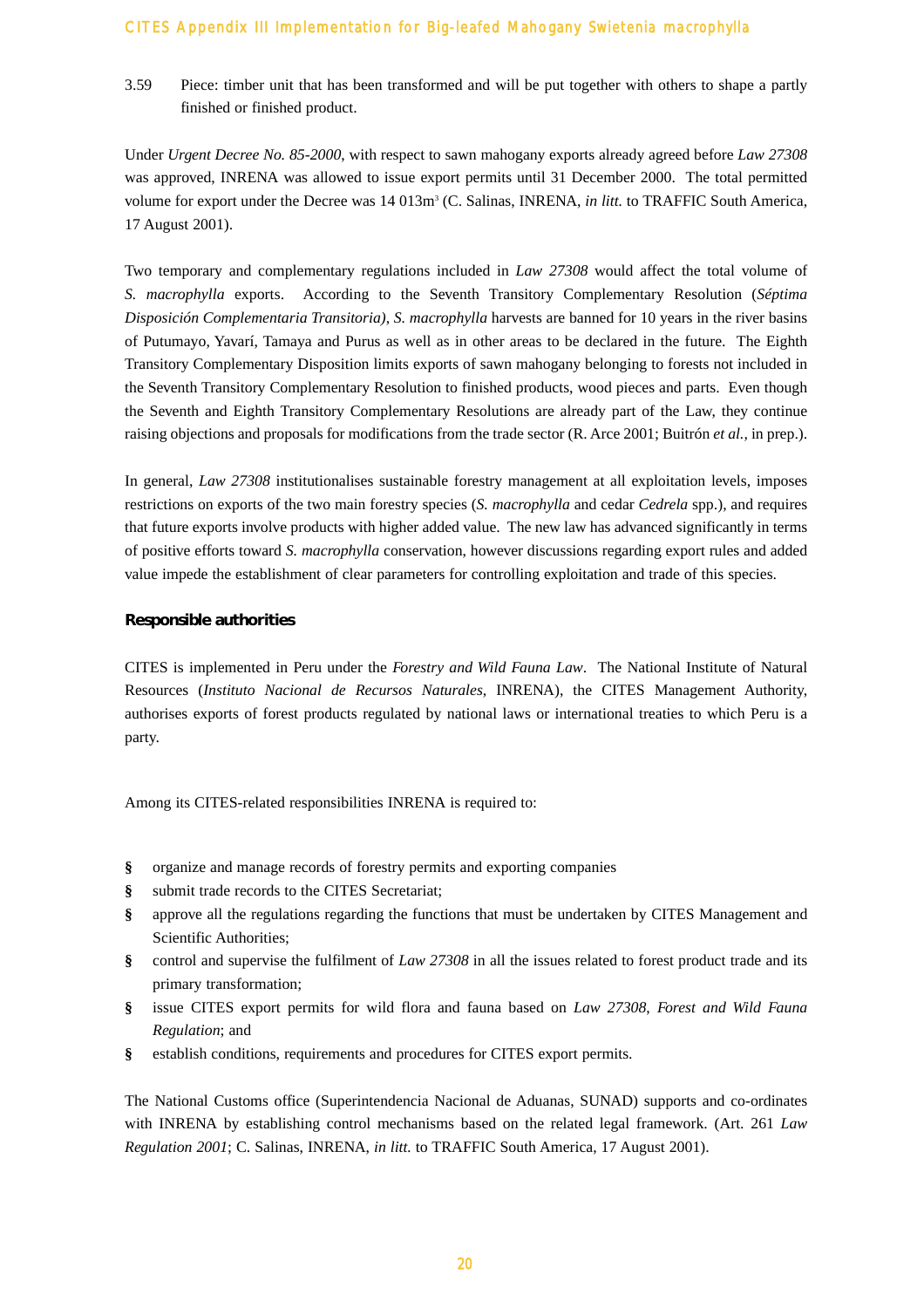3.59 Piece: timber unit that has been transformed and will be put together with others to shape a partly finished or finished product.

Under *Urgent Decree No. 85-2000*, with respect to sawn mahogany exports already agreed before *Law 27308* was approved, INRENA was allowed to issue export permits until 31 December 2000. The total permitted volume for export under the Decree was 14 013m3 (C. Salinas, INRENA, *in litt.* to TRAFFIC South America, 17 August 2001).

Two temporary and complementary regulations included in *Law 27308* would affect the total volume of *S. macrophylla* exports. According to the Seventh Transitory Complementary Resolution (*Séptima Disposición Complementaria Transitoria)*, *S. macrophylla* harvests are banned for 10 years in the river basins of Putumayo, Yavarí, Tamaya and Purus as well as in other areas to be declared in the future. The Eighth Transitory Complementary Disposition limits exports of sawn mahogany belonging to forests not included in the Seventh Transitory Complementary Resolution to finished products, wood pieces and parts. Even though the Seventh and Eighth Transitory Complementary Resolutions are already part of the Law, they continue raising objections and proposals for modifications from the trade sector (R. Arce 2001; Buitrón *et al.,* in prep.).

In general, *Law 27308* institutionalises sustainable forestry management at all exploitation levels, imposes restrictions on exports of the two main forestry species (*S. macrophylla* and cedar *Cedrela* spp.), and requires that future exports involve products with higher added value. The new law has advanced significantly in terms of positive efforts toward *S. macrophylla* conservation, however discussions regarding export rules and added value impede the establishment of clear parameters for controlling exploitation and trade of this species.

#### **Responsible authorities**

CITES is implemented in Peru under the *Forestry and Wild Fauna Law*. The National Institute of Natural Resources (*Instituto Nacional de Recursos Naturales*, INRENA), the CITES Management Authority, authorises exports of forest products regulated by national laws or international treaties to which Peru is a party.

Among its CITES-related responsibilities INRENA is required to:

- **§** organize and manage records of forestry permits and exporting companies
- **§** submit trade records to the CITES Secretariat;
- **§** approve all the regulations regarding the functions that must be undertaken by CITES Management and Scientific Authorities;
- **§** control and supervise the fulfilment of *Law 27308* in all the issues related to forest product trade and its primary transformation;
- **§** issue CITES export permits for wild flora and fauna based on *Law 27308*, *Forest and Wild Fauna Regulation*; and
- **§** establish conditions, requirements and procedures for CITES export permits.

The National Customs office (Superintendencia Nacional de Aduanas, SUNAD) supports and co-ordinates with INRENA by establishing control mechanisms based on the related legal framework. (Art. 261 *Law Regulation 2001*; C. Salinas, INRENA, *in litt.* to TRAFFIC South America, 17 August 2001).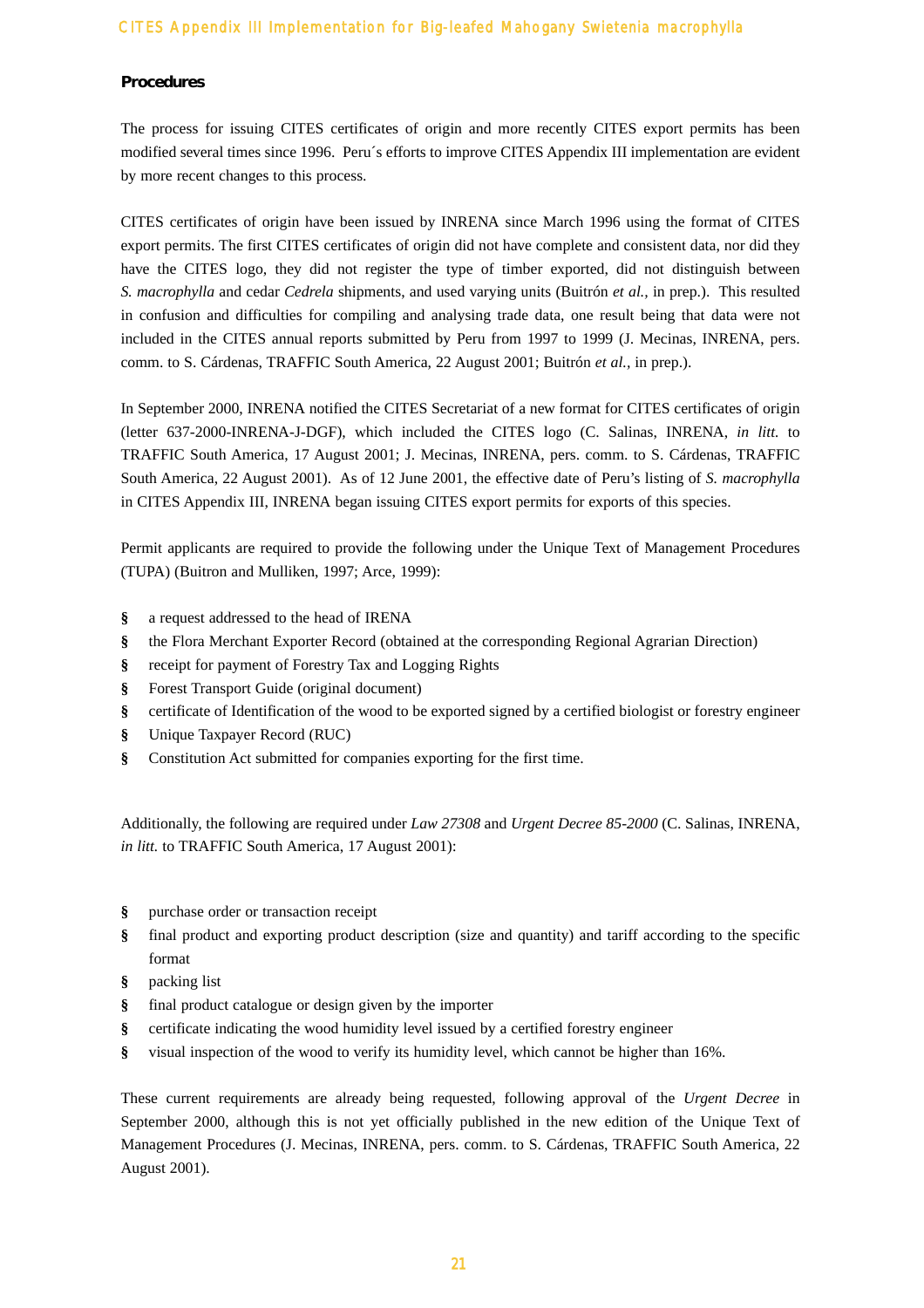#### **Procedures**

The process for issuing CITES certificates of origin and more recently CITES export permits has been modified several times since 1996. Peru´s efforts to improve CITES Appendix III implementation are evident by more recent changes to this process.

CITES certificates of origin have been issued by INRENA since March 1996 using the format of CITES export permits. The first CITES certificates of origin did not have complete and consistent data, nor did they have the CITES logo, they did not register the type of timber exported, did not distinguish between *S. macrophylla* and cedar *Cedrela* shipments, and used varying units (Buitrón *et al.,* in prep.). This resulted in confusion and difficulties for compiling and analysing trade data, one result being that data were not included in the CITES annual reports submitted by Peru from 1997 to 1999 (J. Mecinas, INRENA, pers. comm. to S. Cárdenas, TRAFFIC South America, 22 August 2001; Buitrón *et al.,* in prep.).

In September 2000, INRENA notified the CITES Secretariat of a new format for CITES certificates of origin (letter 637-2000-INRENA-J-DGF), which included the CITES logo (C. Salinas, INRENA, *in litt.* to TRAFFIC South America, 17 August 2001; J. Mecinas, INRENA, pers. comm. to S. Cárdenas, TRAFFIC South America, 22 August 2001). As of 12 June 2001, the effective date of Peru's listing of *S. macrophylla* in CITES Appendix III, INRENA began issuing CITES export permits for exports of this species.

Permit applicants are required to provide the following under the Unique Text of Management Procedures (TUPA) (Buitron and Mulliken, 1997; Arce, 1999):

- **§** a request addressed to the head of IRENA
- **§** the Flora Merchant Exporter Record (obtained at the corresponding Regional Agrarian Direction)
- **§** receipt for payment of Forestry Tax and Logging Rights
- **§** Forest Transport Guide (original document)
- **§** certificate of Identification of the wood to be exported signed by a certified biologist or forestry engineer
- **§** Unique Taxpayer Record (RUC)
- **§** Constitution Act submitted for companies exporting for the first time.

Additionally, the following are required under *Law 27308* and *Urgent Decree 85-2000* (C. Salinas, INRENA, *in litt.* to TRAFFIC South America, 17 August 2001):

- **§** purchase order or transaction receipt
- **§** final product and exporting product description (size and quantity) and tariff according to the specific format
- **§** packing list
- **§** final product catalogue or design given by the importer
- **§** certificate indicating the wood humidity level issued by a certified forestry engineer
- **§** visual inspection of the wood to verify its humidity level, which cannot be higher than 16%.

These current requirements are already being requested, following approval of the *Urgent Decree* in September 2000, although this is not yet officially published in the new edition of the Unique Text of Management Procedures (J. Mecinas, INRENA, pers. comm. to S. Cárdenas, TRAFFIC South America, 22 August 2001).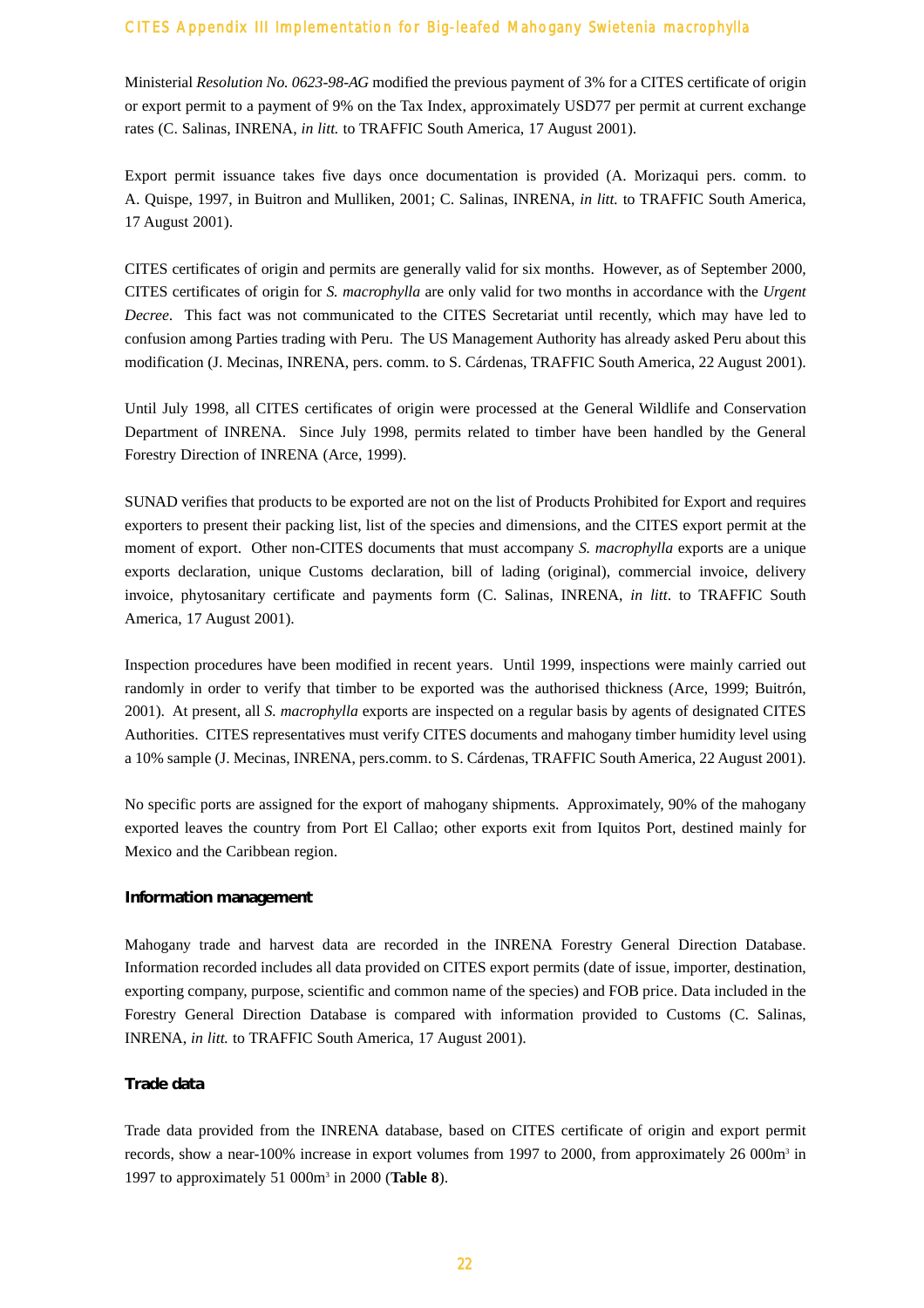Ministerial *Resolution No. 0623-98-AG* modified the previous payment of 3% for a CITES certificate of origin or export permit to a payment of 9% on the Tax Index, approximately USD77 per permit at current exchange rates (C. Salinas, INRENA, *in litt.* to TRAFFIC South America, 17 August 2001).

Export permit issuance takes five days once documentation is provided (A. Morizaqui pers. comm. to A. Quispe, 1997, in Buitron and Mulliken, 2001; C. Salinas, INRENA, *in litt.* to TRAFFIC South America, 17 August 2001).

CITES certificates of origin and permits are generally valid for six months. However, as of September 2000, CITES certificates of origin for *S. macrophylla* are only valid for two months in accordance with the *Urgent Decree*. This fact was not communicated to the CITES Secretariat until recently, which may have led to confusion among Parties trading with Peru. The US Management Authority has already asked Peru about this modification (J. Mecinas, INRENA, pers. comm. to S. Cárdenas, TRAFFIC South America, 22 August 2001).

Until July 1998, all CITES certificates of origin were processed at the General Wildlife and Conservation Department of INRENA. Since July 1998, permits related to timber have been handled by the General Forestry Direction of INRENA (Arce, 1999).

SUNAD verifies that products to be exported are not on the list of Products Prohibited for Export and requires exporters to present their packing list, list of the species and dimensions, and the CITES export permit at the moment of export. Other non-CITES documents that must accompany *S. macrophylla* exports are a unique exports declaration, unique Customs declaration, bill of lading (original), commercial invoice, delivery invoice, phytosanitary certificate and payments form (C. Salinas, INRENA, *in litt*. to TRAFFIC South America, 17 August 2001).

Inspection procedures have been modified in recent years. Until 1999, inspections were mainly carried out randomly in order to verify that timber to be exported was the authorised thickness (Arce, 1999; Buitrón, 2001). At present, all *S. macrophylla* exports are inspected on a regular basis by agents of designated CITES Authorities. CITES representatives must verify CITES documents and mahogany timber humidity level using a 10% sample (J. Mecinas, INRENA, pers.comm. to S. Cárdenas, TRAFFIC South America, 22 August 2001).

No specific ports are assigned for the export of mahogany shipments. Approximately, 90% of the mahogany exported leaves the country from Port El Callao; other exports exit from Iquitos Port, destined mainly for Mexico and the Caribbean region.

#### **Information management**

Mahogany trade and harvest data are recorded in the INRENA Forestry General Direction Database. Information recorded includes all data provided on CITES export permits (date of issue, importer, destination, exporting company, purpose, scientific and common name of the species) and FOB price. Data included in the Forestry General Direction Database is compared with information provided to Customs (C. Salinas, INRENA, *in litt.* to TRAFFIC South America, 17 August 2001).

#### **Trade data**

Trade data provided from the INRENA database, based on CITES certificate of origin and export permit records, show a near-100% increase in export volumes from 1997 to 2000, from approximately 26 000m<sup>3</sup> in 1997 to approximately 51 000m3 in 2000 (**Table 8**).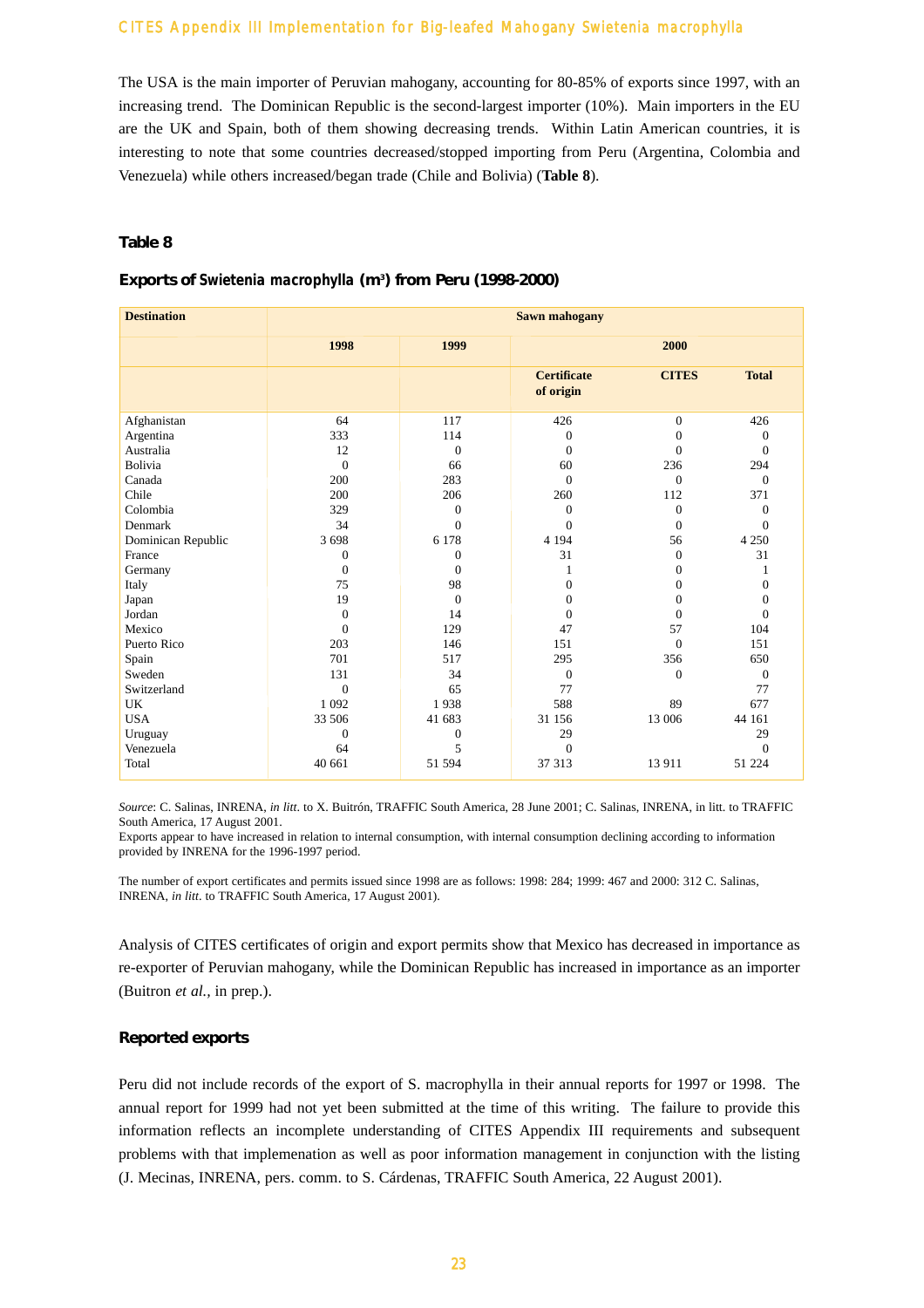The USA is the main importer of Peruvian mahogany, accounting for 80-85% of exports since 1997, with an increasing trend. The Dominican Republic is the second-largest importer (10%). Main importers in the EU are the UK and Spain, both of them showing decreasing trends. Within Latin American countries, it is interesting to note that some countries decreased/stopped importing from Peru (Argentina, Colombia and Venezuela) while others increased/began trade (Chile and Bolivia) (**Table 8**).

#### **Table 8**

#### **Exports of** *Swietenia macrophylla* **(m3 ) from Peru (1998-2000)**

| <b>Destination</b> | <b>Sawn mahogany</b> |                |                                 |              |                  |  |  |
|--------------------|----------------------|----------------|---------------------------------|--------------|------------------|--|--|
|                    | 1998                 | 1999           |                                 | 2000         |                  |  |  |
|                    |                      |                | <b>Certificate</b><br>of origin | <b>CITES</b> | <b>Total</b>     |  |  |
| Afghanistan        | 64                   | 117            | 426                             | $\theta$     | 426              |  |  |
| Argentina          | 333                  | 114            | $\mathbf{0}$                    | $\mathbf{0}$ | $\mathbf{0}$     |  |  |
| Australia          | 12                   | $\mathbf{0}$   | $\mathbf{0}$                    | $\mathbf{0}$ | $\theta$         |  |  |
| Bolivia            | $\Omega$             | 66             | 60                              | 236          | 294              |  |  |
| Canada             | 200                  | 283            | $\Omega$                        | $\Omega$     | $\Omega$         |  |  |
| Chile              | 200                  | 206            | 260                             | 112          | 371              |  |  |
| Colombia           | 329                  | $\theta$       | $\mathbf{0}$                    | $\mathbf{0}$ | $\Omega$         |  |  |
| Denmark            | 34                   | $\Omega$       | $\Omega$                        | $\Omega$     | $\Omega$         |  |  |
| Dominican Republic | 3698                 | 6 1 7 8        | 4 1 9 4                         | 56           | 4 2 5 0          |  |  |
| France             | $\theta$             | $\Omega$       | 31                              | $\Omega$     | 31               |  |  |
| Germany            | $\mathbf{0}$         | $\overline{0}$ | 1                               | $\mathbf{0}$ | 1                |  |  |
| Italy              | 75                   | 98             | $\overline{0}$                  | $\mathbf{0}$ | $\boldsymbol{0}$ |  |  |
| Japan              | 19                   | $\Omega$       | $\mathbf{0}$                    | $\Omega$     | $\mathbf{0}$     |  |  |
| Jordan             | $\mathbf{0}$         | 14             | $\mathbf{0}$                    | $\theta$     | $\theta$         |  |  |
| Mexico             | $\theta$             | 129            | 47                              | 57           | 104              |  |  |
| Puerto Rico        | 203                  | 146            | 151                             | $\Omega$     | 151              |  |  |
| Spain              | 701                  | 517            | 295                             | 356          | 650              |  |  |
| Sweden             | 131                  | 34             | $\mathbf{0}$                    | $\mathbf{0}$ | $\mathbf{0}$     |  |  |
| Switzerland        | $\mathbf{0}$         | 65             | 77                              |              | 77               |  |  |
| UK                 | 1 0 9 2              | 1938           | 588                             | 89           | 677              |  |  |
| <b>USA</b>         | 33 506               | 41 683         | 31 156                          | 13 006       | 44 161           |  |  |
| Uruguay            | $\Omega$             | $\overline{0}$ | 29                              |              | 29               |  |  |
| Venezuela          | 64                   | 5              | $\Omega$                        |              | $\Omega$         |  |  |
| Total              | 40 661               | 51 594         | 37 313                          | 13 911       | 51 224           |  |  |

*Source*: C. Salinas, INRENA, *in litt*. to X. Buitrón, TRAFFIC South America, 28 June 2001; C. Salinas, INRENA, in litt. to TRAFFIC South America, 17 August 2001.

Exports appear to have increased in relation to internal consumption, with internal consumption declining according to information provided by INRENA for the 1996-1997 period.

The number of export certificates and permits issued since 1998 are as follows: 1998: 284; 1999: 467 and 2000: 312 C. Salinas, INRENA, *in litt*. to TRAFFIC South America, 17 August 2001).

Analysis of CITES certificates of origin and export permits show that Mexico has decreased in importance as re-exporter of Peruvian mahogany, while the Dominican Republic has increased in importance as an importer (Buitron *et al.,* in prep.).

#### **Reported exports**

Peru did not include records of the export of S. macrophylla in their annual reports for 1997 or 1998. The annual report for 1999 had not yet been submitted at the time of this writing. The failure to provide this information reflects an incomplete understanding of CITES Appendix III requirements and subsequent problems with that implemenation as well as poor information management in conjunction with the listing (J. Mecinas, INRENA, pers. comm. to S. Cárdenas, TRAFFIC South America, 22 August 2001).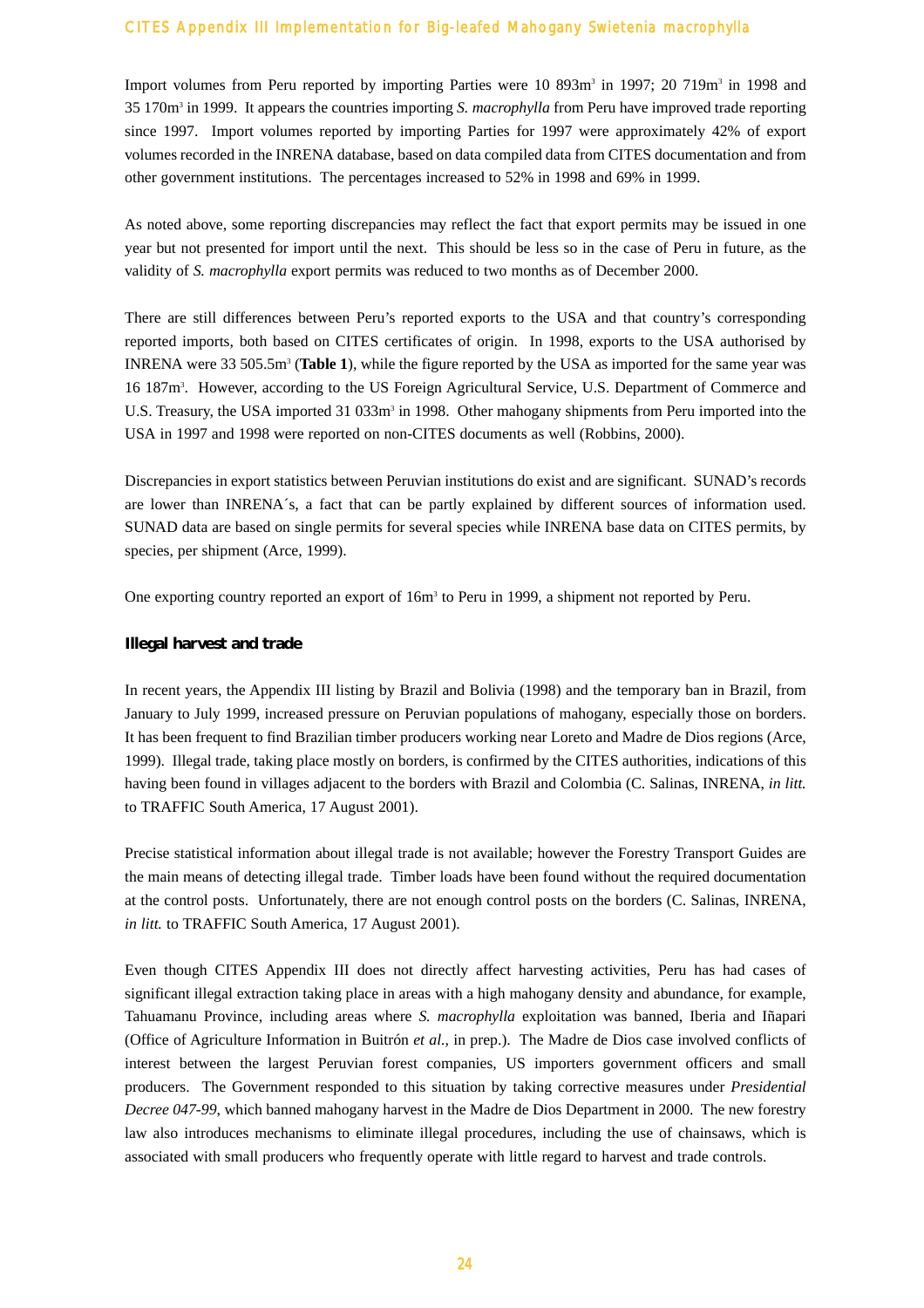Import volumes from Peru reported by importing Parties were 10 893m<sup>3</sup> in 1997; 20 719m<sup>3</sup> in 1998 and 35 170m3 in 1999. It appears the countries importing *S. macrophylla* from Peru have improved trade reporting since 1997. Import volumes reported by importing Parties for 1997 were approximately 42% of export volumes recorded in the INRENA database, based on data compiled data from CITES documentation and from other government institutions. The percentages increased to 52% in 1998 and 69% in 1999.

As noted above, some reporting discrepancies may reflect the fact that export permits may be issued in one year but not presented for import until the next. This should be less so in the case of Peru in future, as the validity of *S. macrophylla* export permits was reduced to two months as of December 2000.

There are still differences between Peru's reported exports to the USA and that country's corresponding reported imports, both based on CITES certificates of origin. In 1998, exports to the USA authorised by INRENA were 33 505.5m3 (**Table 1**), while the figure reported by the USA as imported for the same year was 16 187m3 . However, according to the US Foreign Agricultural Service, U.S. Department of Commerce and U.S. Treasury, the USA imported 31 033m<sup>3</sup> in 1998. Other mahogany shipments from Peru imported into the USA in 1997 and 1998 were reported on non-CITES documents as well (Robbins, 2000).

Discrepancies in export statistics between Peruvian institutions do exist and are significant. SUNAD's records are lower than INRENA´s, a fact that can be partly explained by different sources of information used. SUNAD data are based on single permits for several species while INRENA base data on CITES permits, by species, per shipment (Arce, 1999).

One exporting country reported an export of  $16m<sup>3</sup>$  to Peru in 1999, a shipment not reported by Peru.

#### **Illegal harvest and trade**

In recent years, the Appendix III listing by Brazil and Bolivia (1998) and the temporary ban in Brazil, from January to July 1999, increased pressure on Peruvian populations of mahogany, especially those on borders. It has been frequent to find Brazilian timber producers working near Loreto and Madre de Dios regions (Arce, 1999). Illegal trade, taking place mostly on borders, is confirmed by the CITES authorities, indications of this having been found in villages adjacent to the borders with Brazil and Colombia (C. Salinas, INRENA, *in litt.* to TRAFFIC South America, 17 August 2001).

Precise statistical information about illegal trade is not available; however the Forestry Transport Guides are the main means of detecting illegal trade. Timber loads have been found without the required documentation at the control posts. Unfortunately, there are not enough control posts on the borders (C. Salinas, INRENA, *in litt.* to TRAFFIC South America, 17 August 2001).

Even though CITES Appendix III does not directly affect harvesting activities, Peru has had cases of significant illegal extraction taking place in areas with a high mahogany density and abundance, for example, Tahuamanu Province, including areas where *S. macrophylla* exploitation was banned, Iberia and Iñapari (Office of Agriculture Information in Buitrón *et al.,* in prep.). The Madre de Dios case involved conflicts of interest between the largest Peruvian forest companies, US importers government officers and small producers. The Government responded to this situation by taking corrective measures under *Presidential Decree 047-99*, which banned mahogany harvest in the Madre de Dios Department in 2000. The new forestry law also introduces mechanisms to eliminate illegal procedures, including the use of chainsaws, which is associated with small producers who frequently operate with little regard to harvest and trade controls.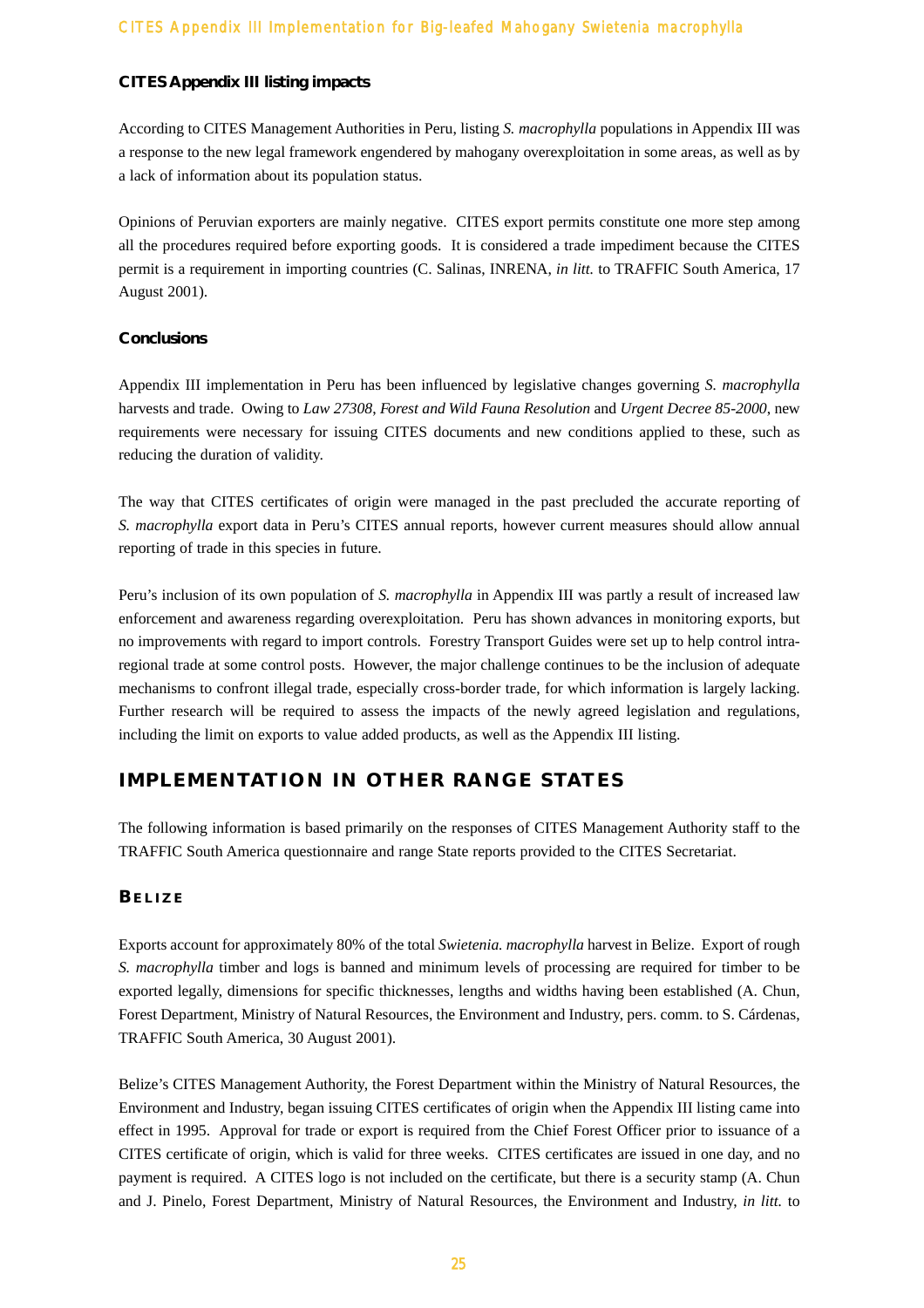#### **CITES Appendix III listing impacts**

According to CITES Management Authorities in Peru, listing *S. macrophylla* populations in Appendix III was a response to the new legal framework engendered by mahogany overexploitation in some areas, as well as by a lack of information about its population status.

Opinions of Peruvian exporters are mainly negative. CITES export permits constitute one more step among all the procedures required before exporting goods. It is considered a trade impediment because the CITES permit is a requirement in importing countries (C. Salinas, INRENA, *in litt.* to TRAFFIC South America, 17 August 2001).

#### **Conclusions**

Appendix III implementation in Peru has been influenced by legislative changes governing *S. macrophylla* harvests and trade. Owing to *Law 27308*, *Forest and Wild Fauna Resolution* and *Urgent Decree 85-2000*, new requirements were necessary for issuing CITES documents and new conditions applied to these, such as reducing the duration of validity.

The way that CITES certificates of origin were managed in the past precluded the accurate reporting of *S. macrophylla* export data in Peru's CITES annual reports, however current measures should allow annual reporting of trade in this species in future.

Peru's inclusion of its own population of *S. macrophylla* in Appendix III was partly a result of increased law enforcement and awareness regarding overexploitation. Peru has shown advances in monitoring exports, but no improvements with regard to import controls. Forestry Transport Guides were set up to help control intraregional trade at some control posts. However, the major challenge continues to be the inclusion of adequate mechanisms to confront illegal trade, especially cross-border trade, for which information is largely lacking. Further research will be required to assess the impacts of the newly agreed legislation and regulations, including the limit on exports to value added products, as well as the Appendix III listing.

# **IMPLEMENTATION IN OTHER RANGE STATES**

The following information is based primarily on the responses of CITES Management Authority staff to the TRAFFIC South America questionnaire and range State reports provided to the CITES Secretariat.

# **BELIZE**

Exports account for approximately 80% of the total *Swietenia. macrophylla* harvest in Belize. Export of rough *S. macrophylla* timber and logs is banned and minimum levels of processing are required for timber to be exported legally, dimensions for specific thicknesses, lengths and widths having been established (A. Chun, Forest Department, Ministry of Natural Resources, the Environment and Industry, pers. comm. to S. Cárdenas, TRAFFIC South America, 30 August 2001).

Belize's CITES Management Authority, the Forest Department within the Ministry of Natural Resources, the Environment and Industry, began issuing CITES certificates of origin when the Appendix III listing came into effect in 1995. Approval for trade or export is required from the Chief Forest Officer prior to issuance of a CITES certificate of origin, which is valid for three weeks. CITES certificates are issued in one day, and no payment is required. A CITES logo is not included on the certificate, but there is a security stamp (A. Chun and J. Pinelo, Forest Department, Ministry of Natural Resources, the Environment and Industry, *in litt.* to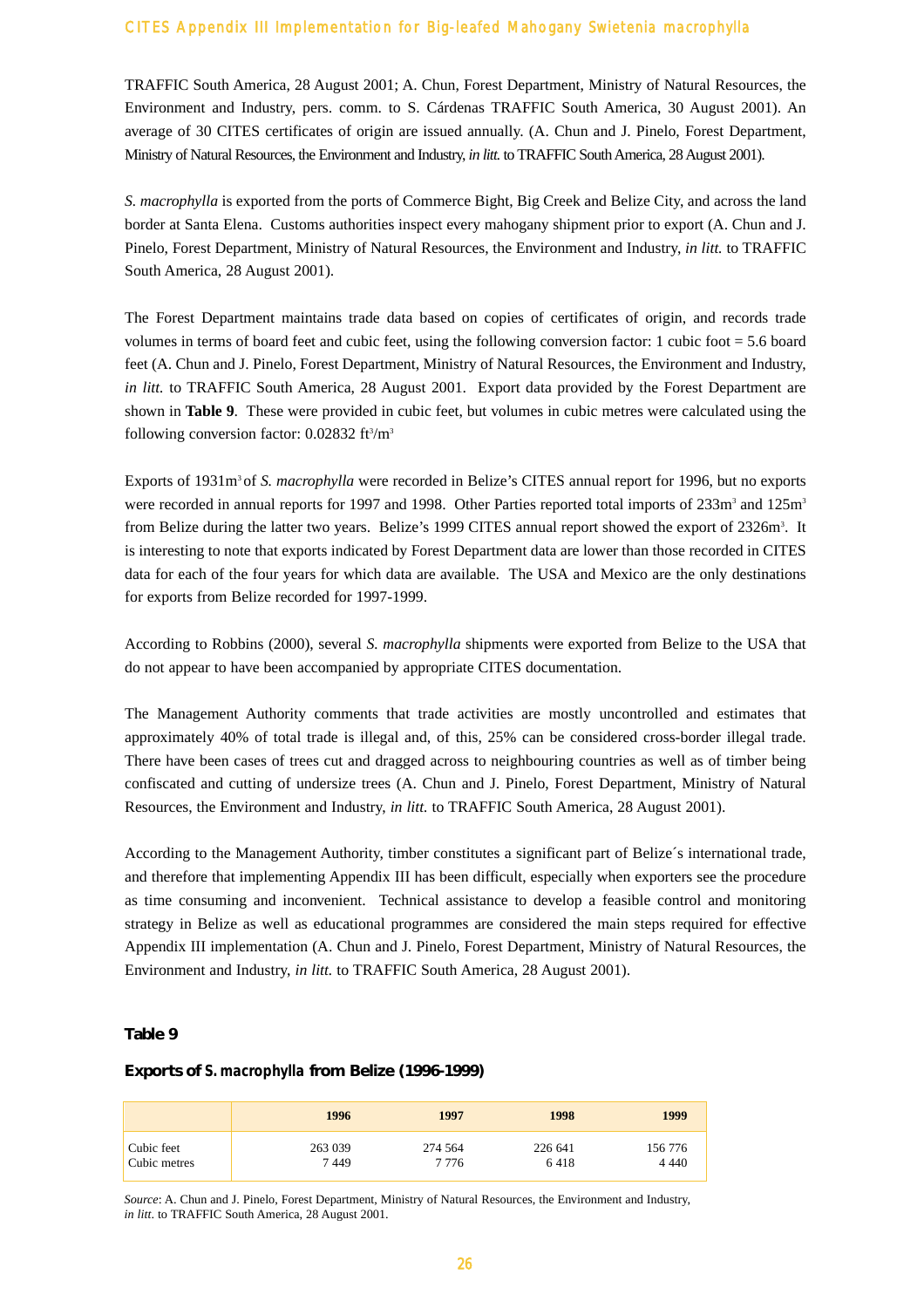TRAFFIC South America, 28 August 2001; A. Chun, Forest Department, Ministry of Natural Resources, the Environment and Industry, pers. comm. to S. Cárdenas TRAFFIC South America, 30 August 2001). An average of 30 CITES certificates of origin are issued annually. (A. Chun and J. Pinelo, Forest Department, Ministry of Natural Resources, the Environment and Industry, *in litt.* to TRAFFIC South America, 28 August 2001).

*S. macrophylla* is exported from the ports of Commerce Bight, Big Creek and Belize City, and across the land border at Santa Elena. Customs authorities inspect every mahogany shipment prior to export (A. Chun and J. Pinelo, Forest Department, Ministry of Natural Resources, the Environment and Industry, *in litt.* to TRAFFIC South America, 28 August 2001).

The Forest Department maintains trade data based on copies of certificates of origin, and records trade volumes in terms of board feet and cubic feet, using the following conversion factor: 1 cubic foot = 5.6 board feet (A. Chun and J. Pinelo, Forest Department, Ministry of Natural Resources, the Environment and Industry, *in litt.* to TRAFFIC South America, 28 August 2001. Export data provided by the Forest Department are shown in **Table 9**. These were provided in cubic feet, but volumes in cubic metres were calculated using the following conversion factor: 0.02832 ft<sup>3</sup>/m<sup>3</sup>

Exports of 1931m<sup>3</sup> of *S. macrophylla* were recorded in Belize's CITES annual report for 1996, but no exports were recorded in annual reports for 1997 and 1998. Other Parties reported total imports of 233m<sup>3</sup> and 125m<sup>3</sup> from Belize during the latter two years. Belize's 1999 CITES annual report showed the export of 2326m<sup>3</sup>. It is interesting to note that exports indicated by Forest Department data are lower than those recorded in CITES data for each of the four years for which data are available. The USA and Mexico are the only destinations for exports from Belize recorded for 1997-1999.

According to Robbins (2000), several *S. macrophylla* shipments were exported from Belize to the USA that do not appear to have been accompanied by appropriate CITES documentation.

The Management Authority comments that trade activities are mostly uncontrolled and estimates that approximately 40% of total trade is illegal and, of this, 25% can be considered cross-border illegal trade. There have been cases of trees cut and dragged across to neighbouring countries as well as of timber being confiscated and cutting of undersize trees (A. Chun and J. Pinelo, Forest Department, Ministry of Natural Resources, the Environment and Industry, *in litt.* to TRAFFIC South America, 28 August 2001).

According to the Management Authority, timber constitutes a significant part of Belize´s international trade, and therefore that implementing Appendix III has been difficult, especially when exporters see the procedure as time consuming and inconvenient. Technical assistance to develop a feasible control and monitoring strategy in Belize as well as educational programmes are considered the main steps required for effective Appendix III implementation (A. Chun and J. Pinelo, Forest Department, Ministry of Natural Resources, the Environment and Industry, *in litt.* to TRAFFIC South America, 28 August 2001).

#### **Table 9**

#### **Exports of** *S. macrophylla* **from Belize (1996-1999)**

|              | 1996    | 1997    | 1998    | 1999    |
|--------------|---------|---------|---------|---------|
| Cubic feet   | 263 039 | 274 564 | 226 641 | 156 776 |
| Cubic metres | 7449    | 7 776   | 6418    | 4 440   |

*Source*: A. Chun and J. Pinelo, Forest Department, Ministry of Natural Resources, the Environment and Industry, *in litt*. to TRAFFIC South America, 28 August 2001.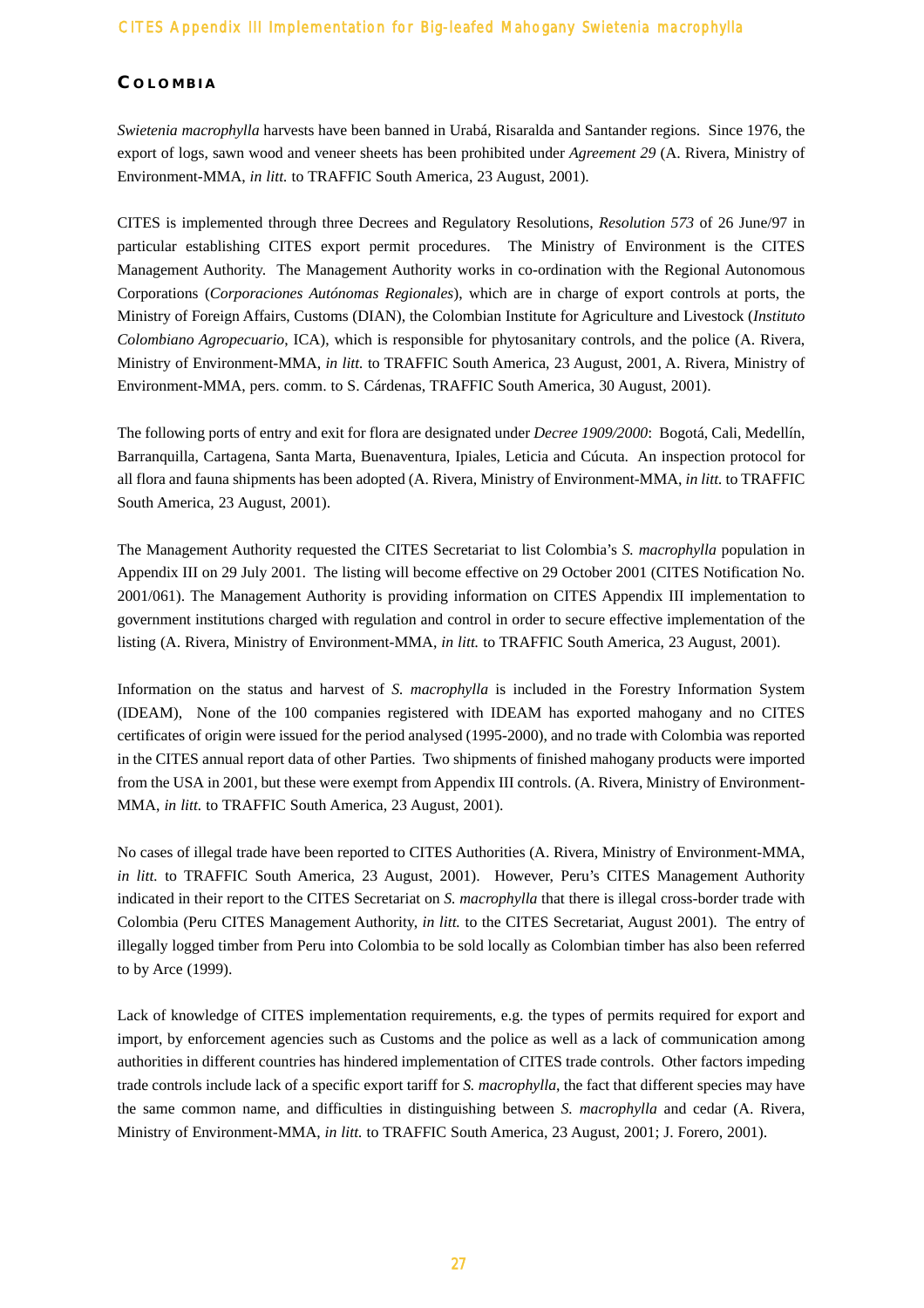#### **C OLOMBIA**

*Swietenia macrophylla* harvests have been banned in Urabá, Risaralda and Santander regions. Since 1976, the export of logs, sawn wood and veneer sheets has been prohibited under *Agreement 29* (A. Rivera, Ministry of Environment-MMA, *in litt.* to TRAFFIC South America, 23 August, 2001).

CITES is implemented through three Decrees and Regulatory Resolutions, *Resolution 573* of 26 June/97 in particular establishing CITES export permit procedures. The Ministry of Environment is the CITES Management Authority. The Management Authority works in co-ordination with the Regional Autonomous Corporations (*Corporaciones Autónomas Regionales*), which are in charge of export controls at ports, the Ministry of Foreign Affairs, Customs (DIAN), the Colombian Institute for Agriculture and Livestock (*Instituto Colombiano Agropecuario*, ICA), which is responsible for phytosanitary controls, and the police (A. Rivera, Ministry of Environment-MMA, *in litt.* to TRAFFIC South America, 23 August, 2001, A. Rivera, Ministry of Environment-MMA, pers. comm. to S. Cárdenas, TRAFFIC South America, 30 August, 2001).

The following ports of entry and exit for flora are designated under *Decree 1909/2000*: Bogotá, Cali, Medellín, Barranquilla, Cartagena, Santa Marta, Buenaventura, Ipiales, Leticia and Cúcuta. An inspection protocol for all flora and fauna shipments has been adopted (A. Rivera, Ministry of Environment-MMA, *in litt.* to TRAFFIC South America, 23 August, 2001).

The Management Authority requested the CITES Secretariat to list Colombia's *S. macrophylla* population in Appendix III on 29 July 2001. The listing will become effective on 29 October 2001 (CITES Notification No. 2001/061). The Management Authority is providing information on CITES Appendix III implementation to government institutions charged with regulation and control in order to secure effective implementation of the listing (A. Rivera, Ministry of Environment-MMA, *in litt.* to TRAFFIC South America, 23 August, 2001).

Information on the status and harvest of *S. macrophylla* is included in the Forestry Information System (IDEAM), None of the 100 companies registered with IDEAM has exported mahogany and no CITES certificates of origin were issued for the period analysed (1995-2000), and no trade with Colombia was reported in the CITES annual report data of other Parties. Two shipments of finished mahogany products were imported from the USA in 2001, but these were exempt from Appendix III controls. (A. Rivera, Ministry of Environment-MMA, *in litt.* to TRAFFIC South America, 23 August, 2001).

No cases of illegal trade have been reported to CITES Authorities (A. Rivera, Ministry of Environment-MMA, *in litt.* to TRAFFIC South America, 23 August, 2001). However, Peru's CITES Management Authority indicated in their report to the CITES Secretariat on *S. macrophylla* that there is illegal cross-border trade with Colombia (Peru CITES Management Authority, *in litt.* to the CITES Secretariat, August 2001). The entry of illegally logged timber from Peru into Colombia to be sold locally as Colombian timber has also been referred to by Arce (1999).

Lack of knowledge of CITES implementation requirements, e.g. the types of permits required for export and import, by enforcement agencies such as Customs and the police as well as a lack of communication among authorities in different countries has hindered implementation of CITES trade controls. Other factors impeding trade controls include lack of a specific export tariff for *S. macrophylla*, the fact that different species may have the same common name, and difficulties in distinguishing between *S. macrophylla* and cedar (A. Rivera, Ministry of Environment-MMA, *in litt.* to TRAFFIC South America, 23 August, 2001; J. Forero, 2001).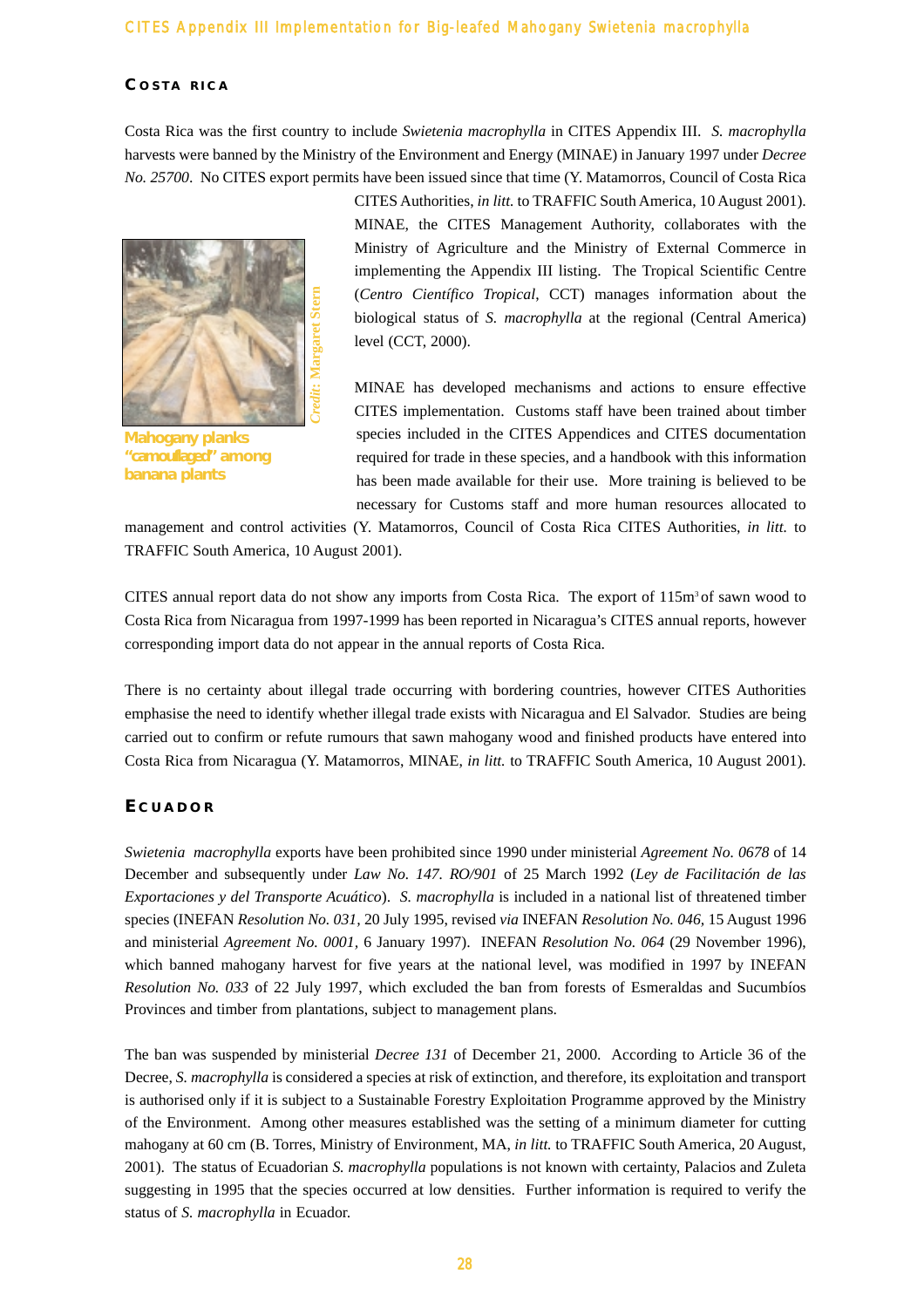#### **C OSTA RICA**

Costa Rica was the first country to include *Swietenia macrophylla* in CITES Appendix III. *S. macrophylla* harvests were banned by the Ministry of the Environment and Energy (MINAE) in January 1997 under *Decree No. 25700*. No CITES export permits have been issued since that time (Y. Matamorros, Council of Costa Rica



**Mahogany planks "camouflaged" among banana plants**

CITES Authorities, *in litt.* to TRAFFIC South America, 10 August 2001). MINAE, the CITES Management Authority, collaborates with the Ministry of Agriculture and the Ministry of External Commerce in implementing the Appendix III listing. The Tropical Scientific Centre (*Centro Científico Tropical*, CCT) manages information about the biological status of *S. macrophylla* at the regional (Central America) level (CCT, 2000).

MINAE has developed mechanisms and actions to ensure effective CITES implementation. Customs staff have been trained about timber species included in the CITES Appendices and CITES documentation required for trade in these species, and a handbook with this information has been made available for their use. More training is believed to be necessary for Customs staff and more human resources allocated to

management and control activities (Y. Matamorros, Council of Costa Rica CITES Authorities, *in litt.* to TRAFFIC South America, 10 August 2001).

CITES annual report data do not show any imports from Costa Rica. The export of  $115m<sup>3</sup>$  of sawn wood to Costa Rica from Nicaragua from 1997-1999 has been reported in Nicaragua's CITES annual reports, however corresponding import data do not appear in the annual reports of Costa Rica.

There is no certainty about illegal trade occurring with bordering countries, however CITES Authorities emphasise the need to identify whether illegal trade exists with Nicaragua and El Salvador. Studies are being carried out to confirm or refute rumours that sawn mahogany wood and finished products have entered into Costa Rica from Nicaragua (Y. Matamorros, MINAE, *in litt.* to TRAFFIC South America, 10 August 2001).

#### **E CUADOR**

*Swietenia macrophylla* exports have been prohibited since 1990 under ministerial *Agreement No. 0678* of 14 December and subsequently under *Law No. 147. RO/901* of 25 March 1992 (*Ley de Facilitación de las Exportaciones y del Transporte Acuático*). *S. macrophylla* is included in a national list of threatened timber species (INEFAN *Resolution No. 031,* 20 July 1995, revised *via* INEFAN *Resolution No. 046,* 15 August 1996 and ministerial *Agreement No. 0001,* 6 January 1997). INEFAN *Resolution No. 064* (29 November 1996), which banned mahogany harvest for five years at the national level, was modified in 1997 by INEFAN *Resolution No. 033* of 22 July 1997, which excluded the ban from forests of Esmeraldas and Sucumbíos Provinces and timber from plantations, subject to management plans.

The ban was suspended by ministerial *Decree 131* of December 21, 2000. According to Article 36 of the Decree, *S. macrophylla* is considered a species at risk of extinction, and therefore, its exploitation and transport is authorised only if it is subject to a Sustainable Forestry Exploitation Programme approved by the Ministry of the Environment. Among other measures established was the setting of a minimum diameter for cutting mahogany at 60 cm (B. Torres, Ministry of Environment, MA, *in litt.* to TRAFFIC South America, 20 August, 2001). The status of Ecuadorian *S. macrophylla* populations is not known with certainty, Palacios and Zuleta suggesting in 1995 that the species occurred at low densities. Further information is required to verify the status of *S. macrophylla* in Ecuador.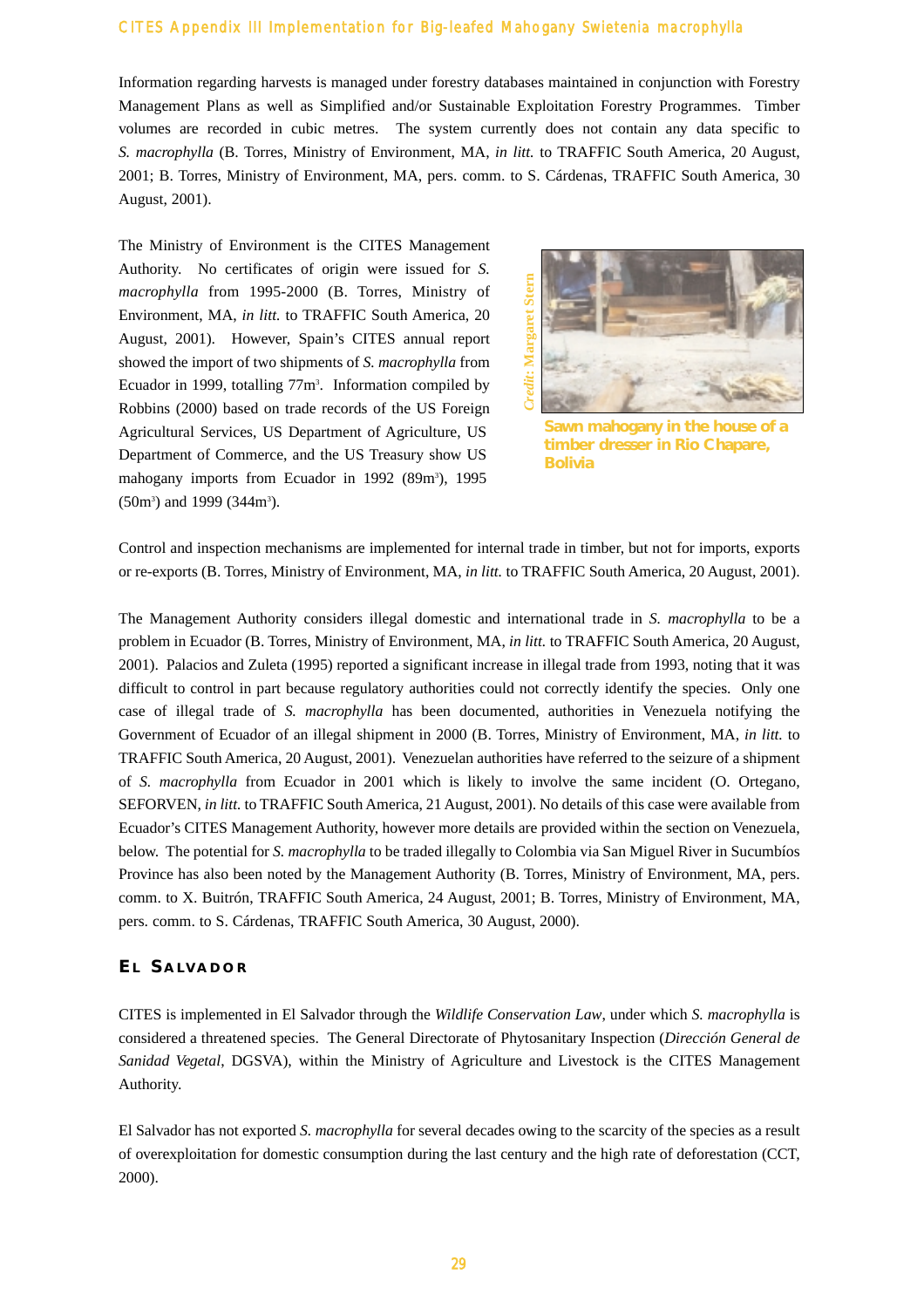Information regarding harvests is managed under forestry databases maintained in conjunction with Forestry Management Plans as well as Simplified and/or Sustainable Exploitation Forestry Programmes. Timber volumes are recorded in cubic metres. The system currently does not contain any data specific to *S. macrophylla* (B. Torres, Ministry of Environment, MA, *in litt.* to TRAFFIC South America, 20 August, 2001; B. Torres, Ministry of Environment, MA, pers. comm. to S. Cárdenas, TRAFFIC South America, 30 August, 2001).

The Ministry of Environment is the CITES Management Authority. No certificates of origin were issued for *S. macrophylla* from 1995-2000 (B. Torres, Ministry of Environment, MA, *in litt.* to TRAFFIC South America, 20 August, 2001). However, Spain's CITES annual report showed the import of two shipments of *S. macrophylla* from Ecuador in 1999, totalling 77m<sup>3</sup>. Information compiled by Robbins (2000) based on trade records of the US Foreign Agricultural Services, US Department of Agriculture, US Department of Commerce, and the US Treasury show US mahogany imports from Ecuador in 1992 (89m<sup>3</sup>), 1995  $(50m<sup>3</sup>)$  and 1999  $(344m<sup>3</sup>)$ .



**Sawn mahogany in the house of a timber dresser in Rio Chapare, Bolivia**

Control and inspection mechanisms are implemented for internal trade in timber, but not for imports, exports or re-exports (B. Torres, Ministry of Environment, MA, *in litt.* to TRAFFIC South America, 20 August, 2001).

The Management Authority considers illegal domestic and international trade in *S. macrophylla* to be a problem in Ecuador (B. Torres, Ministry of Environment, MA, *in litt.* to TRAFFIC South America, 20 August, 2001). Palacios and Zuleta (1995) reported a significant increase in illegal trade from 1993, noting that it was difficult to control in part because regulatory authorities could not correctly identify the species. Only one case of illegal trade of *S. macrophylla* has been documented, authorities in Venezuela notifying the Government of Ecuador of an illegal shipment in 2000 (B. Torres, Ministry of Environment, MA, *in litt.* to TRAFFIC South America, 20 August, 2001). Venezuelan authorities have referred to the seizure of a shipment of *S. macrophylla* from Ecuador in 2001 which is likely to involve the same incident (O. Ortegano, SEFORVEN, *in litt.* to TRAFFIC South America, 21 August, 2001). No details of this case were available from Ecuador's CITES Management Authority, however more details are provided within the section on Venezuela, below. The potential for *S. macrophylla* to be traded illegally to Colombia via San Miguel River in Sucumbíos Province has also been noted by the Management Authority (B. Torres, Ministry of Environment, MA, pers. comm. to X. Buitrón, TRAFFIC South America, 24 August, 2001; B. Torres, Ministry of Environment, MA, pers. comm. to S. Cárdenas, TRAFFIC South America, 30 August, 2000).

#### **E L S ALVADOR**

CITES is implemented in El Salvador through the *Wildlife Conservation Law*, under which *S. macrophylla* is considered a threatened species. The General Directorate of Phytosanitary Inspection (*Dirección General de Sanidad Vegetal*, DGSVA), within the Ministry of Agriculture and Livestock is the CITES Management Authority.

El Salvador has not exported *S. macrophylla* for several decades owing to the scarcity of the species as a result of overexploitation for domestic consumption during the last century and the high rate of deforestation (CCT, 2000).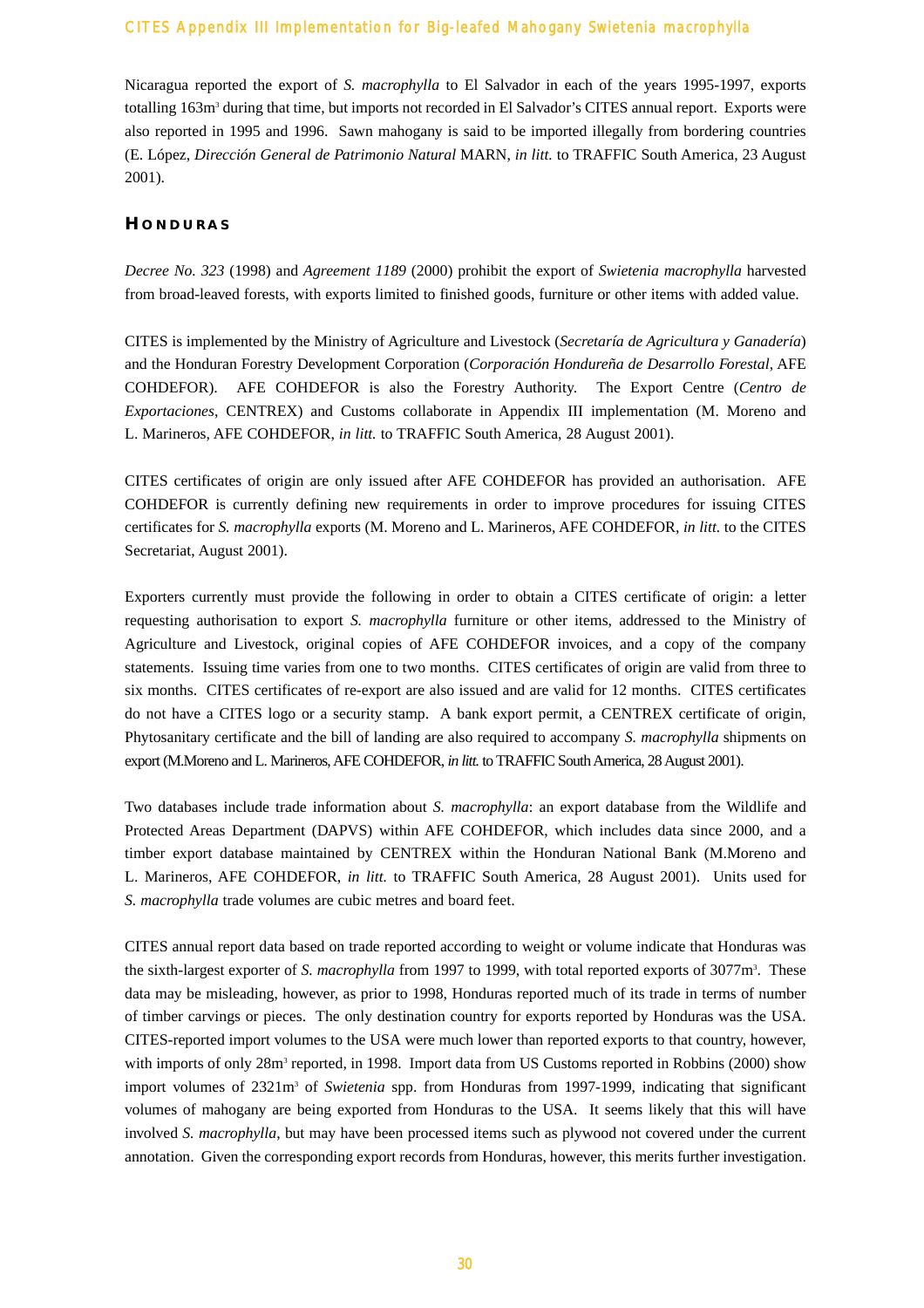Nicaragua reported the export of *S. macrophylla* to El Salvador in each of the years 1995-1997, exports totalling 163m3 during that time, but imports not recorded in El Salvador's CITES annual report. Exports were also reported in 1995 and 1996. Sawn mahogany is said to be imported illegally from bordering countries (E. López, *Dirección General de Patrimonio Natural* MARN, *in litt.* to TRAFFIC South America, 23 August 2001).

# **H ONDURAS**

*Decree No. 323* (1998) and *Agreement 1189* (2000) prohibit the export of *Swietenia macrophylla* harvested from broad-leaved forests, with exports limited to finished goods, furniture or other items with added value.

CITES is implemented by the Ministry of Agriculture and Livestock (*Secretaría de Agricultura y Ganadería*) and the Honduran Forestry Development Corporation (*Corporación Hondureña de Desarrollo Forestal*, AFE COHDEFOR). AFE COHDEFOR is also the Forestry Authority. The Export Centre (*Centro de Exportaciones*, CENTREX) and Customs collaborate in Appendix III implementation (M. Moreno and L. Marineros, AFE COHDEFOR, *in litt.* to TRAFFIC South America, 28 August 2001).

CITES certificates of origin are only issued after AFE COHDEFOR has provided an authorisation. AFE COHDEFOR is currently defining new requirements in order to improve procedures for issuing CITES certificates for *S. macrophylla* exports (M. Moreno and L. Marineros, AFE COHDEFOR, *in litt.* to the CITES Secretariat, August 2001).

Exporters currently must provide the following in order to obtain a CITES certificate of origin: a letter requesting authorisation to export *S. macrophylla* furniture or other items, addressed to the Ministry of Agriculture and Livestock, original copies of AFE COHDEFOR invoices, and a copy of the company statements. Issuing time varies from one to two months. CITES certificates of origin are valid from three to six months. CITES certificates of re-export are also issued and are valid for 12 months. CITES certificates do not have a CITES logo or a security stamp. A bank export permit, a CENTREX certificate of origin, Phytosanitary certificate and the bill of landing are also required to accompany *S. macrophylla* shipments on export (M.Moreno and L. Marineros,AFE COHDEFOR, *in litt.* to TRAFFIC South America, 28 August 2001).

Two databases include trade information about *S. macrophylla*: an export database from the Wildlife and Protected Areas Department (DAPVS) within AFE COHDEFOR, which includes data since 2000, and a timber export database maintained by CENTREX within the Honduran National Bank (M.Moreno and L. Marineros, AFE COHDEFOR, *in litt.* to TRAFFIC South America, 28 August 2001). Units used for *S. macrophylla* trade volumes are cubic metres and board feet.

CITES annual report data based on trade reported according to weight or volume indicate that Honduras was the sixth-largest exporter of *S. macrophylla* from 1997 to 1999, with total reported exports of 3077m<sup>3</sup>. These data may be misleading, however, as prior to 1998, Honduras reported much of its trade in terms of number of timber carvings or pieces. The only destination country for exports reported by Honduras was the USA. CITES-reported import volumes to the USA were much lower than reported exports to that country, however, with imports of only 28m<sup>3</sup> reported, in 1998. Import data from US Customs reported in Robbins (2000) show import volumes of 2321m<sup>3</sup> of *Swietenia* spp. from Honduras from 1997-1999, indicating that significant volumes of mahogany are being exported from Honduras to the USA. It seems likely that this will have involved *S. macrophylla*, but may have been processed items such as plywood not covered under the current annotation. Given the corresponding export records from Honduras, however, this merits further investigation.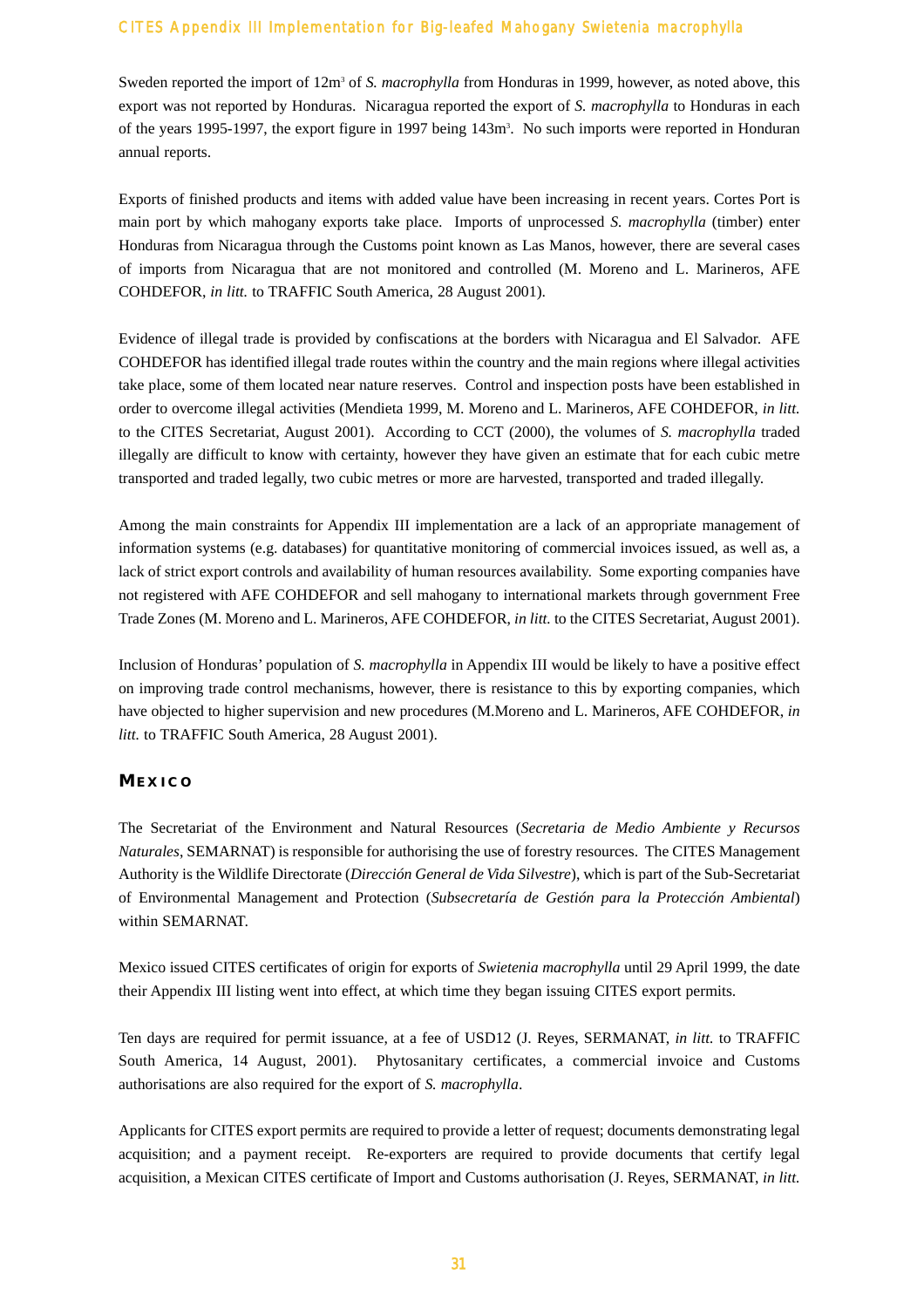Sweden reported the import of 12m<sup>3</sup> of *S. macrophylla* from Honduras in 1999, however, as noted above, this export was not reported by Honduras. Nicaragua reported the export of *S. macrophylla* to Honduras in each of the years 1995-1997, the export figure in 1997 being 143m3 . No such imports were reported in Honduran annual reports.

Exports of finished products and items with added value have been increasing in recent years. Cortes Port is main port by which mahogany exports take place. Imports of unprocessed *S. macrophylla* (timber) enter Honduras from Nicaragua through the Customs point known as Las Manos, however, there are several cases of imports from Nicaragua that are not monitored and controlled (M. Moreno and L. Marineros, AFE COHDEFOR, *in litt.* to TRAFFIC South America, 28 August 2001).

Evidence of illegal trade is provided by confiscations at the borders with Nicaragua and El Salvador. AFE COHDEFOR has identified illegal trade routes within the country and the main regions where illegal activities take place, some of them located near nature reserves. Control and inspection posts have been established in order to overcome illegal activities (Mendieta 1999, M. Moreno and L. Marineros, AFE COHDEFOR, *in litt.* to the CITES Secretariat, August 2001). According to CCT (2000), the volumes of *S. macrophylla* traded illegally are difficult to know with certainty, however they have given an estimate that for each cubic metre transported and traded legally, two cubic metres or more are harvested, transported and traded illegally.

Among the main constraints for Appendix III implementation are a lack of an appropriate management of information systems (e.g. databases) for quantitative monitoring of commercial invoices issued, as well as, a lack of strict export controls and availability of human resources availability. Some exporting companies have not registered with AFE COHDEFOR and sell mahogany to international markets through government Free Trade Zones (M. Moreno and L. Marineros, AFE COHDEFOR, *in litt.* to the CITES Secretariat, August 2001).

Inclusion of Honduras' population of *S. macrophylla* in Appendix III would be likely to have a positive effect on improving trade control mechanisms, however, there is resistance to this by exporting companies, which have objected to higher supervision and new procedures (M.Moreno and L. Marineros, AFE COHDEFOR, *in litt.* to TRAFFIC South America, 28 August 2001).

#### **M EXICO**

The Secretariat of the Environment and Natural Resources (*Secretaria de Medio Ambiente y Recursos Naturales*, SEMARNAT) is responsible for authorising the use of forestry resources. The CITES Management Authority is the Wildlife Directorate (*Dirección General de Vida Silvestre*), which is part of the Sub-Secretariat of Environmental Management and Protection (*Subsecretaría de Gestión para la Protección Ambiental*) within SEMARNAT.

Mexico issued CITES certificates of origin for exports of *Swietenia macrophylla* until 29 April 1999, the date their Appendix III listing went into effect, at which time they began issuing CITES export permits.

Ten days are required for permit issuance, at a fee of USD12 (J. Reyes, SERMANAT, *in litt.* to TRAFFIC South America, 14 August, 2001). Phytosanitary certificates, a commercial invoice and Customs authorisations are also required for the export of *S. macrophylla*.

Applicants for CITES export permits are required to provide a letter of request; documents demonstrating legal acquisition; and a payment receipt. Re-exporters are required to provide documents that certify legal acquisition, a Mexican CITES certificate of Import and Customs authorisation (J. Reyes, SERMANAT, *in litt.*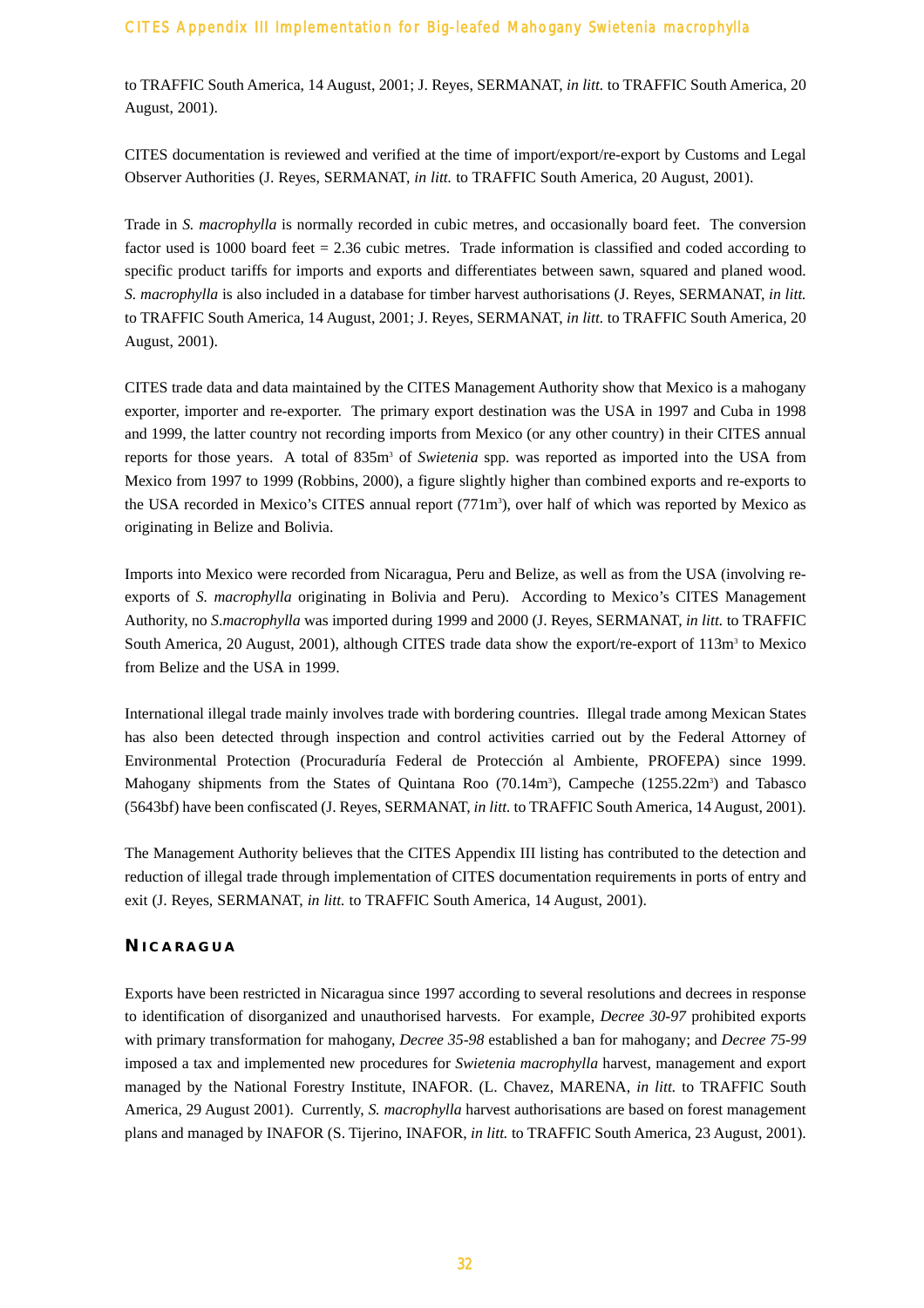to TRAFFIC South America, 14 August, 2001; J. Reyes, SERMANAT, *in litt.* to TRAFFIC South America, 20 August, 2001).

CITES documentation is reviewed and verified at the time of import/export/re-export by Customs and Legal Observer Authorities (J. Reyes, SERMANAT, *in litt.* to TRAFFIC South America, 20 August, 2001).

Trade in *S. macrophylla* is normally recorded in cubic metres, and occasionally board feet. The conversion factor used is 1000 board feet = 2.36 cubic metres. Trade information is classified and coded according to specific product tariffs for imports and exports and differentiates between sawn, squared and planed wood. *S. macrophylla* is also included in a database for timber harvest authorisations (J. Reyes, SERMANAT, *in litt.* to TRAFFIC South America, 14 August, 2001; J. Reyes, SERMANAT, *in litt.* to TRAFFIC South America, 20 August, 2001).

CITES trade data and data maintained by the CITES Management Authority show that Mexico is a mahogany exporter, importer and re-exporter. The primary export destination was the USA in 1997 and Cuba in 1998 and 1999, the latter country not recording imports from Mexico (or any other country) in their CITES annual reports for those years. A total of 835m<sup>3</sup> of *Swietenia* spp. was reported as imported into the USA from Mexico from 1997 to 1999 (Robbins, 2000), a figure slightly higher than combined exports and re-exports to the USA recorded in Mexico's CITES annual report (771m<sup>3</sup>), over half of which was reported by Mexico as originating in Belize and Bolivia.

Imports into Mexico were recorded from Nicaragua, Peru and Belize, as well as from the USA (involving reexports of *S. macrophylla* originating in Bolivia and Peru). According to Mexico's CITES Management Authority, no *S*.*macrophylla* was imported during 1999 and 2000 (J. Reyes, SERMANAT, *in litt.* to TRAFFIC South America, 20 August, 2001), although CITES trade data show the export/re-export of 113m<sup>3</sup> to Mexico from Belize and the USA in 1999.

International illegal trade mainly involves trade with bordering countries. Illegal trade among Mexican States has also been detected through inspection and control activities carried out by the Federal Attorney of Environmental Protection (Procuraduría Federal de Protección al Ambiente, PROFEPA) since 1999. Mahogany shipments from the States of Quintana Roo (70.14m<sup>3</sup>), Campeche (1255.22m<sup>3</sup>) and Tabasco (5643bf) have been confiscated (J. Reyes, SERMANAT, *in litt.* to TRAFFIC South America, 14 August, 2001).

The Management Authority believes that the CITES Appendix III listing has contributed to the detection and reduction of illegal trade through implementation of CITES documentation requirements in ports of entry and exit (J. Reyes, SERMANAT, *in litt.* to TRAFFIC South America, 14 August, 2001).

# **N ICARAGUA**

Exports have been restricted in Nicaragua since 1997 according to several resolutions and decrees in response to identification of disorganized and unauthorised harvests. For example, *Decree 30-97* prohibited exports with primary transformation for mahogany, *Decree 35-98* established a ban for mahogany; and *Decree 75-99* imposed a tax and implemented new procedures for *Swietenia macrophylla* harvest, management and export managed by the National Forestry Institute, INAFOR. (L. Chavez, MARENA, *in litt.* to TRAFFIC South America, 29 August 2001). Currently, *S. macrophylla* harvest authorisations are based on forest management plans and managed by INAFOR (S. Tijerino, INAFOR, *in litt.* to TRAFFIC South America, 23 August, 2001).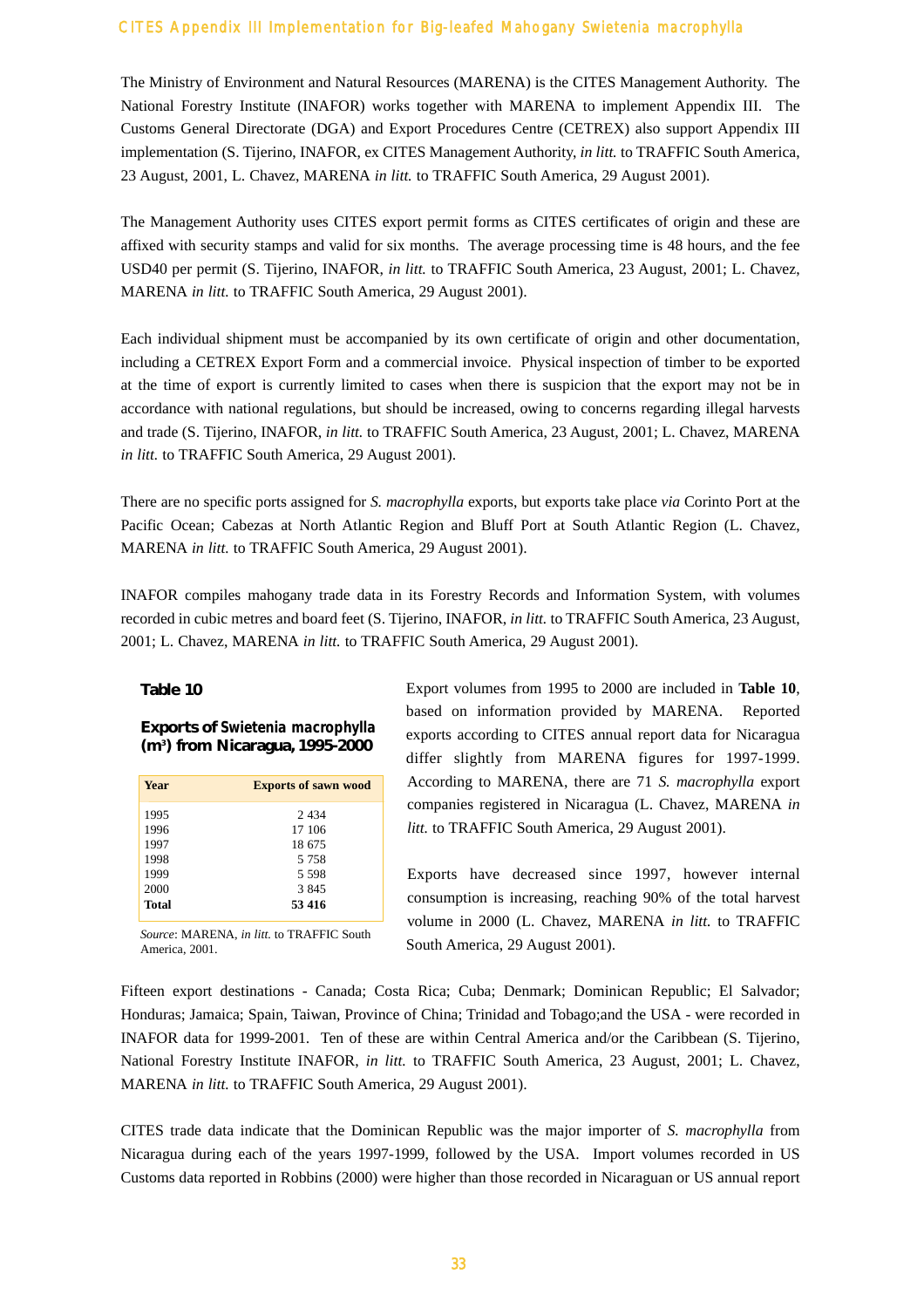The Ministry of Environment and Natural Resources (MARENA) is the CITES Management Authority. The National Forestry Institute (INAFOR) works together with MARENA to implement Appendix III. The Customs General Directorate (DGA) and Export Procedures Centre (CETREX) also support Appendix III implementation (S. Tijerino, INAFOR, ex CITES Management Authority, *in litt.* to TRAFFIC South America, 23 August, 2001, L. Chavez, MARENA *in litt.* to TRAFFIC South America, 29 August 2001).

The Management Authority uses CITES export permit forms as CITES certificates of origin and these are affixed with security stamps and valid for six months. The average processing time is 48 hours, and the fee USD40 per permit (S. Tijerino, INAFOR, *in litt.* to TRAFFIC South America, 23 August, 2001; L. Chavez, MARENA *in litt.* to TRAFFIC South America, 29 August 2001).

Each individual shipment must be accompanied by its own certificate of origin and other documentation, including a CETREX Export Form and a commercial invoice. Physical inspection of timber to be exported at the time of export is currently limited to cases when there is suspicion that the export may not be in accordance with national regulations, but should be increased, owing to concerns regarding illegal harvests and trade (S. Tijerino, INAFOR, *in litt.* to TRAFFIC South America, 23 August, 2001; L. Chavez, MARENA *in litt.* to TRAFFIC South America, 29 August 2001).

There are no specific ports assigned for *S. macrophylla* exports, but exports take place *via* Corinto Port at the Pacific Ocean; Cabezas at North Atlantic Region and Bluff Port at South Atlantic Region (L. Chavez, MARENA *in litt.* to TRAFFIC South America, 29 August 2001).

INAFOR compiles mahogany trade data in its Forestry Records and Information System, with volumes recorded in cubic metres and board feet (S. Tijerino, INAFOR, *in litt.* to TRAFFIC South America, 23 August, 2001; L. Chavez, MARENA *in litt.* to TRAFFIC South America, 29 August 2001).

#### **Table 10**

#### **Exports of** *Swietenia macrophylla* **(m3 ) from Nicaragua, 1995-2000**

| <b>Year</b>  | <b>Exports of sawn wood</b> |
|--------------|-----------------------------|
| 1995         | 2434                        |
| 1996         | 17 106                      |
| 1997         | 18 675                      |
| 1998         | 5 7 5 8                     |
| 1999         | 5 5 9 8                     |
| 2000         | 3 8 4 5                     |
| <b>Total</b> | 53 416                      |

*Source*: MARENA, *in litt.* to TRAFFIC South America, 2001.

Export volumes from 1995 to 2000 are included in **Table 10**, based on information provided by MARENA. Reported exports according to CITES annual report data for Nicaragua differ slightly from MARENA figures for 1997-1999. According to MARENA, there are 71 *S. macrophylla* export companies registered in Nicaragua (L. Chavez, MARENA *in litt.* to TRAFFIC South America, 29 August 2001).

Exports have decreased since 1997, however internal consumption is increasing, reaching 90% of the total harvest volume in 2000 (L. Chavez, MARENA *in litt.* to TRAFFIC South America, 29 August 2001).

Fifteen export destinations - Canada; Costa Rica; Cuba; Denmark; Dominican Republic; El Salvador; Honduras; Jamaica; Spain, Taiwan, Province of China; Trinidad and Tobago;and the USA - were recorded in INAFOR data for 1999-2001. Ten of these are within Central America and/or the Caribbean (S. Tijerino, National Forestry Institute INAFOR, *in litt.* to TRAFFIC South America, 23 August, 2001; L. Chavez, MARENA *in litt.* to TRAFFIC South America, 29 August 2001).

CITES trade data indicate that the Dominican Republic was the major importer of *S. macrophylla* from Nicaragua during each of the years 1997-1999, followed by the USA. Import volumes recorded in US Customs data reported in Robbins (2000) were higher than those recorded in Nicaraguan or US annual report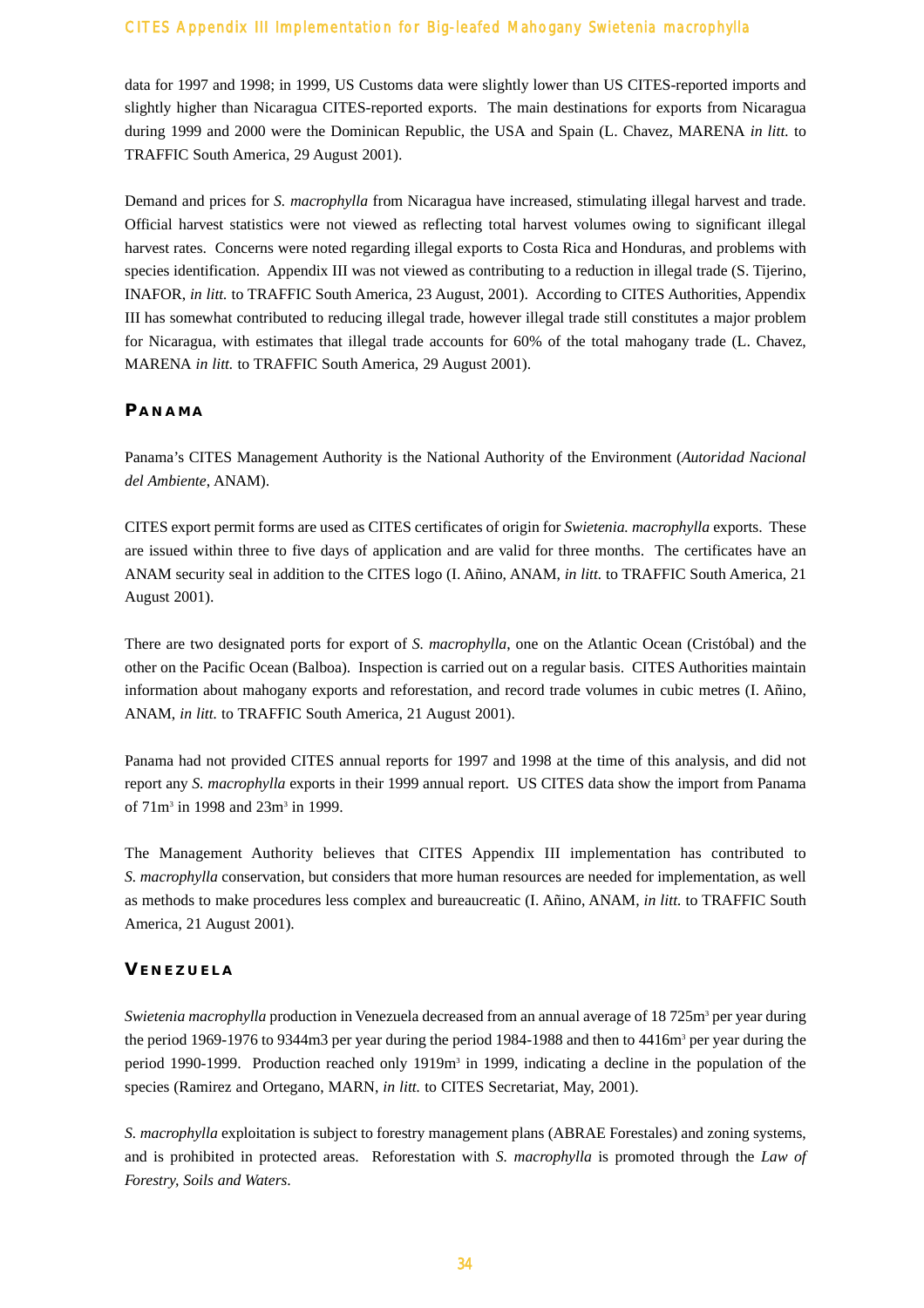data for 1997 and 1998; in 1999, US Customs data were slightly lower than US CITES-reported imports and slightly higher than Nicaragua CITES-reported exports. The main destinations for exports from Nicaragua during 1999 and 2000 were the Dominican Republic, the USA and Spain (L. Chavez, MARENA *in litt.* to TRAFFIC South America, 29 August 2001).

Demand and prices for *S. macrophylla* from Nicaragua have increased, stimulating illegal harvest and trade. Official harvest statistics were not viewed as reflecting total harvest volumes owing to significant illegal harvest rates. Concerns were noted regarding illegal exports to Costa Rica and Honduras, and problems with species identification. Appendix III was not viewed as contributing to a reduction in illegal trade (S. Tijerino, INAFOR, *in litt.* to TRAFFIC South America, 23 August, 2001). According to CITES Authorities, Appendix III has somewhat contributed to reducing illegal trade, however illegal trade still constitutes a major problem for Nicaragua, with estimates that illegal trade accounts for 60% of the total mahogany trade (L. Chavez, MARENA *in litt.* to TRAFFIC South America, 29 August 2001).

#### **P ANAMA**

Panama's CITES Management Authority is the National Authority of the Environment (*Autoridad Nacional del Ambiente*, ANAM).

CITES export permit forms are used as CITES certificates of origin for *Swietenia. macrophylla* exports. These are issued within three to five days of application and are valid for three months. The certificates have an ANAM security seal in addition to the CITES logo (I. Añino, ANAM, *in litt.* to TRAFFIC South America, 21 August 2001).

There are two designated ports for export of *S. macrophylla*, one on the Atlantic Ocean (Cristóbal) and the other on the Pacific Ocean (Balboa). Inspection is carried out on a regular basis. CITES Authorities maintain information about mahogany exports and reforestation, and record trade volumes in cubic metres (I. Añino, ANAM, *in litt.* to TRAFFIC South America, 21 August 2001).

Panama had not provided CITES annual reports for 1997 and 1998 at the time of this analysis, and did not report any *S. macrophylla* exports in their 1999 annual report. US CITES data show the import from Panama of 71m3 in 1998 and 23m3 in 1999.

The Management Authority believes that CITES Appendix III implementation has contributed to *S. macrophylla* conservation, but considers that more human resources are needed for implementation, as well as methods to make procedures less complex and bureaucreatic (I. Añino, ANAM, *in litt.* to TRAFFIC South America, 21 August 2001).

# **V ENEZUELA**

*Swietenia macrophylla* production in Venezuela decreased from an annual average of 18 725m<sup>3</sup> per year during the period 1969-1976 to 9344m3 per year during the period 1984-1988 and then to  $4416m<sup>3</sup>$  per year during the period 1990-1999. Production reached only  $1919m<sup>3</sup>$  in 1999, indicating a decline in the population of the species (Ramirez and Ortegano, MARN, *in litt.* to CITES Secretariat, May, 2001).

*S. macrophylla* exploitation is subject to forestry management plans (ABRAE Forestales) and zoning systems, and is prohibited in protected areas. Reforestation with *S. macrophylla* is promoted through the *Law of Forestry, Soils and Waters*.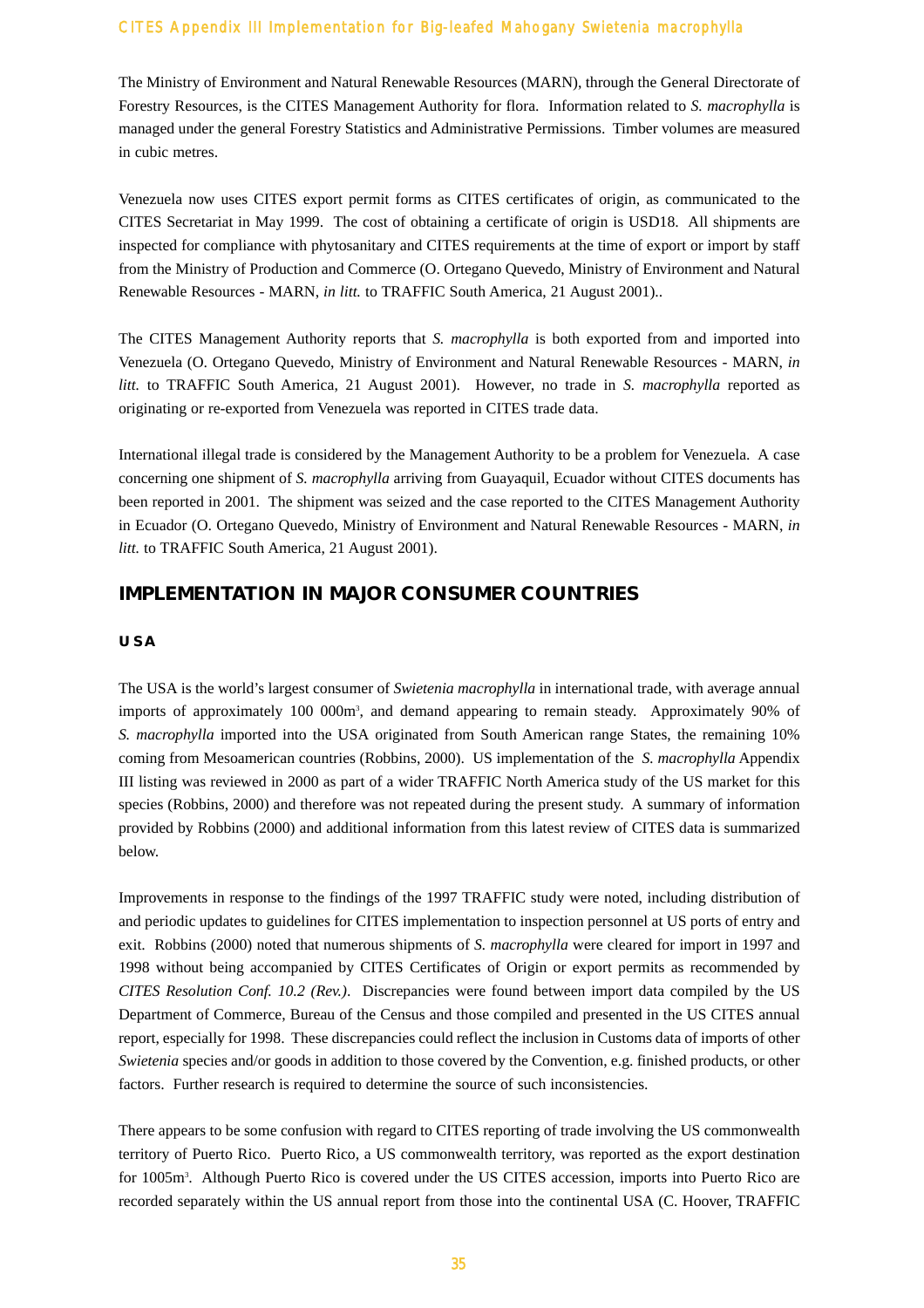The Ministry of Environment and Natural Renewable Resources (MARN), through the General Directorate of Forestry Resources, is the CITES Management Authority for flora. Information related to *S. macrophylla* is managed under the general Forestry Statistics and Administrative Permissions. Timber volumes are measured in cubic metres.

Venezuela now uses CITES export permit forms as CITES certificates of origin, as communicated to the CITES Secretariat in May 1999. The cost of obtaining a certificate of origin is USD18. All shipments are inspected for compliance with phytosanitary and CITES requirements at the time of export or import by staff from the Ministry of Production and Commerce (O. Ortegano Quevedo, Ministry of Environment and Natural Renewable Resources - MARN, *in litt.* to TRAFFIC South America, 21 August 2001)..

The CITES Management Authority reports that *S. macrophylla* is both exported from and imported into Venezuela (O. Ortegano Quevedo, Ministry of Environment and Natural Renewable Resources - MARN, *in litt.* to TRAFFIC South America, 21 August 2001). However, no trade in *S. macrophylla* reported as originating or re-exported from Venezuela was reported in CITES trade data.

International illegal trade is considered by the Management Authority to be a problem for Venezuela. A case concerning one shipment of *S. macrophylla* arriving from Guayaquil, Ecuador without CITES documents has been reported in 2001. The shipment was seized and the case reported to the CITES Management Authority in Ecuador (O. Ortegano Quevedo, Ministry of Environment and Natural Renewable Resources - MARN, *in litt.* to TRAFFIC South America, 21 August 2001).

# **IMPLEMENTATION IN MAJOR CONSUMER COUNTRIES**

#### **USA**

The USA is the world's largest consumer of *Swietenia macrophylla* in international trade, with average annual imports of approximately 100 000m3 , and demand appearing to remain steady. Approximately 90% of *S. macrophylla* imported into the USA originated from South American range States, the remaining 10% coming from Mesoamerican countries (Robbins, 2000). US implementation of the *S. macrophylla* Appendix III listing was reviewed in 2000 as part of a wider TRAFFIC North America study of the US market for this species (Robbins, 2000) and therefore was not repeated during the present study. A summary of information provided by Robbins (2000) and additional information from this latest review of CITES data is summarized below.

Improvements in response to the findings of the 1997 TRAFFIC study were noted, including distribution of and periodic updates to guidelines for CITES implementation to inspection personnel at US ports of entry and exit. Robbins (2000) noted that numerous shipments of *S. macrophylla* were cleared for import in 1997 and 1998 without being accompanied by CITES Certificates of Origin or export permits as recommended by *CITES Resolution Conf. 10.2 (Rev.)*. Discrepancies were found between import data compiled by the US Department of Commerce, Bureau of the Census and those compiled and presented in the US CITES annual report, especially for 1998. These discrepancies could reflect the inclusion in Customs data of imports of other *Swietenia* species and/or goods in addition to those covered by the Convention, e.g. finished products, or other factors. Further research is required to determine the source of such inconsistencies.

There appears to be some confusion with regard to CITES reporting of trade involving the US commonwealth territory of Puerto Rico. Puerto Rico, a US commonwealth territory, was reported as the export destination for 1005m<sup>3</sup>. Although Puerto Rico is covered under the US CITES accession, imports into Puerto Rico are recorded separately within the US annual report from those into the continental USA (C. Hoover, TRAFFIC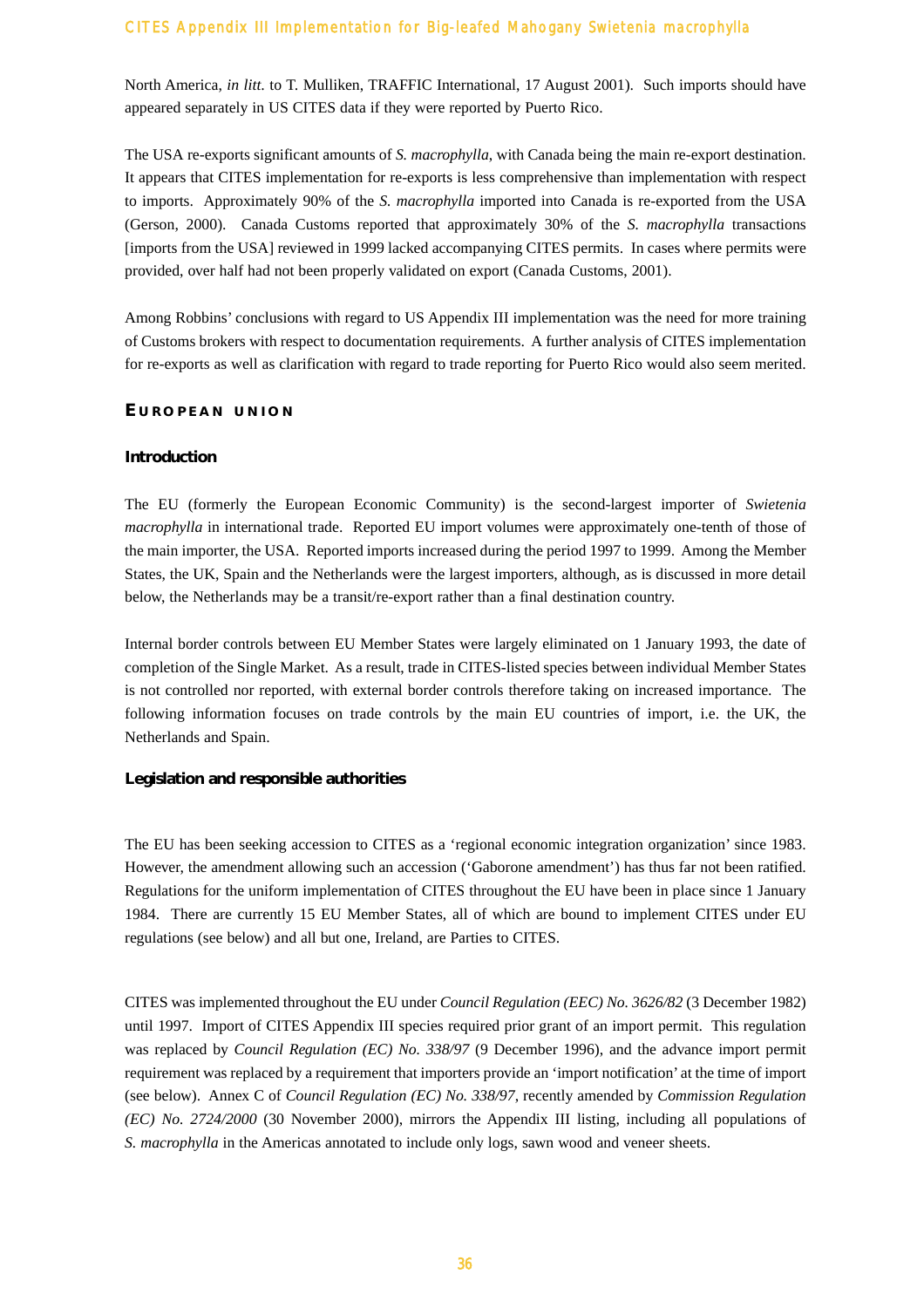North America, *in litt*. to T. Mulliken, TRAFFIC International, 17 August 2001). Such imports should have appeared separately in US CITES data if they were reported by Puerto Rico.

The USA re-exports significant amounts of *S. macrophylla*, with Canada being the main re-export destination. It appears that CITES implementation for re-exports is less comprehensive than implementation with respect to imports. Approximately 90% of the *S. macrophylla* imported into Canada is re-exported from the USA (Gerson, 2000). Canada Customs reported that approximately 30% of the *S. macrophylla* transactions [imports from the USA] reviewed in 1999 lacked accompanying CITES permits. In cases where permits were provided, over half had not been properly validated on export (Canada Customs, 2001).

Among Robbins' conclusions with regard to US Appendix III implementation was the need for more training of Customs brokers with respect to documentation requirements. A further analysis of CITES implementation for re-exports as well as clarification with regard to trade reporting for Puerto Rico would also seem merited.

#### **E UROPEAN UNION**

#### **Introduction**

The EU (formerly the European Economic Community) is the second-largest importer of *Swietenia macrophylla* in international trade. Reported EU import volumes were approximately one-tenth of those of the main importer, the USA. Reported imports increased during the period 1997 to 1999. Among the Member States, the UK, Spain and the Netherlands were the largest importers, although, as is discussed in more detail below, the Netherlands may be a transit/re-export rather than a final destination country.

Internal border controls between EU Member States were largely eliminated on 1 January 1993, the date of completion of the Single Market. As a result, trade in CITES-listed species between individual Member States is not controlled nor reported, with external border controls therefore taking on increased importance. The following information focuses on trade controls by the main EU countries of import, i.e. the UK, the Netherlands and Spain.

#### **Legislation and responsible authorities**

The EU has been seeking accession to CITES as a 'regional economic integration organization' since 1983. However, the amendment allowing such an accession ('Gaborone amendment') has thus far not been ratified. Regulations for the uniform implementation of CITES throughout the EU have been in place since 1 January 1984. There are currently 15 EU Member States, all of which are bound to implement CITES under EU regulations (see below) and all but one, Ireland, are Parties to CITES.

CITES was implemented throughout the EU under *Council Regulation (EEC) No. 3626/82* (3 December 1982) until 1997. Import of CITES Appendix III species required prior grant of an import permit. This regulation was replaced by *Council Regulation (EC) No. 338/97* (9 December 1996), and the advance import permit requirement was replaced by a requirement that importers provide an 'import notification' at the time of import (see below). Annex C of *Council Regulation (EC) No. 338/97*, recently amended by *Commission Regulation (EC) No. 2724/2000* (30 November 2000), mirrors the Appendix III listing, including all populations of *S. macrophylla* in the Americas annotated to include only logs, sawn wood and veneer sheets.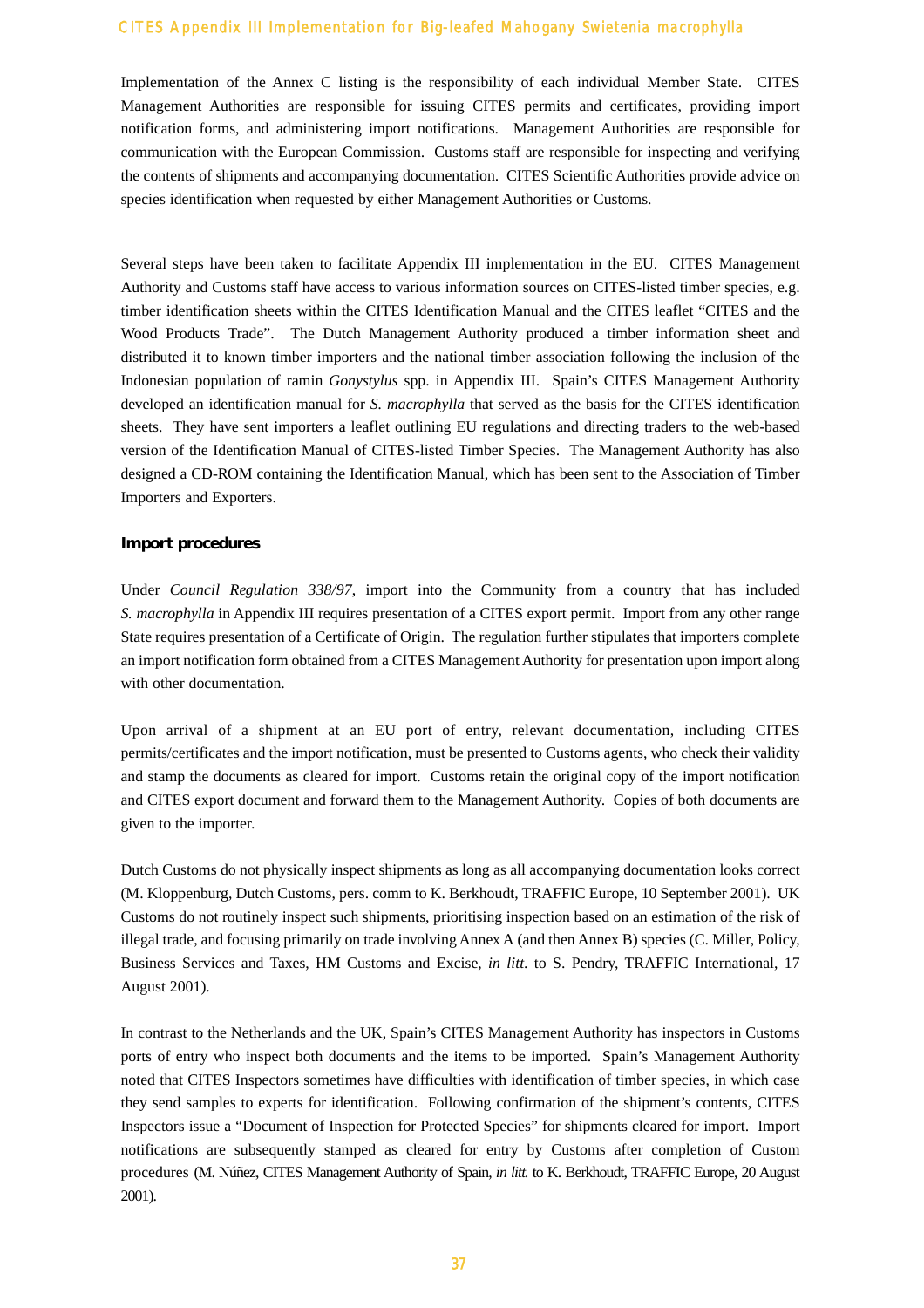Implementation of the Annex C listing is the responsibility of each individual Member State. CITES Management Authorities are responsible for issuing CITES permits and certificates, providing import notification forms, and administering import notifications. Management Authorities are responsible for communication with the European Commission. Customs staff are responsible for inspecting and verifying the contents of shipments and accompanying documentation. CITES Scientific Authorities provide advice on species identification when requested by either Management Authorities or Customs.

Several steps have been taken to facilitate Appendix III implementation in the EU. CITES Management Authority and Customs staff have access to various information sources on CITES-listed timber species, e.g. timber identification sheets within the CITES Identification Manual and the CITES leaflet "CITES and the Wood Products Trade". The Dutch Management Authority produced a timber information sheet and distributed it to known timber importers and the national timber association following the inclusion of the Indonesian population of ramin *Gonystylus* spp. in Appendix III. Spain's CITES Management Authority developed an identification manual for *S. macrophylla* that served as the basis for the CITES identification sheets. They have sent importers a leaflet outlining EU regulations and directing traders to the web-based version of the Identification Manual of CITES-listed Timber Species. The Management Authority has also designed a CD-ROM containing the Identification Manual, which has been sent to the Association of Timber Importers and Exporters.

#### **Import procedures**

Under *Council Regulation 338/97*, import into the Community from a country that has included *S. macrophylla* in Appendix III requires presentation of a CITES export permit. Import from any other range State requires presentation of a Certificate of Origin. The regulation further stipulates that importers complete an import notification form obtained from a CITES Management Authority for presentation upon import along with other documentation.

Upon arrival of a shipment at an EU port of entry, relevant documentation, including CITES permits/certificates and the import notification, must be presented to Customs agents, who check their validity and stamp the documents as cleared for import. Customs retain the original copy of the import notification and CITES export document and forward them to the Management Authority. Copies of both documents are given to the importer.

Dutch Customs do not physically inspect shipments as long as all accompanying documentation looks correct (M. Kloppenburg, Dutch Customs, pers. comm to K. Berkhoudt, TRAFFIC Europe, 10 September 2001). UK Customs do not routinely inspect such shipments, prioritising inspection based on an estimation of the risk of illegal trade, and focusing primarily on trade involving Annex A (and then Annex B) species (C. Miller, Policy, Business Services and Taxes, HM Customs and Excise, *in litt*. to S. Pendry, TRAFFIC International, 17 August 2001).

In contrast to the Netherlands and the UK, Spain's CITES Management Authority has inspectors in Customs ports of entry who inspect both documents and the items to be imported. Spain's Management Authority noted that CITES Inspectors sometimes have difficulties with identification of timber species, in which case they send samples to experts for identification. Following confirmation of the shipment's contents, CITES Inspectors issue a "Document of Inspection for Protected Species" for shipments cleared for import. Import notifications are subsequently stamped as cleared for entry by Customs after completion of Custom procedures (M. Núñez, CITES Management Authority of Spain, *in litt.* to K. Berkhoudt, TRAFFIC Europe, 20 August 2001).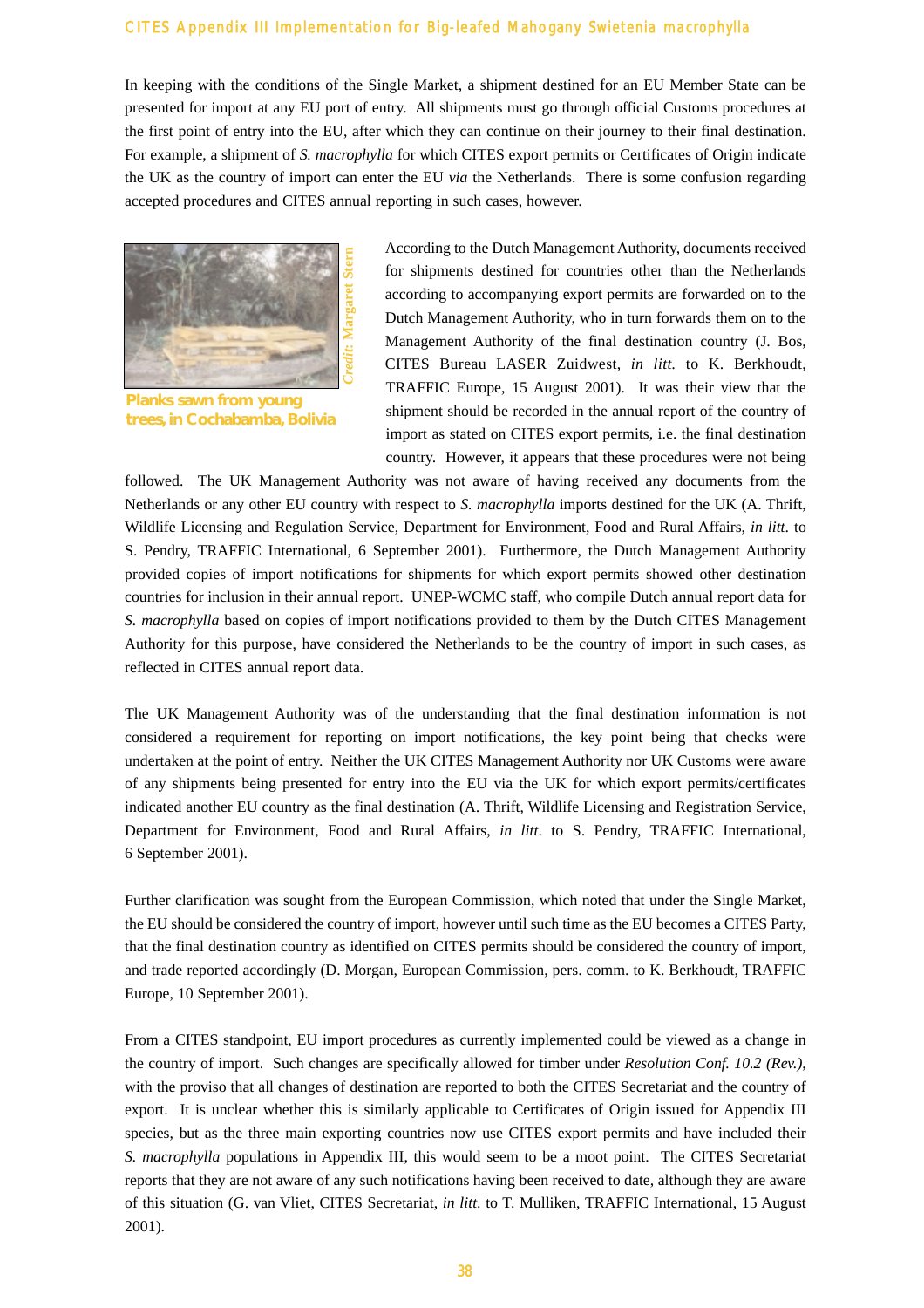In keeping with the conditions of the Single Market, a shipment destined for an EU Member State can be presented for import at any EU port of entry. All shipments must go through official Customs procedures at the first point of entry into the EU, after which they can continue on their journey to their final destination. For example, a shipment of *S. macrophylla* for which CITES export permits or Certificates of Origin indicate the UK as the country of import can enter the EU *via* the Netherlands. There is some confusion regarding accepted procedures and CITES annual reporting in such cases, however.



**Planks sawn from young trees, in Cochabamba, Bolivia**

According to the Dutch Management Authority, documents received for shipments destined for countries other than the Netherlands according to accompanying export permits are forwarded on to the Dutch Management Authority, who in turn forwards them on to the Management Authority of the final destination country (J. Bos, CITES Bureau LASER Zuidwest, *in litt.* to K. Berkhoudt, TRAFFIC Europe, 15 August 2001). It was their view that the shipment should be recorded in the annual report of the country of import as stated on CITES export permits, i.e. the final destination country. However, it appears that these procedures were not being

followed. The UK Management Authority was not aware of having received any documents from the Netherlands or any other EU country with respect to *S. macrophylla* imports destined for the UK (A. Thrift, Wildlife Licensing and Regulation Service, Department for Environment, Food and Rural Affairs, *in litt*. to S. Pendry, TRAFFIC International, 6 September 2001). Furthermore, the Dutch Management Authority provided copies of import notifications for shipments for which export permits showed other destination countries for inclusion in their annual report. UNEP-WCMC staff, who compile Dutch annual report data for *S. macrophylla* based on copies of import notifications provided to them by the Dutch CITES Management Authority for this purpose, have considered the Netherlands to be the country of import in such cases, as reflected in CITES annual report data.

The UK Management Authority was of the understanding that the final destination information is not considered a requirement for reporting on import notifications, the key point being that checks were undertaken at the point of entry. Neither the UK CITES Management Authority nor UK Customs were aware of any shipments being presented for entry into the EU via the UK for which export permits/certificates indicated another EU country as the final destination (A. Thrift, Wildlife Licensing and Registration Service, Department for Environment, Food and Rural Affairs, *in litt*. to S. Pendry, TRAFFIC International, 6 September 2001).

Further clarification was sought from the European Commission, which noted that under the Single Market, the EU should be considered the country of import, however until such time as the EU becomes a CITES Party, that the final destination country as identified on CITES permits should be considered the country of import, and trade reported accordingly (D. Morgan, European Commission, pers. comm. to K. Berkhoudt, TRAFFIC Europe, 10 September 2001).

From a CITES standpoint, EU import procedures as currently implemented could be viewed as a change in the country of import. Such changes are specifically allowed for timber under *Resolution Conf. 10.2 (Rev.)*, with the proviso that all changes of destination are reported to both the CITES Secretariat and the country of export. It is unclear whether this is similarly applicable to Certificates of Origin issued for Appendix III species, but as the three main exporting countries now use CITES export permits and have included their *S. macrophylla* populations in Appendix III, this would seem to be a moot point. The CITES Secretariat reports that they are not aware of any such notifications having been received to date, although they are aware of this situation (G. van Vliet, CITES Secretariat, *in litt*. to T. Mulliken, TRAFFIC International, 15 August 2001).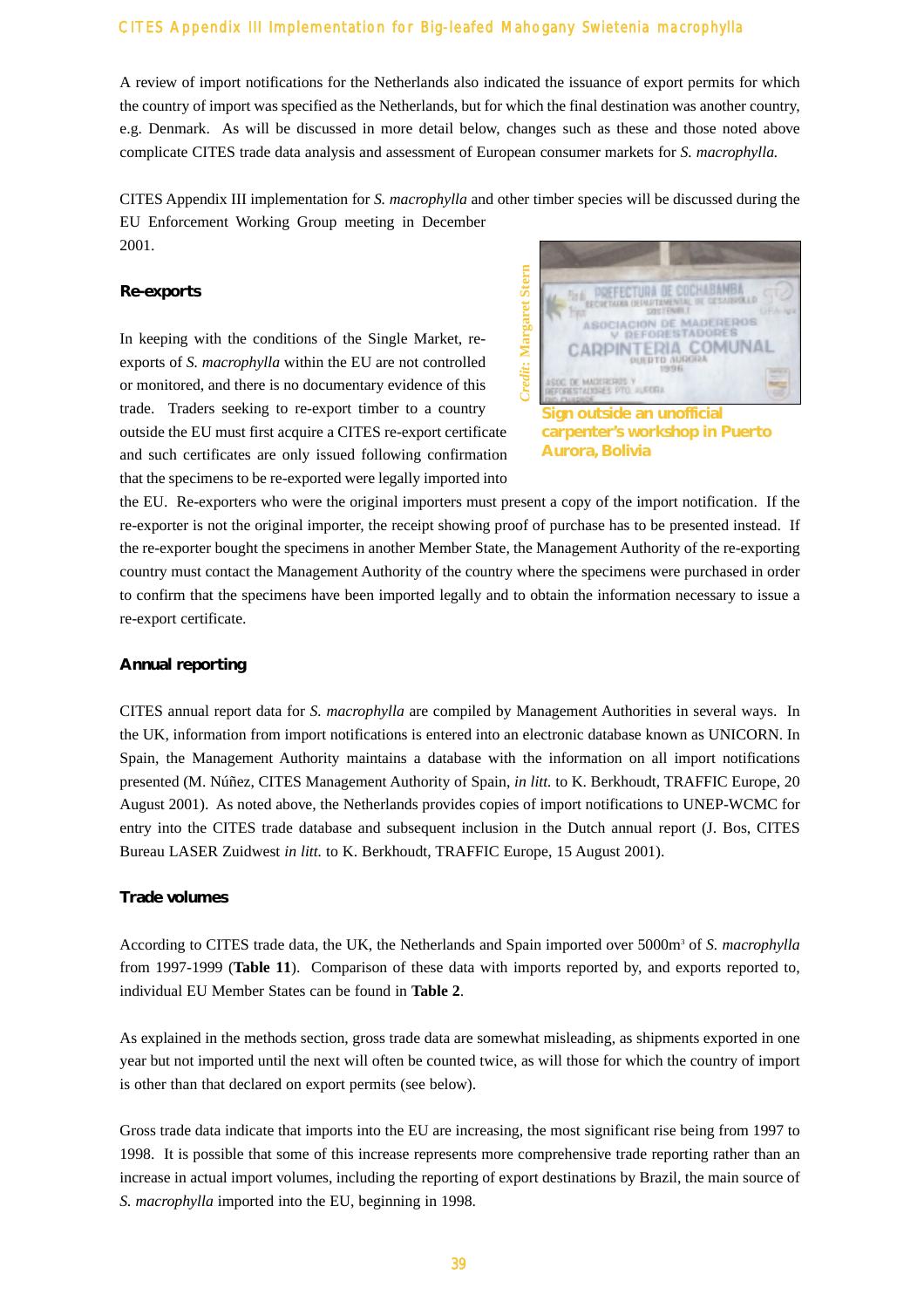A review of import notifications for the Netherlands also indicated the issuance of export permits for which the country of import was specified as the Netherlands, but for which the final destination was another country, e.g. Denmark. As will be discussed in more detail below, changes such as these and those noted above complicate CITES trade data analysis and assessment of European consumer markets for *S. macrophylla.*

CITES Appendix III implementation for *S. macrophylla* and other timber species will be discussed during the EU Enforcement Working Group meeting in December 2001.

#### **Re-exports**

In keeping with the conditions of the Single Market, reexports of *S. macrophylla* within the EU are not controlled or monitored, and there is no documentary evidence of this trade. Traders seeking to re-export timber to a country outside the EU must first acquire a CITES re-export certificate and such certificates are only issued following confirmation that the specimens to be re-exported were legally imported into



**Sign outside an unofficial carpenter's workshop in Puerto Aurora, Bolivia**

the EU. Re-exporters who were the original importers must present a copy of the import notification. If the re-exporter is not the original importer, the receipt showing proof of purchase has to be presented instead. If the re-exporter bought the specimens in another Member State, the Management Authority of the re-exporting country must contact the Management Authority of the country where the specimens were purchased in order to confirm that the specimens have been imported legally and to obtain the information necessary to issue a re-export certificate.

#### **Annual reporting**

CITES annual report data for *S. macrophylla* are compiled by Management Authorities in several ways. In the UK, information from import notifications is entered into an electronic database known as UNICORN. In Spain, the Management Authority maintains a database with the information on all import notifications presented (M. Núñez, CITES Management Authority of Spain, *in litt.* to K. Berkhoudt, TRAFFIC Europe, 20 August 2001). As noted above, the Netherlands provides copies of import notifications to UNEP-WCMC for entry into the CITES trade database and subsequent inclusion in the Dutch annual report (J. Bos, CITES Bureau LASER Zuidwest *in litt.* to K. Berkhoudt, TRAFFIC Europe, 15 August 2001).

#### **Trade volumes**

According to CITES trade data, the UK, the Netherlands and Spain imported over 5000m3 of *S. macrophylla* from 1997-1999 (**Table 11**). Comparison of these data with imports reported by, and exports reported to, individual EU Member States can be found in **Table 2**.

As explained in the methods section, gross trade data are somewhat misleading, as shipments exported in one year but not imported until the next will often be counted twice, as will those for which the country of import is other than that declared on export permits (see below).

Gross trade data indicate that imports into the EU are increasing, the most significant rise being from 1997 to 1998. It is possible that some of this increase represents more comprehensive trade reporting rather than an increase in actual import volumes, including the reporting of export destinations by Brazil, the main source of *S. macrophylla* imported into the EU, beginning in 1998.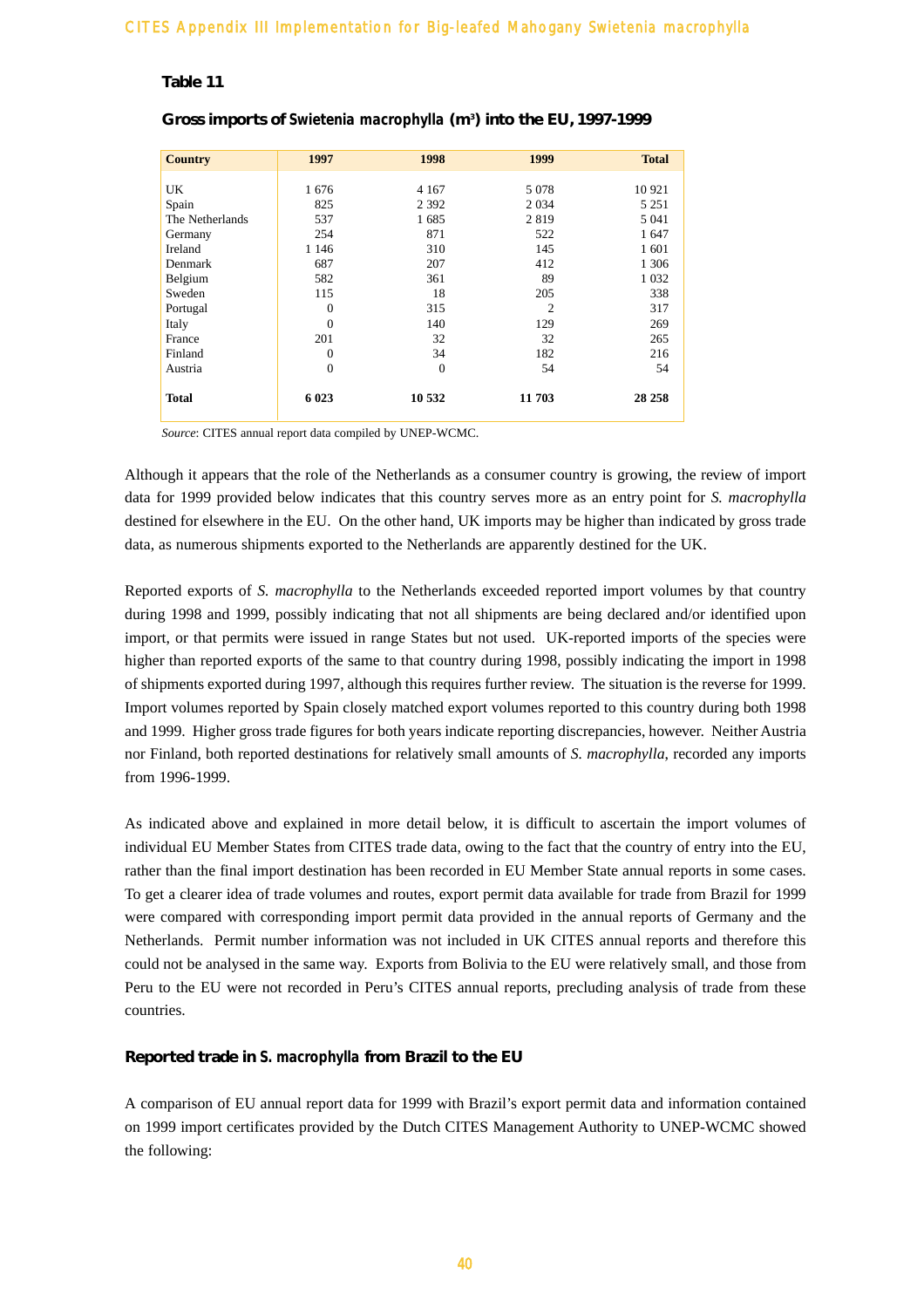#### **Table 11**

| 1997     | 1998           | 1999           | <b>Total</b> |
|----------|----------------|----------------|--------------|
|          |                |                |              |
| 1676     | 4 1 6 7        | 5 0 7 8        | 10 921       |
| 825      | 2 3 9 2        | 2 0 3 4        | 5 2 5 1      |
| 537      | 1685           | 2819           | 5 0 4 1      |
| 254      | 871            | 522            | 1 647        |
| 1 1 4 6  | 310            | 145            | 1 601        |
| 687      | 207            | 412            | 1 3 0 6      |
| 582      | 361            | 89             | 1 0 3 2      |
| 115      | 18             | 205            | 338          |
| $\theta$ | 315            | $\overline{2}$ | 317          |
| $\Omega$ | 140            | 129            | 269          |
| 201      | 32             | 32             | 265          |
| $\Omega$ | 34             | 182            | 216          |
| $\Omega$ | $\overline{0}$ | 54             | 54           |
| 6 0 23   | 10 532         | 11 703         | 28 25 8      |
|          |                |                |              |

#### **Gross imports of** *Swietenia macrophylla* **(m3 ) into the EU, 1997-1999**

*Source*: CITES annual report data compiled by UNEP-WCMC.

Although it appears that the role of the Netherlands as a consumer country is growing, the review of import data for 1999 provided below indicates that this country serves more as an entry point for *S. macrophylla* destined for elsewhere in the EU. On the other hand, UK imports may be higher than indicated by gross trade data, as numerous shipments exported to the Netherlands are apparently destined for the UK.

Reported exports of *S. macrophylla* to the Netherlands exceeded reported import volumes by that country during 1998 and 1999, possibly indicating that not all shipments are being declared and/or identified upon import, or that permits were issued in range States but not used. UK-reported imports of the species were higher than reported exports of the same to that country during 1998, possibly indicating the import in 1998 of shipments exported during 1997, although this requires further review. The situation is the reverse for 1999. Import volumes reported by Spain closely matched export volumes reported to this country during both 1998 and 1999. Higher gross trade figures for both years indicate reporting discrepancies, however. Neither Austria nor Finland, both reported destinations for relatively small amounts of *S. macrophylla*, recorded any imports from 1996-1999.

As indicated above and explained in more detail below, it is difficult to ascertain the import volumes of individual EU Member States from CITES trade data, owing to the fact that the country of entry into the EU, rather than the final import destination has been recorded in EU Member State annual reports in some cases. To get a clearer idea of trade volumes and routes, export permit data available for trade from Brazil for 1999 were compared with corresponding import permit data provided in the annual reports of Germany and the Netherlands. Permit number information was not included in UK CITES annual reports and therefore this could not be analysed in the same way. Exports from Bolivia to the EU were relatively small, and those from Peru to the EU were not recorded in Peru's CITES annual reports, precluding analysis of trade from these countries.

#### **Reported trade in** *S. macrophylla* **from Brazil to the EU**

A comparison of EU annual report data for 1999 with Brazil's export permit data and information contained on 1999 import certificates provided by the Dutch CITES Management Authority to UNEP-WCMC showed the following: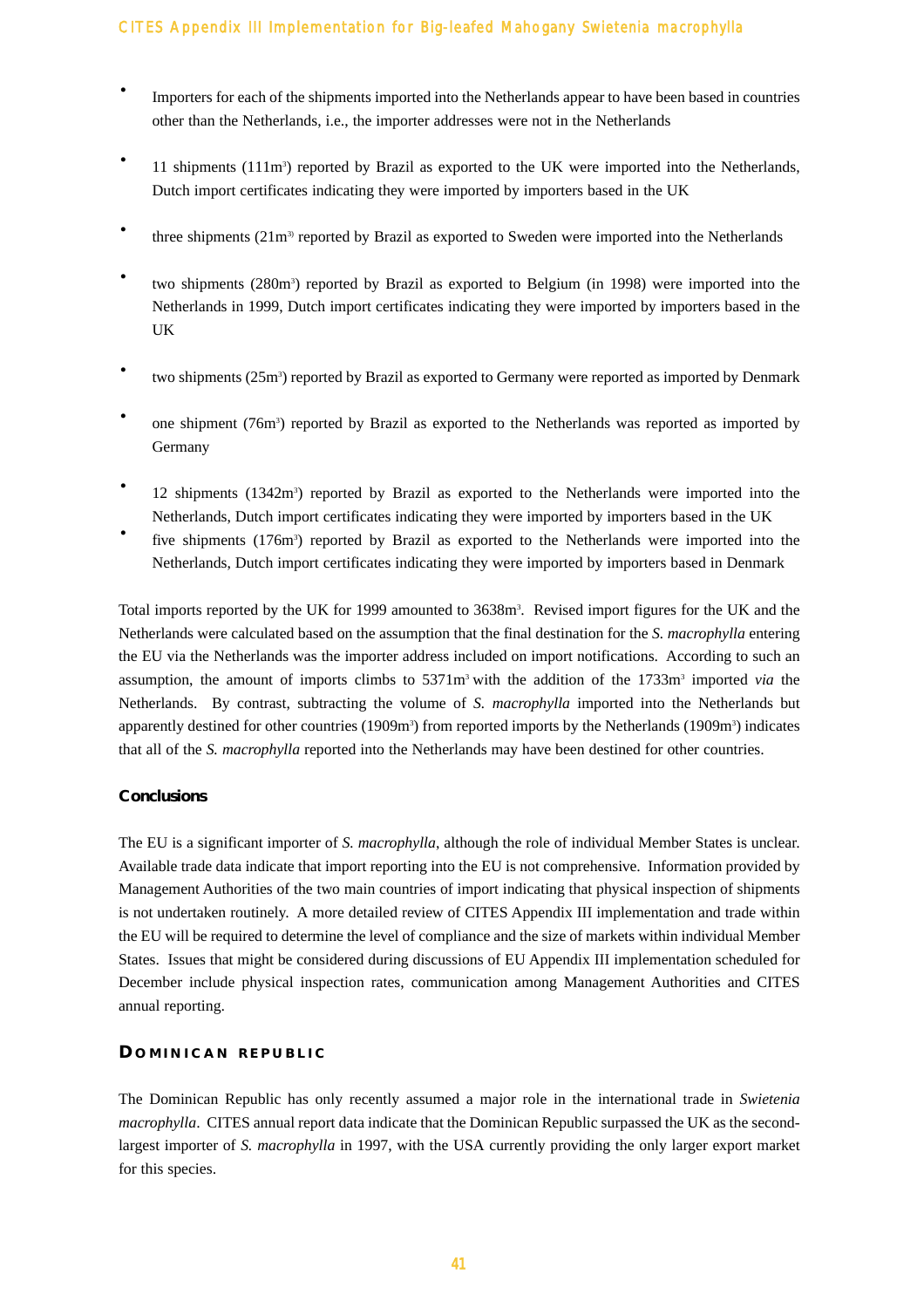- Importers for each of the shipments imported into the Netherlands appear to have been based in countries other than the Netherlands, i.e., the importer addresses were not in the Netherlands
- 11 shipments (111m<sup>3</sup>) reported by Brazil as exported to the UK were imported into the Netherlands, Dutch import certificates indicating they were imported by importers based in the UK
- three shipments  $(21m<sup>3</sup>)$  reported by Brazil as exported to Sweden were imported into the Netherlands
- · two shipments (280m3 ) reported by Brazil as exported to Belgium (in 1998) were imported into the Netherlands in 1999, Dutch import certificates indicating they were imported by importers based in the UK
- two shipments (25m<sup>3</sup>) reported by Brazil as exported to Germany were reported as imported by Denmark
- one shipment (76m<sup>3</sup>) reported by Brazil as exported to the Netherlands was reported as imported by Germany
- <sup>•</sup> 12 shipments (1342m<sup>3</sup>) reported by Brazil as exported to the Netherlands were imported into the Netherlands, Dutch import certificates indicating they were imported by importers based in the UK
- five shipments (176m<sup>3</sup>) reported by Brazil as exported to the Netherlands were imported into the Netherlands, Dutch import certificates indicating they were imported by importers based in Denmark

Total imports reported by the UK for 1999 amounted to 3638m<sup>3</sup>. Revised import figures for the UK and the Netherlands were calculated based on the assumption that the final destination for the *S. macrophylla* entering the EU via the Netherlands was the importer address included on import notifications. According to such an assumption, the amount of imports climbs to 5371m3 with the addition of the 1733m3 imported *via* the Netherlands. By contrast, subtracting the volume of *S. macrophylla* imported into the Netherlands but apparently destined for other countries (1909m<sup>3</sup>) from reported imports by the Netherlands (1909m<sup>3</sup>) indicates that all of the *S. macrophylla* reported into the Netherlands may have been destined for other countries.

#### **Conclusions**

The EU is a significant importer of *S. macrophylla*, although the role of individual Member States is unclear. Available trade data indicate that import reporting into the EU is not comprehensive. Information provided by Management Authorities of the two main countries of import indicating that physical inspection of shipments is not undertaken routinely. A more detailed review of CITES Appendix III implementation and trade within the EU will be required to determine the level of compliance and the size of markets within individual Member States. Issues that might be considered during discussions of EU Appendix III implementation scheduled for December include physical inspection rates, communication among Management Authorities and CITES annual reporting.

#### **D OMINICAN REPUBLIC**

The Dominican Republic has only recently assumed a major role in the international trade in *Swietenia macrophylla*. CITES annual report data indicate that the Dominican Republic surpassed the UK as the secondlargest importer of *S. macrophylla* in 1997, with the USA currently providing the only larger export market for this species.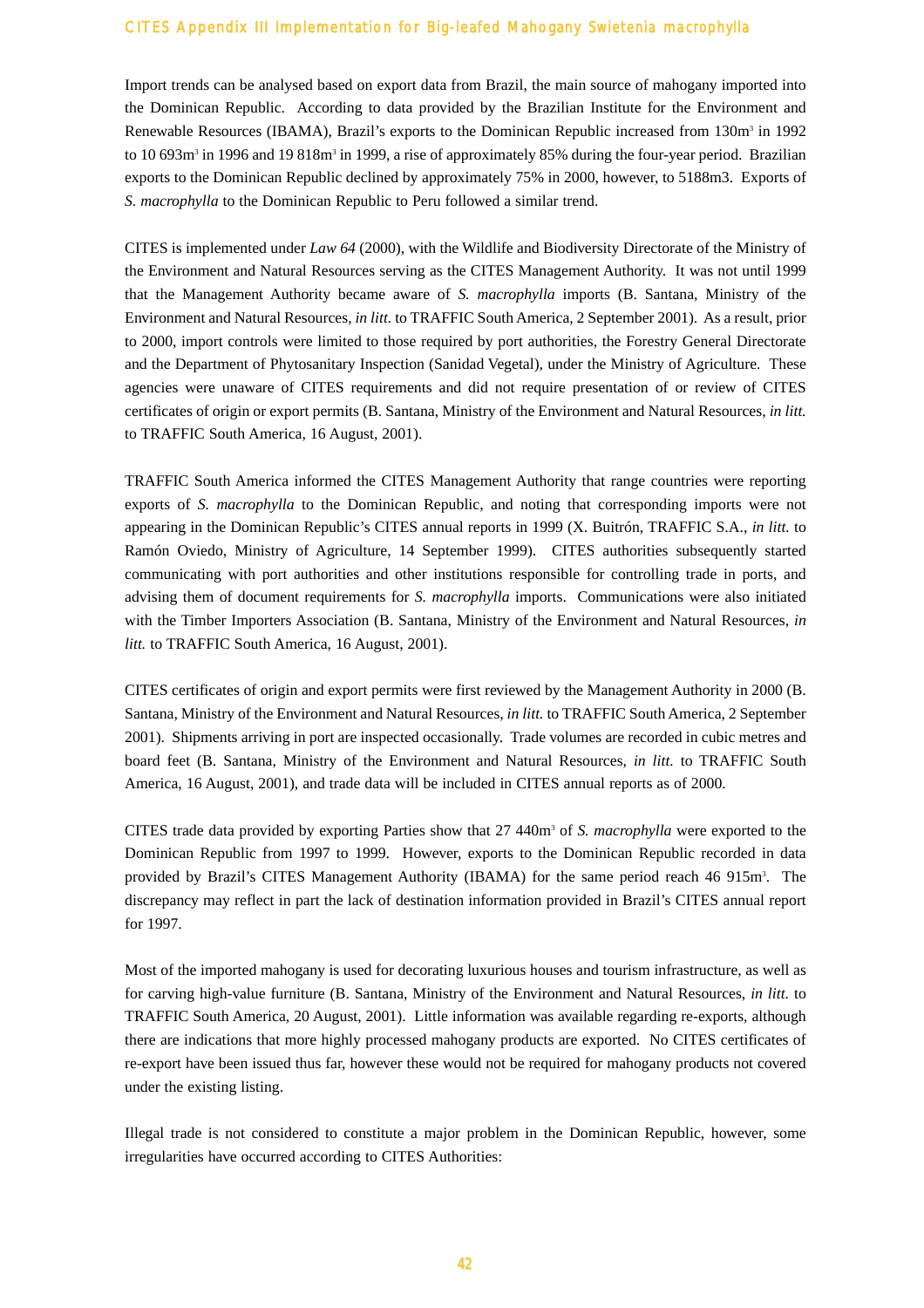Import trends can be analysed based on export data from Brazil, the main source of mahogany imported into the Dominican Republic. According to data provided by the Brazilian Institute for the Environment and Renewable Resources (IBAMA), Brazil's exports to the Dominican Republic increased from 130m<sup>3</sup> in 1992 to 10 693m<sup>3</sup> in 1996 and 19 818m<sup>3</sup> in 1999, a rise of approximately 85% during the four-year period. Brazilian exports to the Dominican Republic declined by approximately 75% in 2000, however, to 5188m3. Exports of *S. macrophylla* to the Dominican Republic to Peru followed a similar trend.

CITES is implemented under *Law 64* (2000), with the Wildlife and Biodiversity Directorate of the Ministry of the Environment and Natural Resources serving as the CITES Management Authority. It was not until 1999 that the Management Authority became aware of *S. macrophylla* imports (B. Santana, Ministry of the Environment and Natural Resources, *in litt.* to TRAFFIC South America, 2 September 2001). As a result, prior to 2000, import controls were limited to those required by port authorities, the Forestry General Directorate and the Department of Phytosanitary Inspection (Sanidad Vegetal), under the Ministry of Agriculture. These agencies were unaware of CITES requirements and did not require presentation of or review of CITES certificates of origin or export permits (B. Santana, Ministry of the Environment and Natural Resources, *in litt.* to TRAFFIC South America, 16 August, 2001).

TRAFFIC South America informed the CITES Management Authority that range countries were reporting exports of *S. macrophylla* to the Dominican Republic, and noting that corresponding imports were not appearing in the Dominican Republic's CITES annual reports in 1999 (X. Buitrón, TRAFFIC S.A., *in litt.* to Ramón Oviedo, Ministry of Agriculture, 14 September 1999). CITES authorities subsequently started communicating with port authorities and other institutions responsible for controlling trade in ports, and advising them of document requirements for *S. macrophylla* imports. Communications were also initiated with the Timber Importers Association (B. Santana, Ministry of the Environment and Natural Resources, *in litt.* to TRAFFIC South America, 16 August, 2001).

CITES certificates of origin and export permits were first reviewed by the Management Authority in 2000 (B. Santana, Ministry of the Environment and Natural Resources, *in litt.* to TRAFFIC South America, 2 September 2001). Shipments arriving in port are inspected occasionally. Trade volumes are recorded in cubic metres and board feet (B. Santana, Ministry of the Environment and Natural Resources, *in litt.* to TRAFFIC South America, 16 August, 2001), and trade data will be included in CITES annual reports as of 2000.

CITES trade data provided by exporting Parties show that 27 440m3 of *S. macrophylla* were exported to the Dominican Republic from 1997 to 1999. However, exports to the Dominican Republic recorded in data provided by Brazil's CITES Management Authority (IBAMA) for the same period reach 46 915m<sup>3</sup>. The discrepancy may reflect in part the lack of destination information provided in Brazil's CITES annual report for 1997.

Most of the imported mahogany is used for decorating luxurious houses and tourism infrastructure, as well as for carving high-value furniture (B. Santana, Ministry of the Environment and Natural Resources, *in litt.* to TRAFFIC South America, 20 August, 2001). Little information was available regarding re-exports, although there are indications that more highly processed mahogany products are exported. No CITES certificates of re-export have been issued thus far, however these would not be required for mahogany products not covered under the existing listing.

Illegal trade is not considered to constitute a major problem in the Dominican Republic, however, some irregularities have occurred according to CITES Authorities: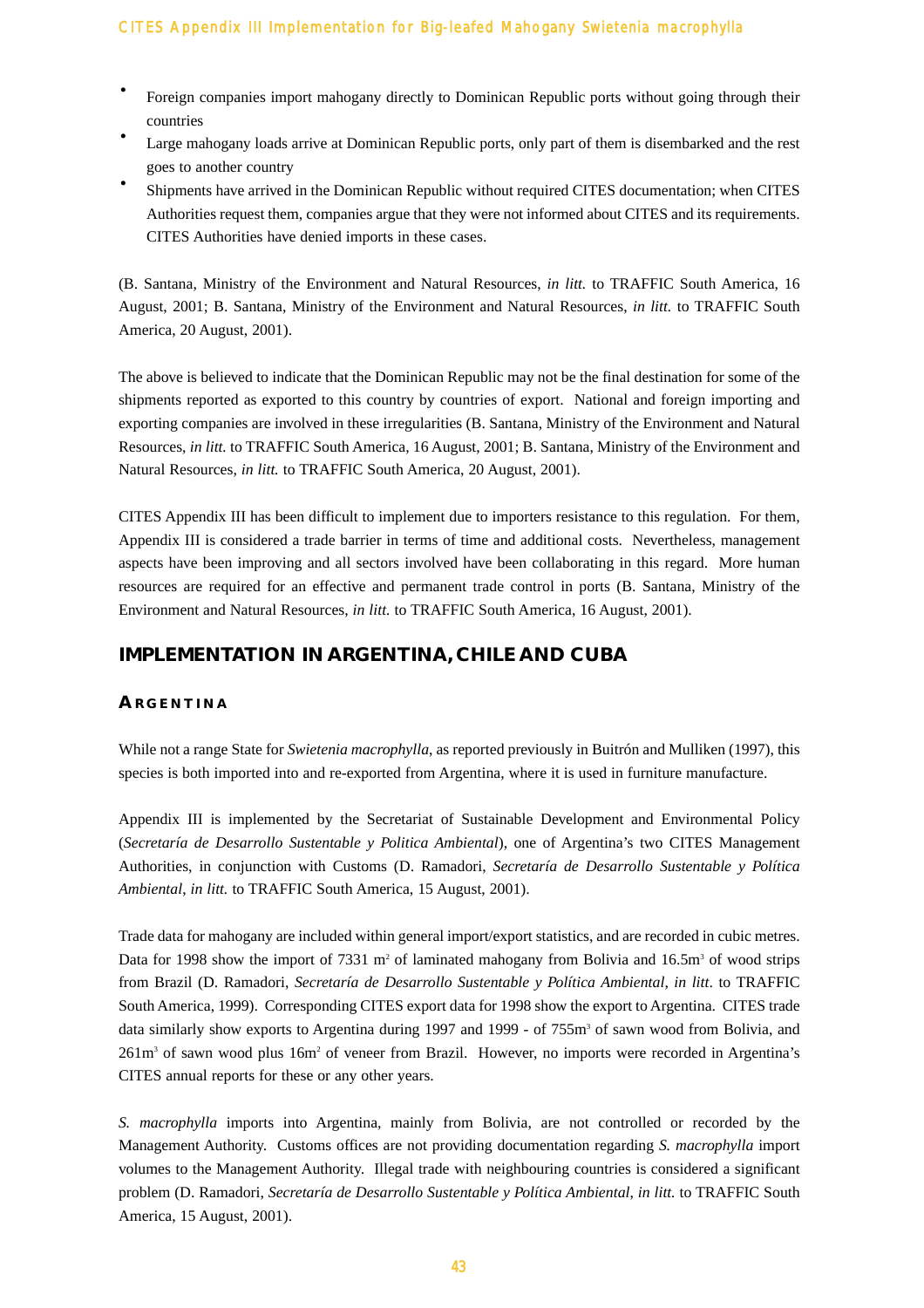- Foreign companies import mahogany directly to Dominican Republic ports without going through their countries
- Large mahogany loads arrive at Dominican Republic ports, only part of them is disembarked and the rest goes to another country
- · Shipments have arrived in the Dominican Republic without required CITES documentation; when CITES Authorities request them, companies argue that they were not informed about CITES and its requirements. CITES Authorities have denied imports in these cases.

(B. Santana, Ministry of the Environment and Natural Resources, *in litt.* to TRAFFIC South America, 16 August, 2001; B. Santana, Ministry of the Environment and Natural Resources, *in litt.* to TRAFFIC South America, 20 August, 2001).

The above is believed to indicate that the Dominican Republic may not be the final destination for some of the shipments reported as exported to this country by countries of export. National and foreign importing and exporting companies are involved in these irregularities (B. Santana, Ministry of the Environment and Natural Resources, *in litt.* to TRAFFIC South America, 16 August, 2001; B. Santana, Ministry of the Environment and Natural Resources, *in litt.* to TRAFFIC South America, 20 August, 2001).

CITES Appendix III has been difficult to implement due to importers resistance to this regulation. For them, Appendix III is considered a trade barrier in terms of time and additional costs. Nevertheless, management aspects have been improving and all sectors involved have been collaborating in this regard. More human resources are required for an effective and permanent trade control in ports (B. Santana, Ministry of the Environment and Natural Resources, *in litt.* to TRAFFIC South America, 16 August, 2001).

# **IMPLEMENTATION IN ARGENTINA, CHILE AND CUBA**

#### **A RGENTINA**

While not a range State for *Swietenia macrophylla*, as reported previously in Buitrón and Mulliken (1997), this species is both imported into and re-exported from Argentina, where it is used in furniture manufacture.

Appendix III is implemented by the Secretariat of Sustainable Development and Environmental Policy (*Secretaría de Desarrollo Sustentable y Politica Ambiental*), one of Argentina's two CITES Management Authorities, in conjunction with Customs (D. Ramadori, *Secretaría de Desarrollo Sustentable y Política Ambiental*, *in litt.* to TRAFFIC South America, 15 August, 2001).

Trade data for mahogany are included within general import/export statistics, and are recorded in cubic metres. Data for 1998 show the import of 7331 m<sup>2</sup> of laminated mahogany from Bolivia and 16.5m<sup>3</sup> of wood strips from Brazil (D. Ramadori, *Secretaría de Desarrollo Sustentable y Política Ambiental*, *in litt*. to TRAFFIC South America, 1999). Corresponding CITES export data for 1998 show the export to Argentina. CITES trade data similarly show exports to Argentina during 1997 and 1999 - of 755m<sup>3</sup> of sawn wood from Bolivia, and 261m3 of sawn wood plus 16m2 of veneer from Brazil. However, no imports were recorded in Argentina's CITES annual reports for these or any other years.

*S. macrophylla* imports into Argentina, mainly from Bolivia, are not controlled or recorded by the Management Authority. Customs offices are not providing documentation regarding *S. macrophylla* import volumes to the Management Authority. Illegal trade with neighbouring countries is considered a significant problem (D. Ramadori, *Secretaría de Desarrollo Sustentable y Política Ambiental*, *in litt.* to TRAFFIC South America, 15 August, 2001).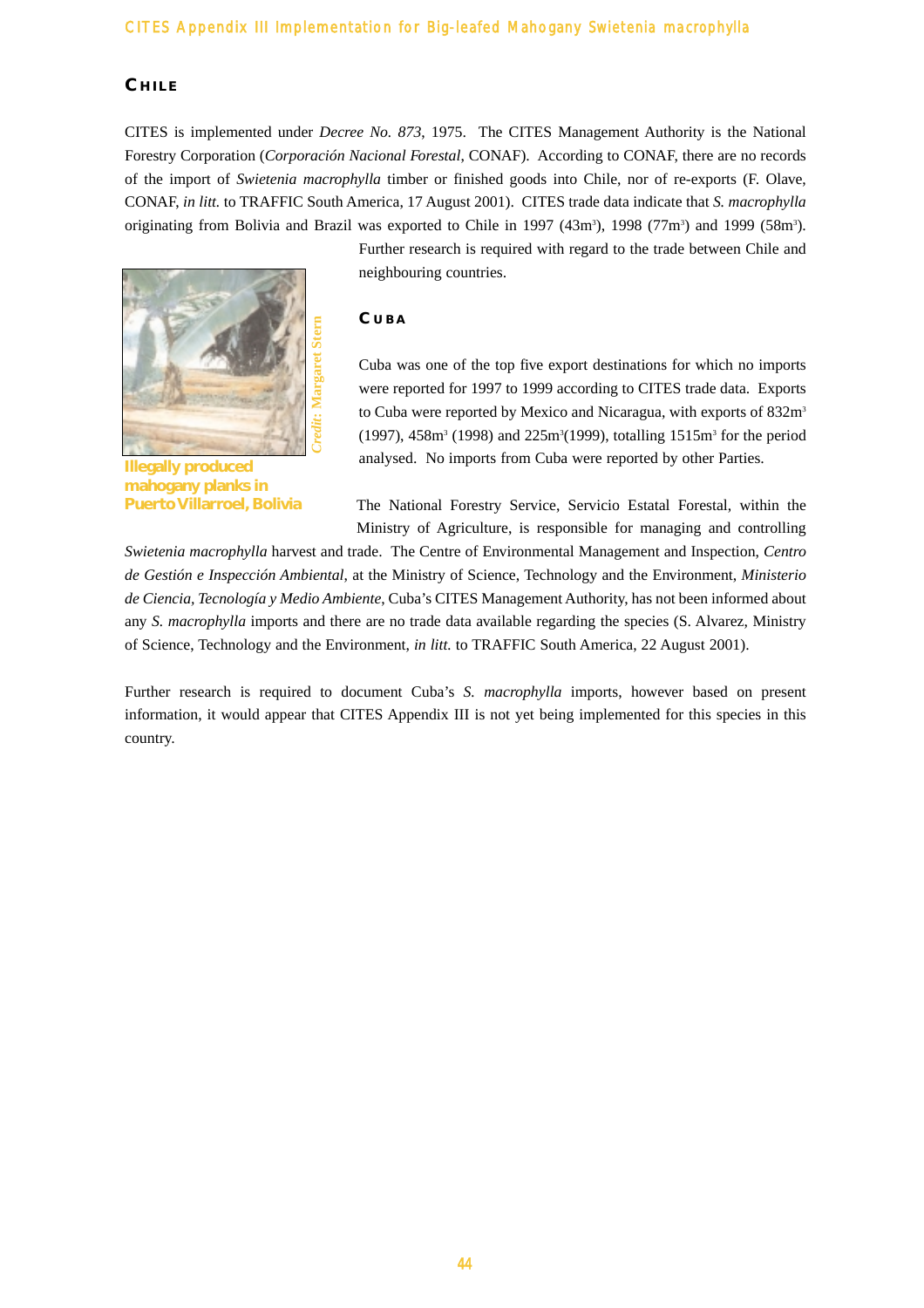# **C HILE**

CITES is implemented under *Decree No. 873*, 1975. The CITES Management Authority is the National Forestry Corporation (*Corporación Nacional Forestal*, CONAF). According to CONAF, there are no records of the import of *Swietenia macrophylla* timber or finished goods into Chile, nor of re-exports (F. Olave, CONAF, *in litt.* to TRAFFIC South America, 17 August 2001). CITES trade data indicate that *S. macrophylla* originating from Bolivia and Brazil was exported to Chile in 1997 (43m<sup>3</sup>), 1998 (77m<sup>3</sup>) and 1999 (58m<sup>3</sup>).



**Illegally produced mahogany planks in Puerto Villarroel, Bolivia**

Further research is required with regard to the trade between Chile and neighbouring countries.

### **C UBA**

Cuba was one of the top five export destinations for which no imports were reported for 1997 to 1999 according to CITES trade data. Exports to Cuba were reported by Mexico and Nicaragua, with exports of 832m<sup>3</sup>  $(1997)$ , 458m<sup>3</sup> (1998) and 225m<sup>3</sup>(1999), totalling 1515m<sup>3</sup> for the period analysed. No imports from Cuba were reported by other Parties.

The National Forestry Service, Servicio Estatal Forestal, within the Ministry of Agriculture, is responsible for managing and controlling

*Swietenia macrophylla* harvest and trade. The Centre of Environmental Management and Inspection, *Centro de Gestión e Inspección Ambiental*, at the Ministry of Science, Technology and the Environment, *Ministerio de Ciencia, Tecnología y Medio Ambiente*, Cuba's CITES Management Authority, has not been informed about any *S. macrophylla* imports and there are no trade data available regarding the species (S. Alvarez, Ministry of Science, Technology and the Environment, *in litt.* to TRAFFIC South America, 22 August 2001).

Further research is required to document Cuba's *S. macrophylla* imports, however based on present information, it would appear that CITES Appendix III is not yet being implemented for this species in this country.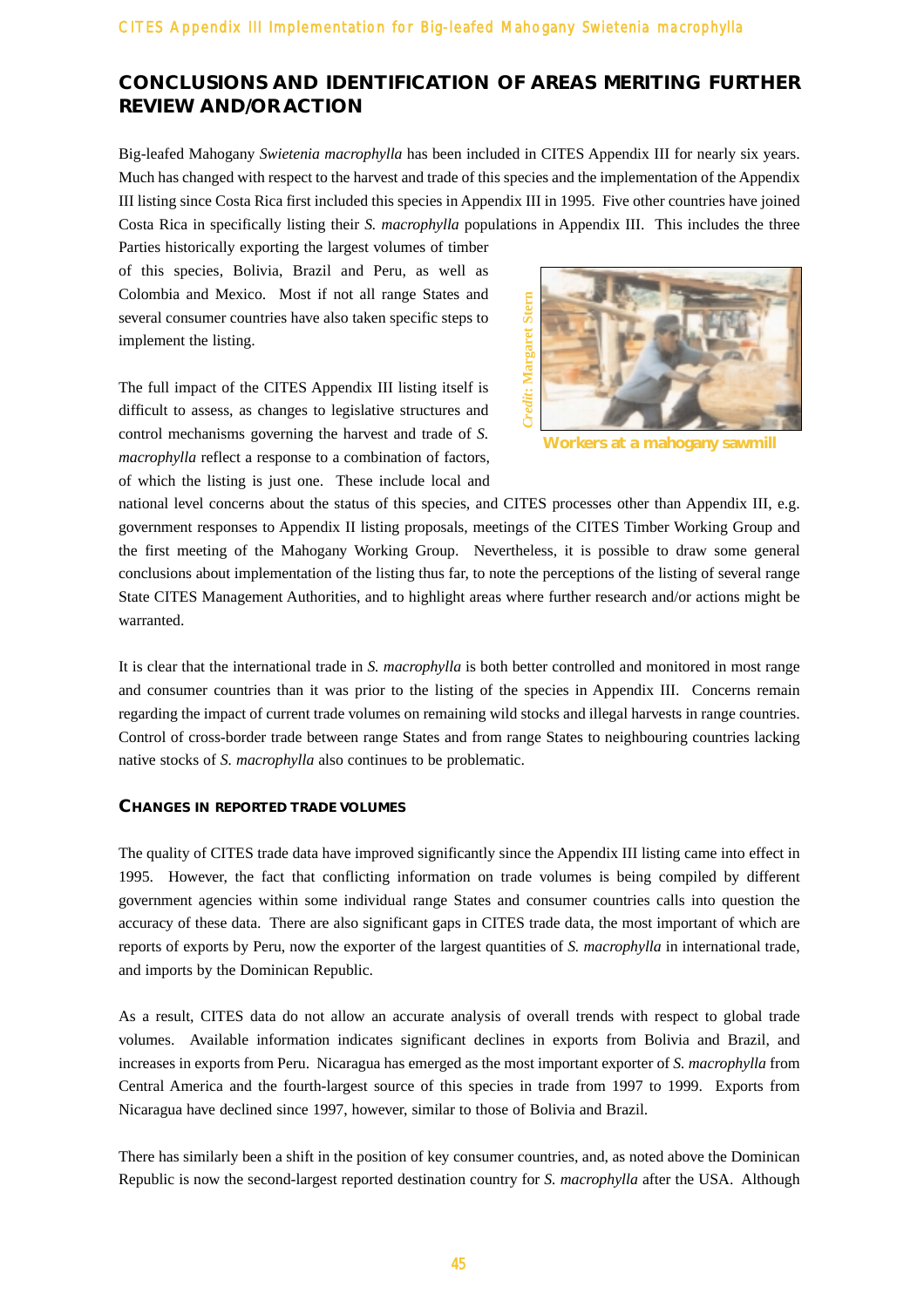# **CONCLUSIONS AND IDENTIFICATION OF AREAS MERITING FURTHER REVIEW AND/OR ACTION**

Big-leafed Mahogany *Swietenia macrophylla* has been included in CITES Appendix III for nearly six years. Much has changed with respect to the harvest and trade of this species and the implementation of the Appendix III listing since Costa Rica first included this species in Appendix III in 1995. Five other countries have joined Costa Rica in specifically listing their *S. macrophylla* populations in Appendix III. This includes the three

Parties historically exporting the largest volumes of timber of this species, Bolivia, Brazil and Peru, as well as Colombia and Mexico. Most if not all range States and several consumer countries have also taken specific steps to implement the listing.

The full impact of the CITES Appendix III listing itself is difficult to assess, as changes to legislative structures and control mechanisms governing the harvest and trade of *S. macrophylla* reflect a response to a combination of factors, of which the listing is just one. These include local and



**Workers at a mahogany sawmill**

national level concerns about the status of this species, and CITES processes other than Appendix III, e.g. government responses to Appendix II listing proposals, meetings of the CITES Timber Working Group and the first meeting of the Mahogany Working Group. Nevertheless, it is possible to draw some general conclusions about implementation of the listing thus far, to note the perceptions of the listing of several range State CITES Management Authorities, and to highlight areas where further research and/or actions might be warranted.

It is clear that the international trade in *S. macrophylla* is both better controlled and monitored in most range and consumer countries than it was prior to the listing of the species in Appendix III. Concerns remain regarding the impact of current trade volumes on remaining wild stocks and illegal harvests in range countries. Control of cross-border trade between range States and from range States to neighbouring countries lacking native stocks of *S. macrophylla* also continues to be problematic.

#### **CHANGES IN REPORTED TRADE VOLUMES**

The quality of CITES trade data have improved significantly since the Appendix III listing came into effect in 1995. However, the fact that conflicting information on trade volumes is being compiled by different government agencies within some individual range States and consumer countries calls into question the accuracy of these data. There are also significant gaps in CITES trade data, the most important of which are reports of exports by Peru, now the exporter of the largest quantities of *S. macrophylla* in international trade, and imports by the Dominican Republic.

As a result, CITES data do not allow an accurate analysis of overall trends with respect to global trade volumes. Available information indicates significant declines in exports from Bolivia and Brazil, and increases in exports from Peru. Nicaragua has emerged as the most important exporter of *S. macrophylla* from Central America and the fourth-largest source of this species in trade from 1997 to 1999. Exports from Nicaragua have declined since 1997, however, similar to those of Bolivia and Brazil.

There has similarly been a shift in the position of key consumer countries, and, as noted above the Dominican Republic is now the second-largest reported destination country for *S. macrophylla* after the USA. Although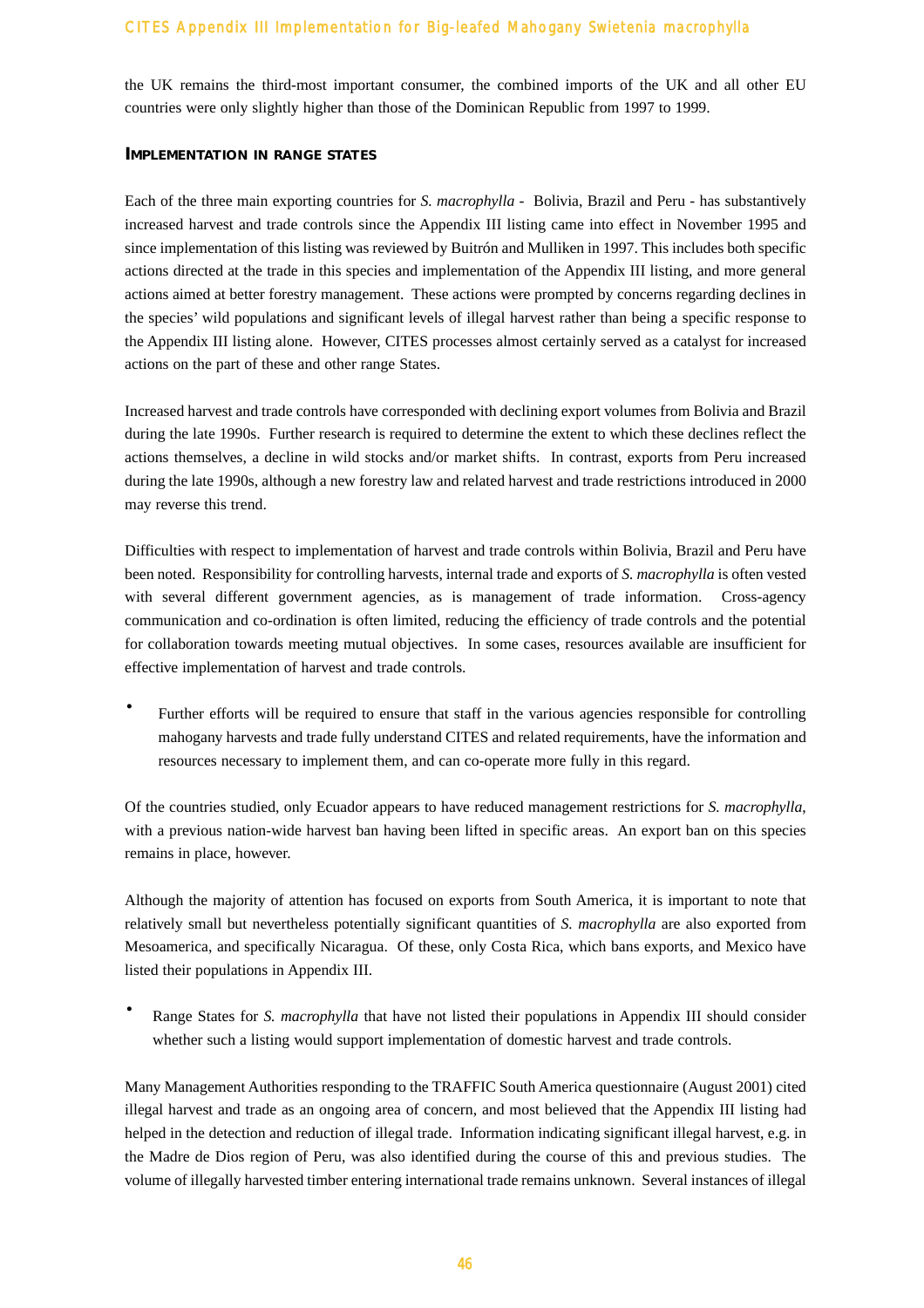the UK remains the third-most important consumer, the combined imports of the UK and all other EU countries were only slightly higher than those of the Dominican Republic from 1997 to 1999.

#### **IMPLEMENTATION IN RANGE STATES**

Each of the three main exporting countries for *S. macrophylla* - Bolivia, Brazil and Peru - has substantively increased harvest and trade controls since the Appendix III listing came into effect in November 1995 and since implementation of this listing was reviewed by Buitrón and Mulliken in 1997. This includes both specific actions directed at the trade in this species and implementation of the Appendix III listing, and more general actions aimed at better forestry management. These actions were prompted by concerns regarding declines in the species' wild populations and significant levels of illegal harvest rather than being a specific response to the Appendix III listing alone. However, CITES processes almost certainly served as a catalyst for increased actions on the part of these and other range States.

Increased harvest and trade controls have corresponded with declining export volumes from Bolivia and Brazil during the late 1990s. Further research is required to determine the extent to which these declines reflect the actions themselves, a decline in wild stocks and/or market shifts. In contrast, exports from Peru increased during the late 1990s, although a new forestry law and related harvest and trade restrictions introduced in 2000 may reverse this trend.

Difficulties with respect to implementation of harvest and trade controls within Bolivia, Brazil and Peru have been noted. Responsibility for controlling harvests, internal trade and exports of *S. macrophylla* is often vested with several different government agencies, as is management of trade information. Cross-agency communication and co-ordination is often limited, reducing the efficiency of trade controls and the potential for collaboration towards meeting mutual objectives. In some cases, resources available are insufficient for effective implementation of harvest and trade controls.

· Further efforts will be required to ensure that staff in the various agencies responsible for controlling mahogany harvests and trade fully understand CITES and related requirements, have the information and resources necessary to implement them, and can co-operate more fully in this regard.

Of the countries studied, only Ecuador appears to have reduced management restrictions for *S. macrophylla*, with a previous nation-wide harvest ban having been lifted in specific areas. An export ban on this species remains in place, however.

Although the majority of attention has focused on exports from South America, it is important to note that relatively small but nevertheless potentially significant quantities of *S. macrophylla* are also exported from Mesoamerica, and specifically Nicaragua. Of these, only Costa Rica, which bans exports, and Mexico have listed their populations in Appendix III.

Range States for *S. macrophylla* that have not listed their populations in Appendix III should consider whether such a listing would support implementation of domestic harvest and trade controls.

Many Management Authorities responding to the TRAFFIC South America questionnaire (August 2001) cited illegal harvest and trade as an ongoing area of concern, and most believed that the Appendix III listing had helped in the detection and reduction of illegal trade. Information indicating significant illegal harvest, e.g. in the Madre de Dios region of Peru, was also identified during the course of this and previous studies. The volume of illegally harvested timber entering international trade remains unknown. Several instances of illegal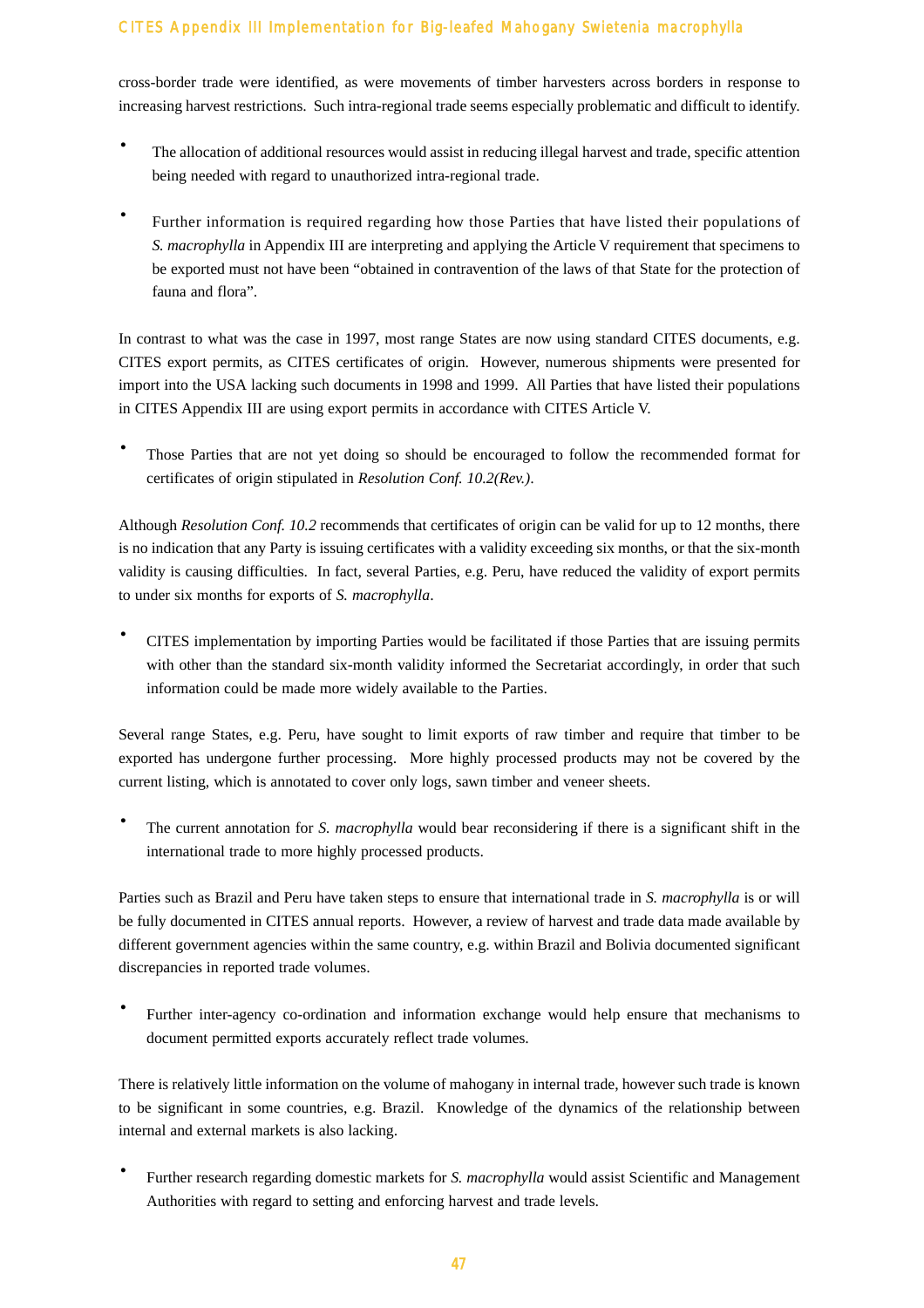cross-border trade were identified, as were movements of timber harvesters across borders in response to increasing harvest restrictions. Such intra-regional trade seems especially problematic and difficult to identify.

- · The allocation of additional resources would assist in reducing illegal harvest and trade, specific attention being needed with regard to unauthorized intra-regional trade.
- Further information is required regarding how those Parties that have listed their populations of *S. macrophylla* in Appendix III are interpreting and applying the Article V requirement that specimens to be exported must not have been "obtained in contravention of the laws of that State for the protection of fauna and flora".

In contrast to what was the case in 1997, most range States are now using standard CITES documents, e.g. CITES export permits, as CITES certificates of origin. However, numerous shipments were presented for import into the USA lacking such documents in 1998 and 1999. All Parties that have listed their populations in CITES Appendix III are using export permits in accordance with CITES Article V.

Those Parties that are not yet doing so should be encouraged to follow the recommended format for certificates of origin stipulated in *Resolution Conf. 10.2(Rev.)*.

Although *Resolution Conf. 10.2* recommends that certificates of origin can be valid for up to 12 months, there is no indication that any Party is issuing certificates with a validity exceeding six months, or that the six-month validity is causing difficulties. In fact, several Parties, e.g. Peru, have reduced the validity of export permits to under six months for exports of *S. macrophylla*.

· CITES implementation by importing Parties would be facilitated if those Parties that are issuing permits with other than the standard six-month validity informed the Secretariat accordingly, in order that such information could be made more widely available to the Parties.

Several range States, e.g. Peru, have sought to limit exports of raw timber and require that timber to be exported has undergone further processing. More highly processed products may not be covered by the current listing, which is annotated to cover only logs, sawn timber and veneer sheets.

The current annotation for *S. macrophylla* would bear reconsidering if there is a significant shift in the international trade to more highly processed products.

Parties such as Brazil and Peru have taken steps to ensure that international trade in *S. macrophylla* is or will be fully documented in CITES annual reports. However, a review of harvest and trade data made available by different government agencies within the same country, e.g. within Brazil and Bolivia documented significant discrepancies in reported trade volumes.

Further inter-agency co-ordination and information exchange would help ensure that mechanisms to document permitted exports accurately reflect trade volumes.

There is relatively little information on the volume of mahogany in internal trade, however such trade is known to be significant in some countries, e.g. Brazil. Knowledge of the dynamics of the relationship between internal and external markets is also lacking.

Further research regarding domestic markets for *S. macrophylla* would assist Scientific and Management Authorities with regard to setting and enforcing harvest and trade levels.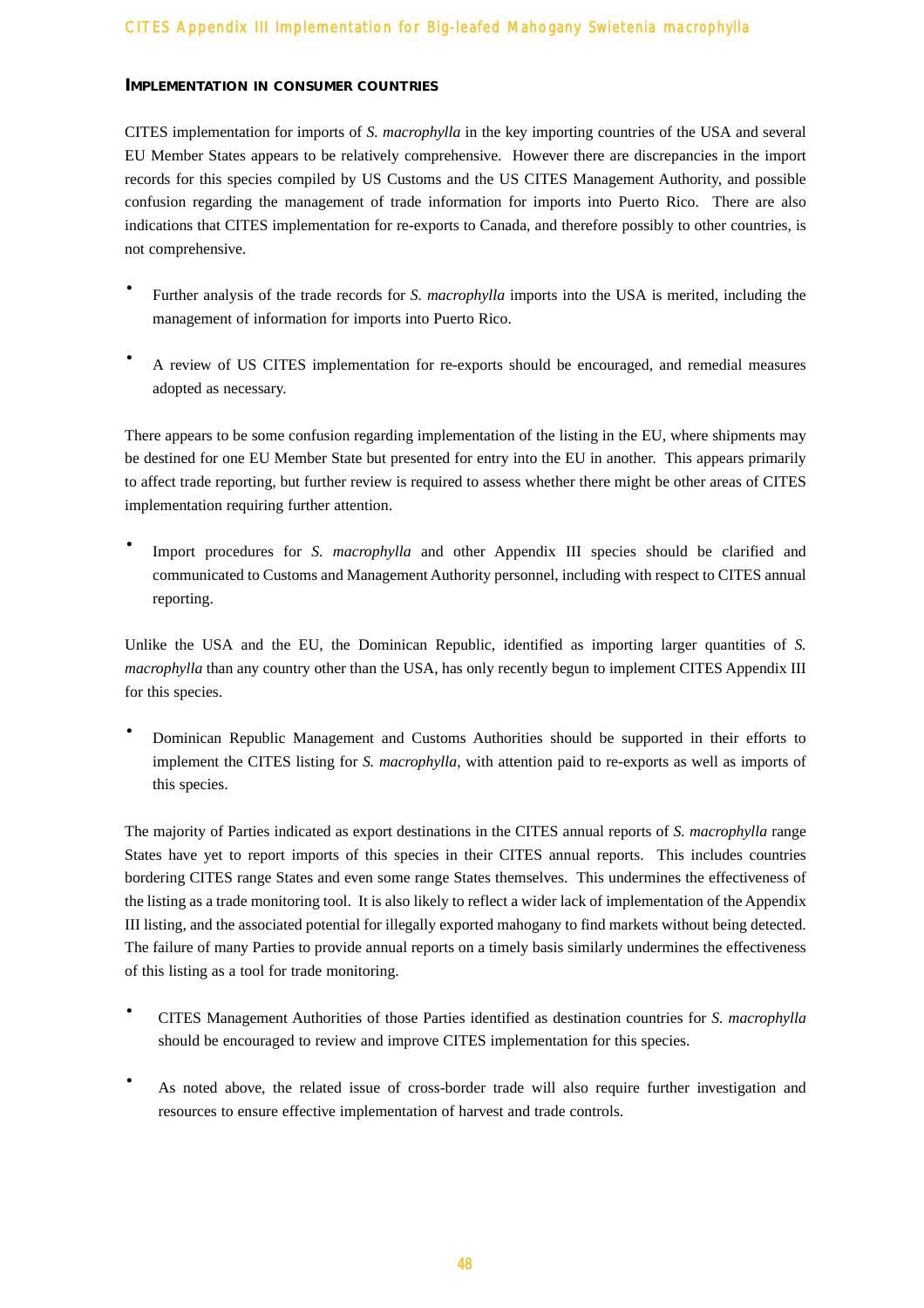#### **IMPLEMENTATION IN CONSUMER COUNTRIES**

CITES implementation for imports of *S. macrophylla* in the key importing countries of the USA and several EU Member States appears to be relatively comprehensive. However there are discrepancies in the import records for this species compiled by US Customs and the US CITES Management Authority, and possible confusion regarding the management of trade information for imports into Puerto Rico. There are also indications that CITES implementation for re-exports to Canada, and therefore possibly to other countries, is not comprehensive.

- Further analysis of the trade records for *S. macrophylla* imports into the USA is merited, including the management of information for imports into Puerto Rico.
- · A review of US CITES implementation for re-exports should be encouraged, and remedial measures adopted as necessary.

There appears to be some confusion regarding implementation of the listing in the EU, where shipments may be destined for one EU Member State but presented for entry into the EU in another. This appears primarily to affect trade reporting, but further review is required to assess whether there might be other areas of CITES implementation requiring further attention.

· Import procedures for *S. macrophylla* and other Appendix III species should be clarified and communicated to Customs and Management Authority personnel, including with respect to CITES annual reporting.

Unlike the USA and the EU, the Dominican Republic, identified as importing larger quantities of S. *macrophylla* than any country other than the USA, has only recently begun to implement CITES Appendix III for this species.

· Dominican Republic Management and Customs Authorities should be supported in their efforts to implement the CITES listing for *S. macrophylla*, with attention paid to re-exports as well as imports of this species.

The majority of Parties indicated as export destinations in the CITES annual reports of *S. macrophylla* range States have yet to report imports of this species in their CITES annual reports. This includes countries bordering CITES range States and even some range States themselves. This undermines the effectiveness of the listing as a trade monitoring tool. It is also likely to reflect a wider lack of implementation of the Appendix III listing, and the associated potential for illegally exported mahogany to find markets without being detected. The failure of many Parties to provide annual reports on a timely basis similarly undermines the effectiveness of this listing as a tool for trade monitoring.

- · CITES Management Authorities of those Parties identified as destination countries for *S. macrophylla* should be encouraged to review and improve CITES implementation for this species.
- · As noted above, the related issue of cross-border trade will also require further investigation and resources to ensure effective implementation of harvest and trade controls.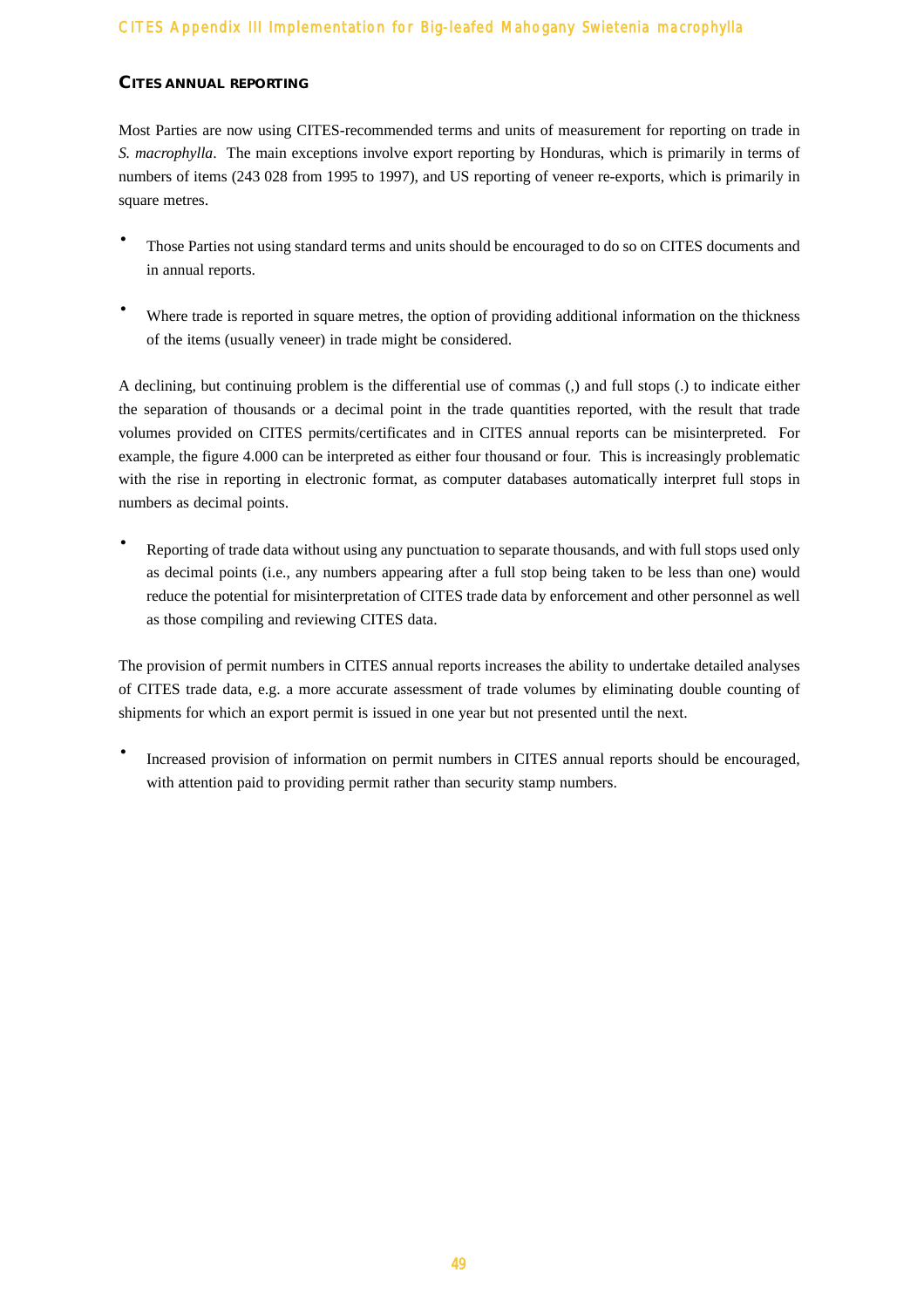#### **CITES ANNUAL REPORTING**

Most Parties are now using CITES-recommended terms and units of measurement for reporting on trade in *S. macrophylla*. The main exceptions involve export reporting by Honduras, which is primarily in terms of numbers of items (243 028 from 1995 to 1997), and US reporting of veneer re-exports, which is primarily in square metres.

- Those Parties not using standard terms and units should be encouraged to do so on CITES documents and in annual reports.
- Where trade is reported in square metres, the option of providing additional information on the thickness of the items (usually veneer) in trade might be considered.

A declining, but continuing problem is the differential use of commas (,) and full stops (.) to indicate either the separation of thousands or a decimal point in the trade quantities reported, with the result that trade volumes provided on CITES permits/certificates and in CITES annual reports can be misinterpreted. For example, the figure 4.000 can be interpreted as either four thousand or four. This is increasingly problematic with the rise in reporting in electronic format, as computer databases automatically interpret full stops in numbers as decimal points.

Reporting of trade data without using any punctuation to separate thousands, and with full stops used only as decimal points (i.e., any numbers appearing after a full stop being taken to be less than one) would reduce the potential for misinterpretation of CITES trade data by enforcement and other personnel as well as those compiling and reviewing CITES data.

The provision of permit numbers in CITES annual reports increases the ability to undertake detailed analyses of CITES trade data, e.g. a more accurate assessment of trade volumes by eliminating double counting of shipments for which an export permit is issued in one year but not presented until the next.

Increased provision of information on permit numbers in CITES annual reports should be encouraged, with attention paid to providing permit rather than security stamp numbers.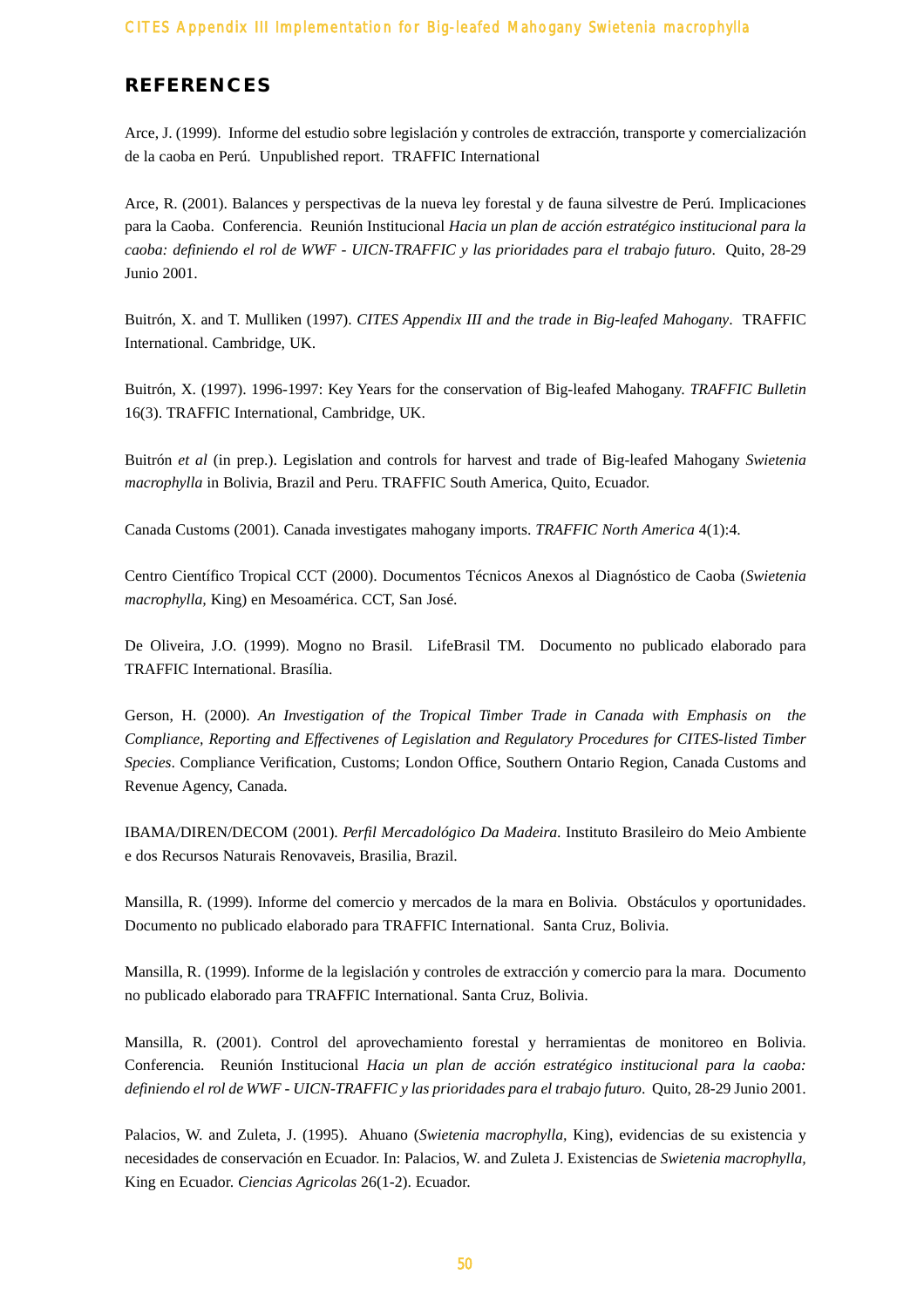# **REFERENCES**

Arce, J. (1999). Informe del estudio sobre legislación y controles de extracción, transporte y comercialización de la caoba en Perú. Unpublished report. TRAFFIC International

Arce, R. (2001). Balances y perspectivas de la nueva ley forestal y de fauna silvestre de Perú. Implicaciones para la Caoba. Conferencia. Reunión Institucional *Hacia un plan de acción estratégico institucional para la caoba: definiendo el rol de WWF - UICN-TRAFFIC y las prioridades para el trabajo futuro*. Quito, 28-29 Junio 2001.

Buitrón, X. and T. Mulliken (1997). *CITES Appendix III and the trade in Big-leafed Mahogany*. TRAFFIC International. Cambridge, UK.

Buitrón, X. (1997). 1996-1997: Key Years for the conservation of Big-leafed Mahogany. *TRAFFIC Bulletin* 16(3). TRAFFIC International, Cambridge, UK.

Buitrón *et al* (in prep.). Legislation and controls for harvest and trade of Big-leafed Mahogany *Swietenia macrophylla* in Bolivia, Brazil and Peru. TRAFFIC South America, Quito, Ecuador.

Canada Customs (2001). Canada investigates mahogany imports. *TRAFFIC North America* 4(1):4.

Centro Científico Tropical CCT (2000). Documentos Técnicos Anexos al Diagnóstico de Caoba (*Swietenia macrophylla,* King) en Mesoamérica. CCT, San José.

De Oliveira, J.O. (1999). Mogno no Brasil. LifeBrasil TM. Documento no publicado elaborado para TRAFFIC International. Brasília.

Gerson, H. (2000). *An Investigation of the Tropical Timber Trade in Canada with Emphasis on the Compliance, Reporting and Effectivenes of Legislation and Regulatory Procedures for CITES-listed Timber Species*. Compliance Verification, Customs; London Office, Southern Ontario Region, Canada Customs and Revenue Agency, Canada.

IBAMA/DIREN/DECOM (2001). *Perfil Mercadológico Da Madeira*. Instituto Brasileiro do Meio Ambiente e dos Recursos Naturais Renovaveis, Brasilia, Brazil.

Mansilla, R. (1999). Informe del comercio y mercados de la mara en Bolivia. Obstáculos y oportunidades. Documento no publicado elaborado para TRAFFIC International. Santa Cruz, Bolivia.

Mansilla, R. (1999). Informe de la legislación y controles de extracción y comercio para la mara. Documento no publicado elaborado para TRAFFIC International. Santa Cruz, Bolivia.

Mansilla, R. (2001). Control del aprovechamiento forestal y herramientas de monitoreo en Bolivia. Conferencia. Reunión Institucional *Hacia un plan de acción estratégico institucional para la caoba: definiendo el rol de WWF - UICN-TRAFFIC y las prioridades para el trabajo futuro*. Quito, 28-29 Junio 2001.

Palacios, W. and Zuleta, J. (1995). Ahuano (*Swietenia macrophylla,* King), evidencias de su existencia y necesidades de conservación en Ecuador. In: Palacios, W. and Zuleta J. Existencias de *Swietenia macrophylla,* King en Ecuador. *Ciencias Agricolas* 26(1-2). Ecuador.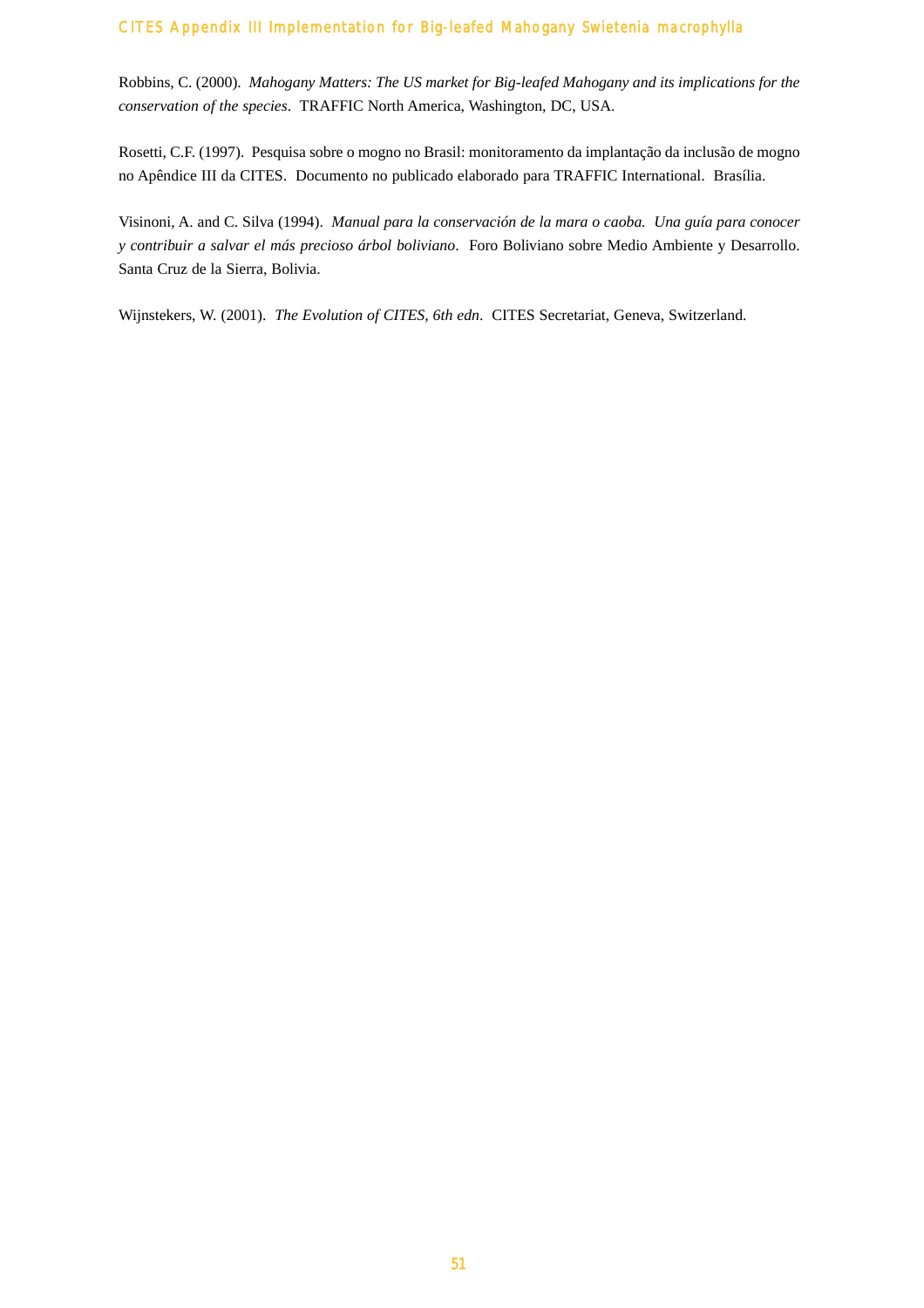Robbins, C. (2000). *Mahogany Matters: The US market for Big-leafed Mahogany and its implications for the conservation of the species*. TRAFFIC North America, Washington, DC, USA.

Rosetti, C.F. (1997). Pesquisa sobre o mogno no Brasil: monitoramento da implantação da inclusão de mogno no Apêndice III da CITES. Documento no publicado elaborado para TRAFFIC International. Brasília.

Visinoni, A. and C. Silva (1994). *Manual para la conservación de la mara o caoba. Una guía para conocer y contribuir a salvar el más precioso árbol boliviano*. Foro Boliviano sobre Medio Ambiente y Desarrollo. Santa Cruz de la Sierra, Bolivia.

Wijnstekers, W. (2001). *The Evolution of CITES, 6th edn*. CITES Secretariat, Geneva, Switzerland.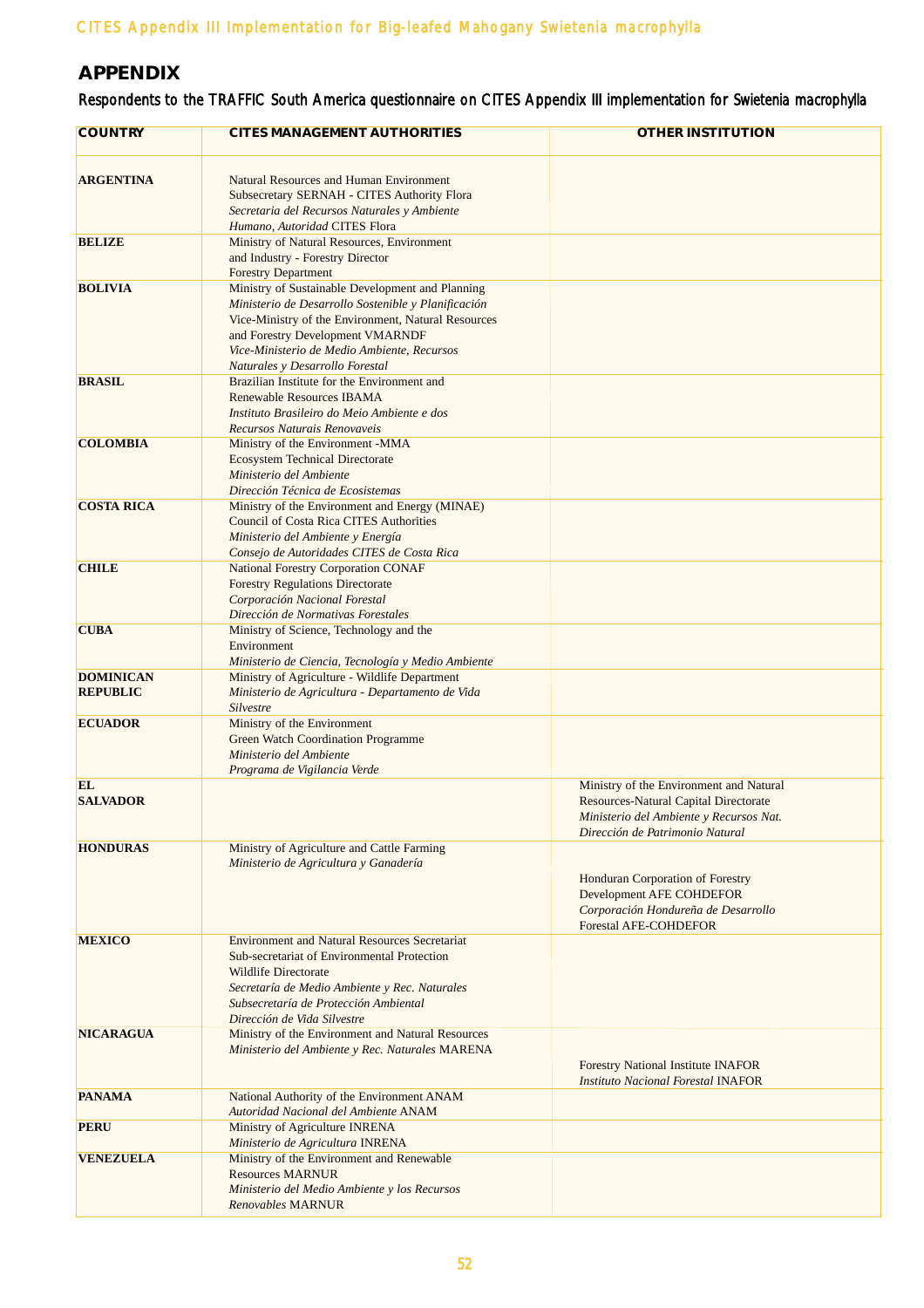# **APPENDIX**

# Respondents to the TRAFFIC South America questionnaire on CITES Appendix III implementation for *Swietenia macrophylla*

| <b>COUNTRY</b>                      | <b>CITES MANAGEMENT AUTHORITIES</b>                                                                                                                                                                                                                                                  | <b>OTHER INSTITUTION</b>                                                                                                                                              |
|-------------------------------------|--------------------------------------------------------------------------------------------------------------------------------------------------------------------------------------------------------------------------------------------------------------------------------------|-----------------------------------------------------------------------------------------------------------------------------------------------------------------------|
| <b>ARGENTINA</b>                    | Natural Resources and Human Environment<br>Subsecretary SERNAH - CITES Authority Flora<br>Secretaria del Recursos Naturales y Ambiente<br>Humano, Autoridad CITES Flora                                                                                                              |                                                                                                                                                                       |
| <b>BELIZE</b>                       | Ministry of Natural Resources, Environment<br>and Industry - Forestry Director<br><b>Forestry Department</b>                                                                                                                                                                         |                                                                                                                                                                       |
| <b>BOLIVIA</b>                      | Ministry of Sustainable Development and Planning<br>Ministerio de Desarrollo Sostenible y Planificación<br>Vice-Ministry of the Environment, Natural Resources<br>and Forestry Development VMARNDF<br>Vice-Ministerio de Medio Ambiente, Recursos<br>Naturales y Desarrollo Forestal |                                                                                                                                                                       |
| <b>BRASIL</b>                       | Brazilian Institute for the Environment and<br>Renewable Resources IBAMA<br>Instituto Brasileiro do Meio Ambiente e dos<br>Recursos Naturais Renovaveis                                                                                                                              |                                                                                                                                                                       |
| <b>COLOMBIA</b>                     | Ministry of the Environment -MMA<br><b>Ecosystem Technical Directorate</b><br>Ministerio del Ambiente<br>Dirección Técnica de Ecosistemas                                                                                                                                            |                                                                                                                                                                       |
| <b>COSTA RICA</b>                   | Ministry of the Environment and Energy (MINAE)<br>Council of Costa Rica CITES Authorities<br>Ministerio del Ambiente y Energía<br>Consejo de Autoridades CITES de Costa Rica                                                                                                         |                                                                                                                                                                       |
| <b>CHILE</b>                        | National Forestry Corporation CONAF<br><b>Forestry Regulations Directorate</b><br>Corporación Nacional Forestal<br>Dirección de Normativas Forestales                                                                                                                                |                                                                                                                                                                       |
| <b>CUBA</b>                         | Ministry of Science, Technology and the<br>Environment<br>Ministerio de Ciencia, Tecnología y Medio Ambiente                                                                                                                                                                         |                                                                                                                                                                       |
| <b>DOMINICAN</b><br><b>REPUBLIC</b> | Ministry of Agriculture - Wildlife Department<br>Ministerio de Agricultura - Departamento de Vida<br>Silvestre                                                                                                                                                                       |                                                                                                                                                                       |
| <b>ECUADOR</b>                      | Ministry of the Environment<br>Green Watch Coordination Programme<br>Ministerio del Ambiente<br>Programa de Vigilancia Verde                                                                                                                                                         |                                                                                                                                                                       |
| EL<br><b>SALVADOR</b>               |                                                                                                                                                                                                                                                                                      | Ministry of the Environment and Natural<br><b>Resources-Natural Capital Directorate</b><br>Ministerio del Ambiente y Recursos Nat.<br>Dirección de Patrimonio Natural |
| <b>HONDURAS</b>                     | Ministry of Agriculture and Cattle Farming<br>Ministerio de Agricultura y Ganadería                                                                                                                                                                                                  | Honduran Corporation of Forestry<br>Development AFE COHDEFOR<br>Corporación Hondureña de Desarrollo<br><b>Forestal AFE-COHDEFOR</b>                                   |
| <b>MEXICO</b>                       | <b>Environment and Natural Resources Secretariat</b><br>Sub-secretariat of Environmental Protection<br>Wildlife Directorate<br>Secretaría de Medio Ambiente y Rec. Naturales<br>Subsecretaría de Protección Ambiental<br>Dirección de Vida Silvestre                                 |                                                                                                                                                                       |
| <b>NICARAGUA</b>                    | Ministry of the Environment and Natural Resources<br>Ministerio del Ambiente y Rec. Naturales MARENA                                                                                                                                                                                 | Forestry National Institute INAFOR<br><b>Instituto Nacional Forestal INAFOR</b>                                                                                       |
| <b>PANAMA</b>                       | National Authority of the Environment ANAM<br>Autoridad Nacional del Ambiente ANAM                                                                                                                                                                                                   |                                                                                                                                                                       |
| <b>PERU</b>                         | Ministry of Agriculture INRENA<br>Ministerio de Agricultura INRENA                                                                                                                                                                                                                   |                                                                                                                                                                       |
| <b>VENEZUELA</b>                    | Ministry of the Environment and Renewable<br><b>Resources MARNUR</b><br>Ministerio del Medio Ambiente y los Recursos<br>Renovables MARNUR                                                                                                                                            |                                                                                                                                                                       |